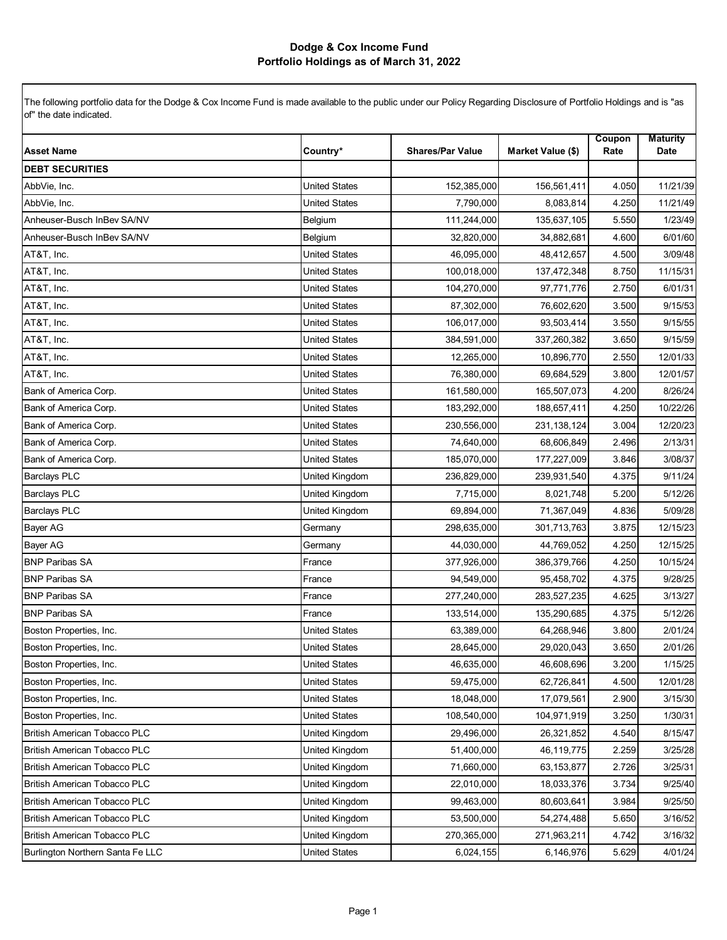|                                     |                      |                         |                   | Coupon | <b>Maturity</b> |
|-------------------------------------|----------------------|-------------------------|-------------------|--------|-----------------|
| <b>Asset Name</b>                   | Country*             | <b>Shares/Par Value</b> | Market Value (\$) | Rate   | <b>Date</b>     |
| <b>DEBT SECURITIES</b>              |                      |                         |                   |        |                 |
| AbbVie, Inc.                        | <b>United States</b> | 152,385,000             | 156,561,411       | 4.050  | 11/21/39        |
| AbbVie, Inc.                        | <b>United States</b> | 7,790,000               | 8,083,814         | 4.250  | 11/21/49        |
| Anheuser-Busch InBev SA/NV          | Belgium              | 111,244,000             | 135,637,105       | 5.550  | 1/23/49         |
| Anheuser-Busch InBev SA/NV          | Belgium              | 32,820,000              | 34,882,681        | 4.600  | 6/01/60         |
| AT&T, Inc.                          | <b>United States</b> | 46,095,000              | 48,412,657        | 4.500  | 3/09/48         |
| AT&T, Inc.                          | <b>United States</b> | 100,018,000             | 137,472,348       | 8.750  | 11/15/31        |
| AT&T, Inc.                          | <b>United States</b> | 104,270,000             | 97,771,776        | 2.750  | 6/01/31         |
| AT&T, Inc.                          | <b>United States</b> | 87,302,000              | 76,602,620        | 3.500  | 9/15/53         |
| AT&T, Inc.                          | <b>United States</b> | 106,017,000             | 93,503,414        | 3.550  | 9/15/55         |
| AT&T, Inc.                          | <b>United States</b> | 384,591,000             | 337,260,382       | 3.650  | 9/15/59         |
| AT&T, Inc.                          | <b>United States</b> | 12,265,000              | 10,896,770        | 2.550  | 12/01/33        |
| AT&T, Inc.                          | <b>United States</b> | 76,380,000              | 69,684,529        | 3.800  | 12/01/57        |
| Bank of America Corp.               | <b>United States</b> | 161,580,000             | 165,507,073       | 4.200  | 8/26/24         |
| Bank of America Corp.               | <b>United States</b> | 183,292,000             | 188,657,411       | 4.250  | 10/22/26        |
| Bank of America Corp.               | <b>United States</b> | 230,556,000             | 231,138,124       | 3.004  | 12/20/23        |
| Bank of America Corp.               | <b>United States</b> | 74,640,000              | 68,606,849        | 2.496  | 2/13/31         |
| Bank of America Corp.               | <b>United States</b> | 185,070,000             | 177,227,009       | 3.846  | 3/08/37         |
| <b>Barclays PLC</b>                 | United Kingdom       | 236,829,000             | 239,931,540       | 4.375  | 9/11/24         |
| <b>Barclays PLC</b>                 | United Kingdom       | 7,715,000               | 8,021,748         | 5.200  | 5/12/26         |
| <b>Barclays PLC</b>                 | United Kingdom       | 69,894,000              | 71,367,049        | 4.836  | 5/09/28         |
| <b>Bayer AG</b>                     | Germany              | 298,635,000             | 301,713,763       | 3.875  | 12/15/23        |
| <b>Bayer AG</b>                     | Germany              | 44,030,000              | 44,769,052        | 4.250  | 12/15/25        |
| <b>BNP Paribas SA</b>               | France               | 377,926,000             | 386,379,766       | 4.250  | 10/15/24        |
| <b>BNP Paribas SA</b>               | France               | 94,549,000              | 95,458,702        | 4.375  | 9/28/25         |
| <b>BNP Paribas SA</b>               | France               | 277,240,000             | 283,527,235       | 4.625  | 3/13/27         |
| <b>BNP Paribas SA</b>               | France               | 133,514,000             | 135,290,685       | 4.375  | 5/12/26         |
| Boston Properties, Inc.             | <b>United States</b> | 63,389,000              | 64,268,946        | 3.800  | 2/01/24         |
| Boston Properties, Inc.             | <b>United States</b> | 28,645,000              | 29,020,043        | 3.650  | 2/01/26         |
| Boston Properties, Inc.             | <b>United States</b> | 46,635,000              | 46,608,696        | 3.200  | 1/15/25         |
| Boston Properties, Inc.             | <b>United States</b> | 59,475,000              | 62,726,841        | 4.500  | 12/01/28        |
| Boston Properties, Inc.             | <b>United States</b> | 18,048,000              | 17,079,561        | 2.900  | 3/15/30         |
| Boston Properties, Inc.             | <b>United States</b> | 108,540,000             | 104,971,919       | 3.250  | 1/30/31         |
| British American Tobacco PLC        | United Kingdom       | 29,496,000              | 26,321,852        | 4.540  | 8/15/47         |
| British American Tobacco PLC        | United Kingdom       | 51,400,000              | 46,119,775        | 2.259  | 3/25/28         |
| British American Tobacco PLC        | United Kingdom       | 71,660,000              | 63, 153, 877      | 2.726  | 3/25/31         |
| <b>British American Tobacco PLC</b> | United Kingdom       | 22,010,000              | 18,033,376        | 3.734  | 9/25/40         |
| British American Tobacco PLC        | United Kingdom       | 99,463,000              | 80,603,641        | 3.984  | 9/25/50         |
| British American Tobacco PLC        | United Kingdom       | 53,500,000              | 54,274,488        | 5.650  | 3/16/52         |
| <b>British American Tobacco PLC</b> | United Kingdom       | 270,365,000             | 271,963,211       | 4.742  | 3/16/32         |
| Burlington Northern Santa Fe LLC    | <b>United States</b> | 6,024,155               | 6,146,976         | 5.629  | 4/01/24         |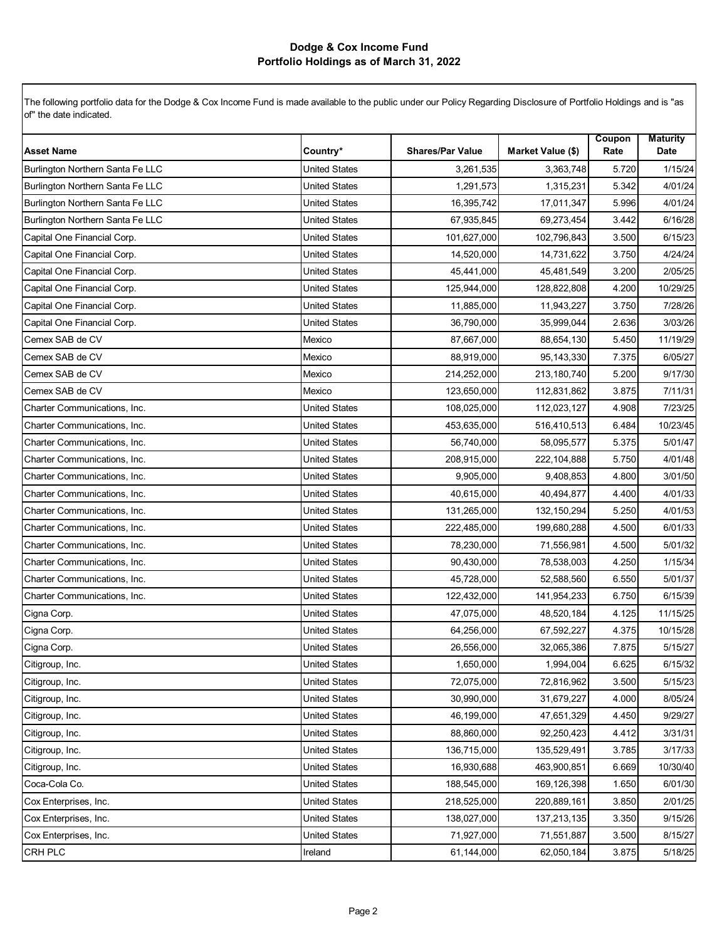|                                  |                      |                         |                   | Coupon | <b>Maturity</b> |
|----------------------------------|----------------------|-------------------------|-------------------|--------|-----------------|
| <b>Asset Name</b>                | Country*             | <b>Shares/Par Value</b> | Market Value (\$) | Rate   | Date            |
| Burlington Northern Santa Fe LLC | <b>United States</b> | 3,261,535               | 3,363,748         | 5.720  | 1/15/24         |
| Burlington Northern Santa Fe LLC | United States        | 1,291,573               | 1,315,231         | 5.342  | 4/01/24         |
| Burlington Northern Santa Fe LLC | <b>United States</b> | 16,395,742              | 17,011,347        | 5.996  | 4/01/24         |
| Burlington Northern Santa Fe LLC | <b>United States</b> | 67,935,845              | 69,273,454        | 3.442  | 6/16/28         |
| Capital One Financial Corp.      | <b>United States</b> | 101,627,000             | 102,796,843       | 3.500  | 6/15/23         |
| Capital One Financial Corp.      | <b>United States</b> | 14,520,000              | 14,731,622        | 3.750  | 4/24/24         |
| Capital One Financial Corp.      | United States        | 45,441,000              | 45,481,549        | 3.200  | 2/05/25         |
| Capital One Financial Corp.      | <b>United States</b> | 125,944,000             | 128,822,808       | 4.200  | 10/29/25        |
| Capital One Financial Corp.      | <b>United States</b> | 11,885,000              | 11,943,227        | 3.750  | 7/28/26         |
| Capital One Financial Corp.      | <b>United States</b> | 36,790,000              | 35,999,044        | 2.636  | 3/03/26         |
| Cemex SAB de CV                  | Mexico               | 87,667,000              | 88,654,130        | 5.450  | 11/19/29        |
| Cemex SAB de CV                  | Mexico               | 88,919,000              | 95,143,330        | 7.375  | 6/05/27         |
| Cemex SAB de CV                  | Mexico               | 214,252,000             | 213,180,740       | 5.200  | 9/17/30         |
| Cemex SAB de CV                  | Mexico               | 123,650,000             | 112,831,862       | 3.875  | 7/11/31         |
| Charter Communications, Inc.     | <b>United States</b> | 108,025,000             | 112,023,127       | 4.908  | 7/23/25         |
| Charter Communications, Inc.     | <b>United States</b> | 453,635,000             | 516,410,513       | 6.484  | 10/23/45        |
| Charter Communications, Inc.     | <b>United States</b> | 56,740,000              | 58,095,577        | 5.375  | 5/01/47         |
| Charter Communications, Inc.     | <b>United States</b> | 208,915,000             | 222,104,888       | 5.750  | 4/01/48         |
| Charter Communications, Inc.     | <b>United States</b> | 9,905,000               | 9,408,853         | 4.800  | 3/01/50         |
| Charter Communications, Inc.     | <b>United States</b> | 40,615,000              | 40,494,877        | 4.400  | 4/01/33         |
| Charter Communications, Inc.     | <b>United States</b> | 131,265,000             | 132, 150, 294     | 5.250  | 4/01/53         |
| Charter Communications, Inc.     | United States        | 222,485,000             | 199,680,288       | 4.500  | 6/01/33         |
| Charter Communications, Inc.     | <b>United States</b> | 78,230,000              | 71,556,981        | 4.500  | 5/01/32         |
| Charter Communications, Inc.     | <b>United States</b> | 90,430,000              | 78,538,003        | 4.250  | 1/15/34         |
| Charter Communications, Inc.     | <b>United States</b> | 45,728,000              | 52,588,560        | 6.550  | 5/01/37         |
| Charter Communications, Inc.     | <b>United States</b> | 122,432,000             | 141,954,233       | 6.750  | 6/15/39         |
| Cigna Corp.                      | United States        | 47,075,000              | 48,520,184        | 4.125  | 11/15/25        |
| Cigna Corp.                      | <b>United States</b> | 64,256,000              | 67,592,227        | 4.375  | 10/15/28        |
| Cigna Corp.                      | <b>United States</b> | 26,556,000              | 32,065,386        | 7.875  | 5/15/27         |
| Citigroup, Inc.                  | <b>United States</b> | 1,650,000               | 1,994,004         | 6.625  | 6/15/32         |
| Citigroup, Inc.                  | <b>United States</b> | 72,075,000              | 72,816,962        | 3.500  | 5/15/23         |
| Citigroup, Inc.                  | <b>United States</b> | 30,990,000              | 31,679,227        | 4.000  | 8/05/24         |
| Citigroup, Inc.                  | <b>United States</b> | 46,199,000              | 47,651,329        | 4.450  | 9/29/27         |
| Citigroup, Inc.                  | <b>United States</b> | 88,860,000              | 92,250,423        | 4.412  | 3/31/31         |
| Citigroup, Inc.                  | <b>United States</b> | 136,715,000             | 135,529,491       | 3.785  | 3/17/33         |
| Citigroup, Inc.                  | United States        | 16,930,688              | 463,900,851       | 6.669  | 10/30/40        |
| Coca-Cola Co.                    | <b>United States</b> | 188,545,000             | 169,126,398       | 1.650  | 6/01/30         |
| Cox Enterprises, Inc.            | <b>United States</b> | 218,525,000             | 220,889,161       | 3.850  | 2/01/25         |
| Cox Enterprises, Inc.            | <b>United States</b> | 138,027,000             | 137,213,135       | 3.350  | 9/15/26         |
| Cox Enterprises, Inc.            | <b>United States</b> | 71,927,000              | 71,551,887        | 3.500  | 8/15/27         |
| CRH PLC                          | Ireland              | 61,144,000              | 62,050,184        | 3.875  | 5/18/25         |
|                                  |                      |                         |                   |        |                 |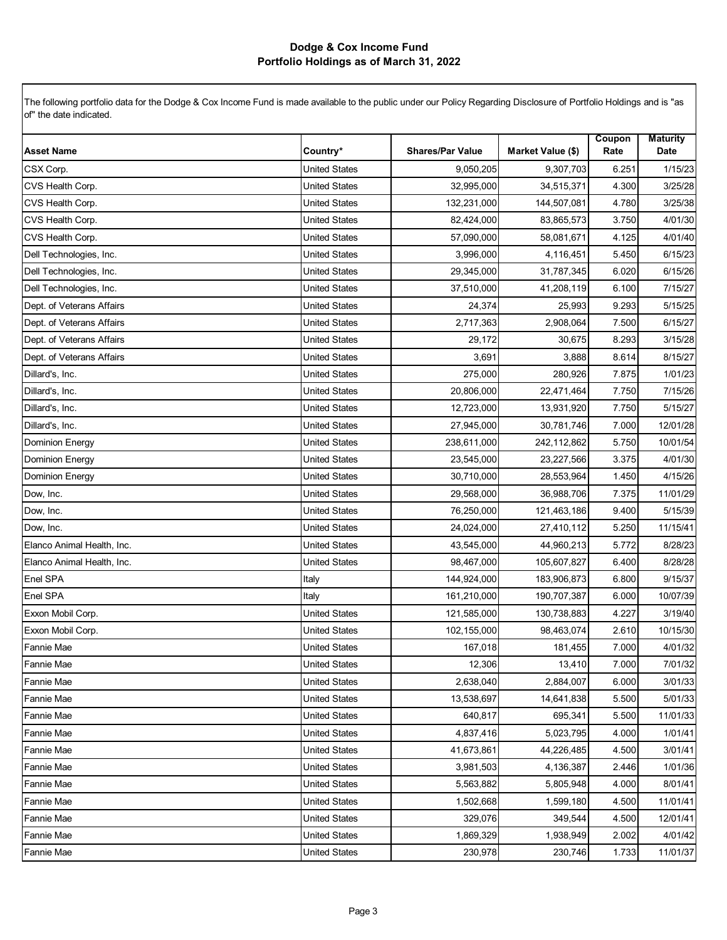| <b>Asset Name</b>          | Country*             | <b>Shares/Par Value</b> | Market Value (\$) | Coupon<br>Rate | <b>Maturity</b><br>Date |
|----------------------------|----------------------|-------------------------|-------------------|----------------|-------------------------|
| CSX Corp.                  | <b>United States</b> | 9,050,205               | 9,307,703         | 6.251          | 1/15/23                 |
| CVS Health Corp.           | <b>United States</b> | 32,995,000              | 34,515,371        | 4.300          | 3/25/28                 |
| CVS Health Corp.           | <b>United States</b> | 132,231,000             | 144,507,081       | 4.780          | 3/25/38                 |
| CVS Health Corp.           | <b>United States</b> | 82,424,000              | 83,865,573        | 3.750          | 4/01/30                 |
| CVS Health Corp.           | <b>United States</b> | 57,090,000              | 58,081,671        | 4.125          | 4/01/40                 |
| Dell Technologies, Inc.    | <b>United States</b> | 3,996,000               | 4,116,451         | 5.450          | 6/15/23                 |
| Dell Technologies, Inc.    | <b>United States</b> | 29,345,000              | 31,787,345        | 6.020          | 6/15/26                 |
| Dell Technologies, Inc.    | <b>United States</b> | 37,510,000              | 41,208,119        | 6.100          | 7/15/27                 |
| Dept. of Veterans Affairs  | <b>United States</b> | 24,374                  | 25,993            | 9.293          | 5/15/25                 |
| Dept. of Veterans Affairs  | <b>United States</b> | 2,717,363               | 2,908,064         | 7.500          | 6/15/27                 |
| Dept. of Veterans Affairs  | <b>United States</b> | 29,172                  | 30,675            | 8.293          | 3/15/28                 |
| Dept. of Veterans Affairs  | <b>United States</b> | 3,691                   | 3,888             | 8.614          | 8/15/27                 |
| Dillard's, Inc.            | <b>United States</b> | 275,000                 | 280,926           | 7.875          | 1/01/23                 |
| Dillard's, Inc.            | <b>United States</b> | 20,806,000              | 22,471,464        | 7.750          | 7/15/26                 |
| Dillard's, Inc.            | <b>United States</b> | 12,723,000              | 13,931,920        | 7.750          | 5/15/27                 |
| Dillard's, Inc.            | <b>United States</b> | 27,945,000              | 30,781,746        | 7.000          | 12/01/28                |
| <b>Dominion Energy</b>     | <b>United States</b> | 238,611,000             | 242,112,862       | 5.750          | 10/01/54                |
| <b>Dominion Energy</b>     | <b>United States</b> | 23,545,000              | 23,227,566        | 3.375          | 4/01/30                 |
| <b>Dominion Energy</b>     | <b>United States</b> | 30,710,000              | 28,553,964        | 1.450          | 4/15/26                 |
| Dow, Inc.                  | <b>United States</b> | 29,568,000              | 36,988,706        | 7.375          | 11/01/29                |
| Dow, Inc.                  | <b>United States</b> | 76,250,000              | 121,463,186       | 9.400          | 5/15/39                 |
| Dow, Inc.                  | <b>United States</b> | 24,024,000              | 27,410,112        | 5.250          | 11/15/41                |
| Elanco Animal Health, Inc. | <b>United States</b> | 43,545,000              | 44,960,213        | 5.772          | 8/28/23                 |
| Elanco Animal Health, Inc. | <b>United States</b> | 98,467,000              | 105,607,827       | 6.400          | 8/28/28                 |
| Enel SPA                   | Italy                | 144,924,000             | 183,906,873       | 6.800          | 9/15/37                 |
| Enel SPA                   | Italy                | 161,210,000             | 190,707,387       | 6.000          | 10/07/39                |
| Exxon Mobil Corp.          | <b>United States</b> | 121,585,000             | 130,738,883       | 4.227          | 3/19/40                 |
| Exxon Mobil Corp.          | <b>United States</b> | 102,155,000             | 98,463,074        | 2.610          | 10/15/30                |
| <b>Fannie Mae</b>          | <b>United States</b> | 167,018                 | 181,455           | 7.000          | 4/01/32                 |
| <b>Fannie Mae</b>          | <b>United States</b> | 12,306                  | 13,410            | 7.000          | 7/01/32                 |
| <b>Fannie Mae</b>          | <b>United States</b> | 2,638,040               | 2,884,007         | 6.000          | 3/01/33                 |
| Fannie Mae                 | United States        | 13,538,697              | 14,641,838        | 5.500          | 5/01/33                 |
| <b>Fannie Mae</b>          | <b>United States</b> | 640,817                 | 695,341           | 5.500          | 11/01/33                |
| <b>Fannie Mae</b>          | <b>United States</b> | 4,837,416               | 5,023,795         | 4.000          | 1/01/41                 |
| <b>Fannie Mae</b>          | <b>United States</b> | 41,673,861              | 44,226,485        | 4.500          | 3/01/41                 |
| <b>Fannie Mae</b>          | United States        | 3,981,503               | 4,136,387         | 2.446          | 1/01/36                 |
| <b>Fannie Mae</b>          | <b>United States</b> | 5,563,882               | 5,805,948         | 4.000          | 8/01/41                 |
| <b>Fannie Mae</b>          | <b>United States</b> | 1,502,668               | 1,599,180         | 4.500          | 11/01/41                |
| <b>Fannie Mae</b>          | <b>United States</b> | 329,076                 | 349,544           | 4.500          | 12/01/41                |
| <b>Fannie Mae</b>          | <b>United States</b> | 1,869,329               | 1,938,949         | 2.002          | 4/01/42                 |
| <b>Fannie Mae</b>          | <b>United States</b> | 230,978                 | 230,746           | 1.733          | 11/01/37                |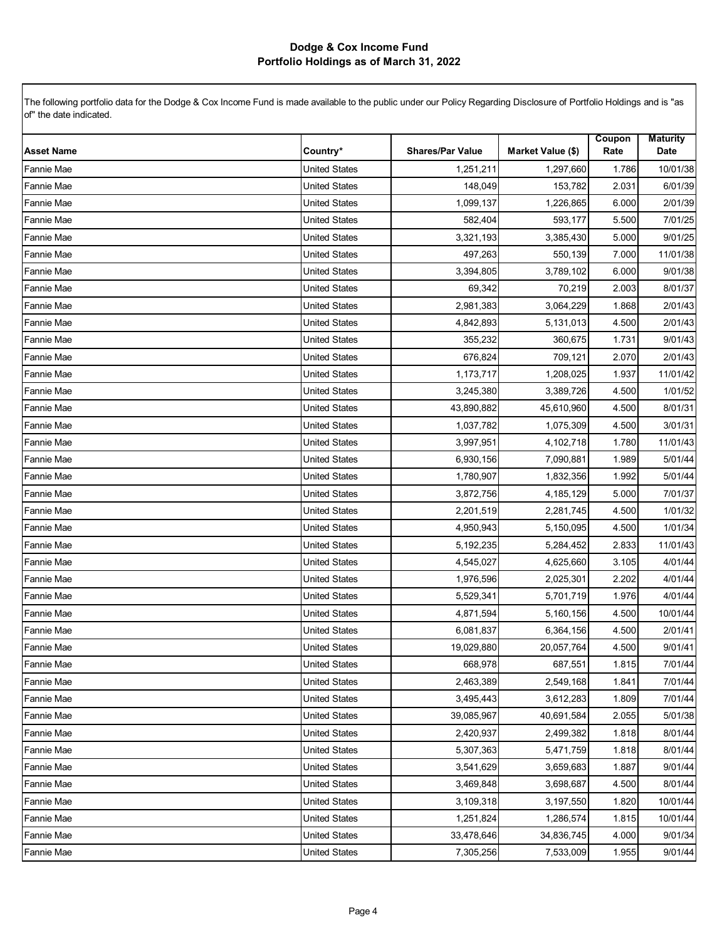| <b>Asset Name</b> | Country*             | <b>Shares/Par Value</b> | Market Value (\$) | Coupon<br>Rate | <b>Maturity</b><br>Date |
|-------------------|----------------------|-------------------------|-------------------|----------------|-------------------------|
| <b>Fannie Mae</b> | <b>United States</b> | 1,251,211               | 1,297,660         | 1.786          | 10/01/38                |
| Fannie Mae        | <b>United States</b> | 148,049                 | 153,782           | 2.031          | 6/01/39                 |
| Fannie Mae        | <b>United States</b> | 1,099,137               | 1,226,865         | 6.000          | 2/01/39                 |
| Fannie Mae        | <b>United States</b> | 582,404                 | 593,177           | 5.500          | 7/01/25                 |
| Fannie Mae        | <b>United States</b> | 3,321,193               | 3,385,430         | 5.000          | 9/01/25                 |
| Fannie Mae        | <b>United States</b> | 497,263                 | 550,139           | 7.000          | 11/01/38                |
| Fannie Mae        | <b>United States</b> | 3,394,805               | 3,789,102         | 6.000          | 9/01/38                 |
| Fannie Mae        | <b>United States</b> | 69,342                  | 70,219            | 2.003          | 8/01/37                 |
| Fannie Mae        | <b>United States</b> | 2,981,383               | 3,064,229         | 1.868          | 2/01/43                 |
| Fannie Mae        | <b>United States</b> | 4,842,893               | 5,131,013         | 4.500          | 2/01/43                 |
| Fannie Mae        | <b>United States</b> | 355,232                 | 360,675           | 1.731          | 9/01/43                 |
| Fannie Mae        | <b>United States</b> | 676,824                 | 709,121           | 2.070          | 2/01/43                 |
| <b>Fannie Mae</b> | <b>United States</b> | 1,173,717               | 1,208,025         | 1.937          | 11/01/42                |
| Fannie Mae        | <b>United States</b> | 3,245,380               | 3,389,726         | 4.500          | 1/01/52                 |
| Fannie Mae        | <b>United States</b> | 43,890,882              | 45,610,960        | 4.500          | 8/01/31                 |
| Fannie Mae        | <b>United States</b> | 1,037,782               | 1,075,309         | 4.500          | 3/01/31                 |
| Fannie Mae        | <b>United States</b> | 3,997,951               | 4,102,718         | 1.780          | 11/01/43                |
| Fannie Mae        | <b>United States</b> | 6,930,156               | 7,090,881         | 1.989          | 5/01/44                 |
| Fannie Mae        | <b>United States</b> | 1,780,907               | 1,832,356         | 1.992          | 5/01/44                 |
| Fannie Mae        | <b>United States</b> | 3,872,756               | 4,185,129         | 5.000          | 7/01/37                 |
| Fannie Mae        | <b>United States</b> | 2,201,519               | 2,281,745         | 4.500          | 1/01/32                 |
| Fannie Mae        | <b>United States</b> | 4,950,943               | 5,150,095         | 4.500          | 1/01/34                 |
| Fannie Mae        | <b>United States</b> | 5,192,235               | 5,284,452         | 2.833          | 11/01/43                |
| Fannie Mae        | <b>United States</b> | 4,545,027               | 4,625,660         | 3.105          | 4/01/44                 |
| Fannie Mae        | <b>United States</b> | 1,976,596               | 2,025,301         | 2.202          | 4/01/44                 |
| Fannie Mae        | <b>United States</b> | 5,529,341               | 5,701,719         | 1.976          | 4/01/44                 |
| Fannie Mae        | <b>United States</b> | 4,871,594               | 5,160,156         | 4.500          | 10/01/44                |
| Fannie Mae        | <b>United States</b> | 6,081,837               | 6,364,156         | 4.500          | 2/01/41                 |
| Fannie Mae        | <b>United States</b> | 19,029,880              | 20,057,764        | 4.500          | 9/01/41                 |
| <b>Fannie Mae</b> | United States        | 668,978                 | 687,551           | 1.815          | 7/01/44                 |
| <b>Fannie Mae</b> | <b>United States</b> | 2,463,389               | 2,549,168         | 1.841          | 7/01/44                 |
| <b>Fannie Mae</b> | <b>United States</b> | 3,495,443               | 3,612,283         | 1.809          | 7/01/44                 |
| Fannie Mae        | <b>United States</b> | 39,085,967              | 40,691,584        | 2.055          | 5/01/38                 |
| <b>Fannie Mae</b> | <b>United States</b> | 2,420,937               | 2,499,382         | 1.818          | 8/01/44                 |
| <b>Fannie Mae</b> | United States        | 5,307,363               | 5,471,759         | 1.818          | 8/01/44                 |
| <b>Fannie Mae</b> | <b>United States</b> | 3,541,629               | 3,659,683         | 1.887          | 9/01/44                 |
| Fannie Mae        | <b>United States</b> | 3,469,848               | 3,698,687         | 4.500          | 8/01/44                 |
| <b>Fannie Mae</b> | <b>United States</b> | 3,109,318               | 3,197,550         | 1.820          | 10/01/44                |
| <b>Fannie Mae</b> | <b>United States</b> | 1,251,824               | 1,286,574         | 1.815          | 10/01/44                |
| Fannie Mae        | <b>United States</b> | 33,478,646              | 34,836,745        | 4.000          | 9/01/34                 |
| Fannie Mae        | <b>United States</b> | 7,305,256               | 7,533,009         | 1.955          | 9/01/44                 |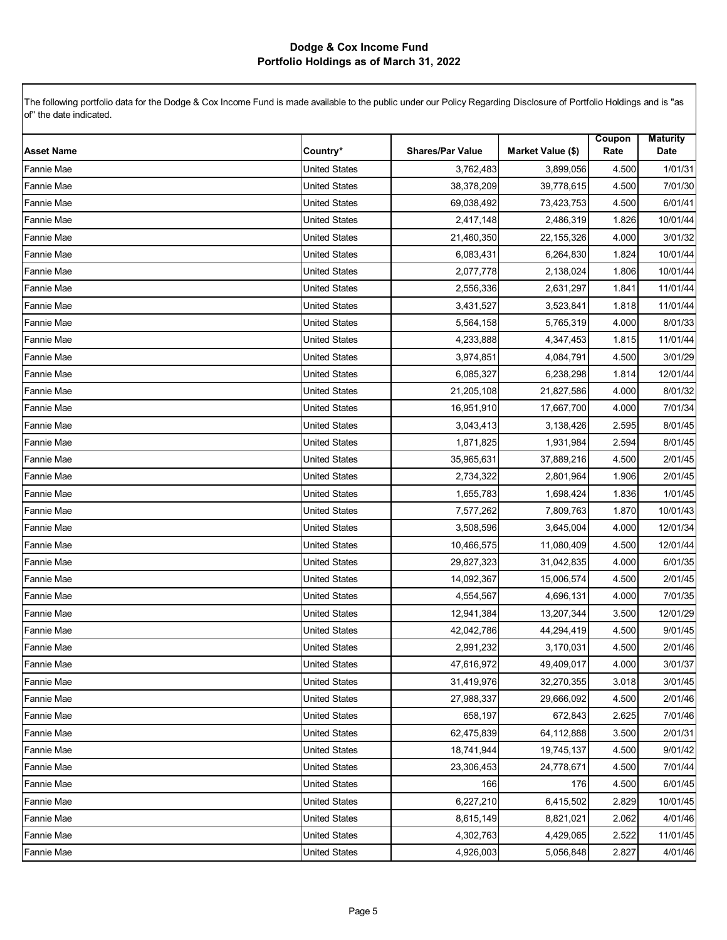| <b>Asset Name</b> | Country*             | <b>Shares/Par Value</b> | Market Value (\$) | Coupon<br>Rate | <b>Maturity</b><br>Date |
|-------------------|----------------------|-------------------------|-------------------|----------------|-------------------------|
| Fannie Mae        | <b>United States</b> | 3,762,483               | 3,899,056         | 4.500          | 1/01/31                 |
| Fannie Mae        | <b>United States</b> | 38,378,209              | 39,778,615        | 4.500          | 7/01/30                 |
| Fannie Mae        | <b>United States</b> | 69,038,492              | 73,423,753        | 4.500          | 6/01/41                 |
| Fannie Mae        | <b>United States</b> | 2,417,148               | 2,486,319         | 1.826          | 10/01/44                |
| Fannie Mae        | <b>United States</b> | 21,460,350              | 22,155,326        | 4.000          | 3/01/32                 |
| Fannie Mae        | <b>United States</b> | 6,083,431               | 6,264,830         | 1.824          | 10/01/44                |
| Fannie Mae        | <b>United States</b> | 2,077,778               | 2,138,024         | 1.806          | 10/01/44                |
| Fannie Mae        | <b>United States</b> | 2,556,336               | 2,631,297         | 1.841          | 11/01/44                |
| <b>Fannie Mae</b> | <b>United States</b> | 3,431,527               | 3,523,841         | 1.818          | 11/01/44                |
| <b>Fannie Mae</b> | <b>United States</b> | 5,564,158               | 5,765,319         | 4.000          | 8/01/33                 |
| Fannie Mae        | <b>United States</b> | 4,233,888               | 4,347,453         | 1.815          | 11/01/44                |
| Fannie Mae        | <b>United States</b> | 3,974,851               | 4,084,791         | 4.500          | 3/01/29                 |
| Fannie Mae        | <b>United States</b> | 6,085,327               | 6,238,298         | 1.814          | 12/01/44                |
| Fannie Mae        | <b>United States</b> | 21,205,108              | 21,827,586        | 4.000          | 8/01/32                 |
| Fannie Mae        | <b>United States</b> | 16,951,910              | 17,667,700        | 4.000          | 7/01/34                 |
| Fannie Mae        | <b>United States</b> | 3,043,413               | 3,138,426         | 2.595          | 8/01/45                 |
| Fannie Mae        | <b>United States</b> | 1,871,825               | 1,931,984         | 2.594          | 8/01/45                 |
| Fannie Mae        | <b>United States</b> | 35,965,631              | 37,889,216        | 4.500          | 2/01/45                 |
| <b>Fannie Mae</b> | <b>United States</b> | 2,734,322               | 2,801,964         | 1.906          | 2/01/45                 |
| <b>Fannie Mae</b> | <b>United States</b> | 1,655,783               | 1,698,424         | 1.836          | 1/01/45                 |
| Fannie Mae        | <b>United States</b> | 7,577,262               | 7,809,763         | 1.870          | 10/01/43                |
| Fannie Mae        | <b>United States</b> | 3,508,596               | 3,645,004         | 4.000          | 12/01/34                |
| Fannie Mae        | <b>United States</b> | 10,466,575              | 11,080,409        | 4.500          | 12/01/44                |
| Fannie Mae        | <b>United States</b> | 29,827,323              | 31,042,835        | 4.000          | 6/01/35                 |
| Fannie Mae        | <b>United States</b> | 14,092,367              | 15,006,574        | 4.500          | 2/01/45                 |
| Fannie Mae        | <b>United States</b> | 4,554,567               | 4,696,131         | 4.000          | 7/01/35                 |
| Fannie Mae        | <b>United States</b> | 12,941,384              | 13,207,344        | 3.500          | 12/01/29                |
| Fannie Mae        | <b>United States</b> | 42,042,786              | 44,294,419        | 4.500          | 9/01/45                 |
| <b>Fannie Mae</b> | <b>United States</b> | 2,991,232               | 3,170,031         | 4.500          | 2/01/46                 |
| Fannie Mae        | <b>United States</b> | 47,616,972              | 49,409,017        | 4.000          | 3/01/37                 |
| <b>Fannie Mae</b> | <b>United States</b> | 31,419,976              | 32,270,355        | 3.018          | 3/01/45                 |
| <b>Fannie Mae</b> | <b>United States</b> | 27,988,337              | 29,666,092        | 4.500          | 2/01/46                 |
| <b>Fannie Mae</b> | <b>United States</b> | 658,197                 | 672,843           | 2.625          | 7/01/46                 |
| <b>Fannie Mae</b> | <b>United States</b> | 62,475,839              | 64,112,888        | 3.500          | 2/01/31                 |
| <b>Fannie Mae</b> | <b>United States</b> | 18,741,944              | 19,745,137        | 4.500          | 9/01/42                 |
| <b>Fannie Mae</b> | <b>United States</b> | 23,306,453              | 24,778,671        | 4.500          | 7/01/44                 |
| Fannie Mae        | <b>United States</b> | 166                     | 176               | 4.500          | 6/01/45                 |
| Fannie Mae        | <b>United States</b> | 6,227,210               | 6,415,502         | 2.829          | 10/01/45                |
| <b>Fannie Mae</b> | <b>United States</b> | 8,615,149               | 8,821,021         | 2.062          | 4/01/46                 |
| Fannie Mae        | <b>United States</b> | 4,302,763               | 4,429,065         | 2.522          | 11/01/45                |
| <b>Fannie Mae</b> | <b>United States</b> | 4,926,003               | 5,056,848         | 2.827          | 4/01/46                 |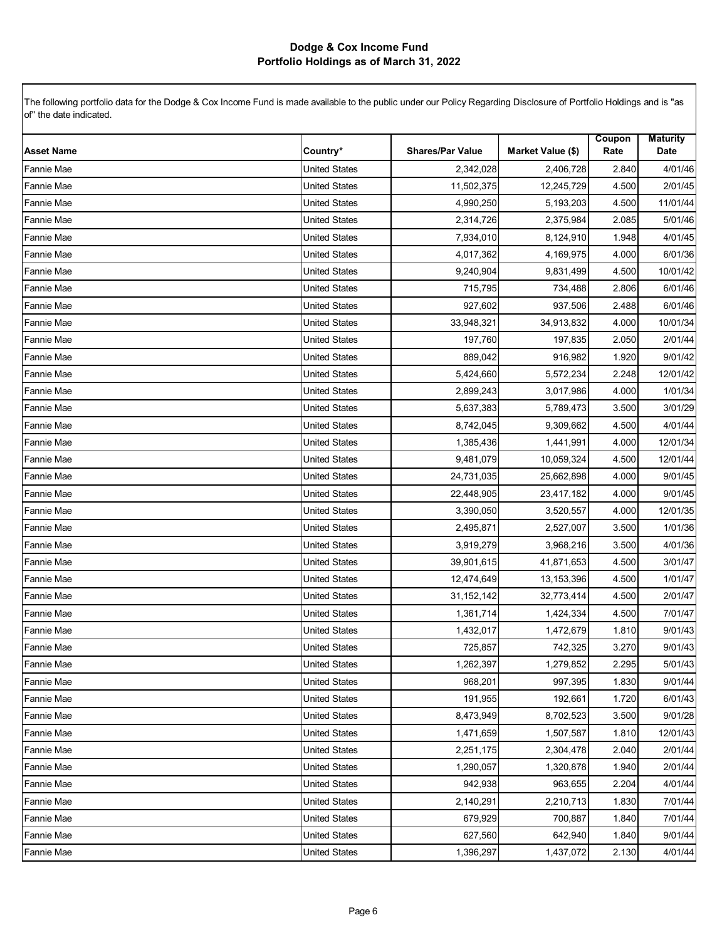| <b>Asset Name</b> | Country*             | <b>Shares/Par Value</b> | Market Value (\$) | Coupon<br>Rate | <b>Maturity</b><br>Date |
|-------------------|----------------------|-------------------------|-------------------|----------------|-------------------------|
| Fannie Mae        | <b>United States</b> | 2,342,028               | 2,406,728         | 2.840          | 4/01/46                 |
| Fannie Mae        | <b>United States</b> | 11,502,375              | 12,245,729        | 4.500          | 2/01/45                 |
| <b>Fannie Mae</b> | <b>United States</b> | 4,990,250               | 5,193,203         | 4.500          | 11/01/44                |
| Fannie Mae        | <b>United States</b> | 2,314,726               | 2,375,984         | 2.085          | 5/01/46                 |
| Fannie Mae        | <b>United States</b> | 7,934,010               | 8,124,910         | 1.948          | 4/01/45                 |
| Fannie Mae        | <b>United States</b> | 4,017,362               | 4,169,975         | 4.000          | 6/01/36                 |
| Fannie Mae        | <b>United States</b> | 9,240,904               | 9,831,499         | 4.500          | 10/01/42                |
| Fannie Mae        | <b>United States</b> | 715,795                 | 734,488           | 2.806          | 6/01/46                 |
| <b>Fannie Mae</b> | <b>United States</b> | 927,602                 | 937,506           | 2.488          | 6/01/46                 |
| <b>Fannie Mae</b> | <b>United States</b> | 33,948,321              | 34,913,832        | 4.000          | 10/01/34                |
| Fannie Mae        | <b>United States</b> | 197,760                 | 197,835           | 2.050          | 2/01/44                 |
| Fannie Mae        | <b>United States</b> | 889,042                 | 916,982           | 1.920          | 9/01/42                 |
| Fannie Mae        | <b>United States</b> | 5,424,660               | 5,572,234         | 2.248          | 12/01/42                |
| Fannie Mae        | <b>United States</b> | 2,899,243               | 3,017,986         | 4.000          | 1/01/34                 |
| Fannie Mae        | <b>United States</b> | 5,637,383               | 5,789,473         | 3.500          | 3/01/29                 |
| Fannie Mae        | <b>United States</b> | 8,742,045               | 9,309,662         | 4.500          | 4/01/44                 |
| Fannie Mae        | <b>United States</b> | 1,385,436               | 1,441,991         | 4.000          | 12/01/34                |
| Fannie Mae        | <b>United States</b> | 9,481,079               | 10,059,324        | 4.500          | 12/01/44                |
| <b>Fannie Mae</b> | <b>United States</b> | 24,731,035              | 25,662,898        | 4.000          | 9/01/45                 |
| <b>Fannie Mae</b> | <b>United States</b> | 22,448,905              | 23,417,182        | 4.000          | 9/01/45                 |
| Fannie Mae        | <b>United States</b> | 3,390,050               | 3,520,557         | 4.000          | 12/01/35                |
| Fannie Mae        | <b>United States</b> | 2,495,871               | 2,527,007         | 3.500          | 1/01/36                 |
| Fannie Mae        | <b>United States</b> | 3,919,279               | 3,968,216         | 3.500          | 4/01/36                 |
| Fannie Mae        | <b>United States</b> | 39,901,615              | 41,871,653        | 4.500          | 3/01/47                 |
| Fannie Mae        | <b>United States</b> | 12,474,649              | 13,153,396        | 4.500          | 1/01/47                 |
| Fannie Mae        | <b>United States</b> | 31,152,142              | 32,773,414        | 4.500          | 2/01/47                 |
| Fannie Mae        | <b>United States</b> | 1,361,714               | 1,424,334         | 4.500          | 7/01/47                 |
| Fannie Mae        | <b>United States</b> | 1,432,017               | 1,472,679         | 1.810          | 9/01/43                 |
| Fannie Mae        | <b>United States</b> | 725,857                 | 742,325           | 3.270          | 9/01/43                 |
| Fannie Mae        | United States        | 1,262,397               | 1,279,852         | 2.295          | 5/01/43                 |
| <b>Fannie Mae</b> | <b>United States</b> | 968,201                 | 997,395           | 1.830          | 9/01/44                 |
| <b>Fannie Mae</b> | <b>United States</b> | 191,955                 | 192,661           | 1.720          | 6/01/43                 |
| <b>Fannie Mae</b> | <b>United States</b> | 8,473,949               | 8,702,523         | 3.500          | 9/01/28                 |
| <b>Fannie Mae</b> | <b>United States</b> | 1,471,659               | 1,507,587         | 1.810          | 12/01/43                |
| <b>Fannie Mae</b> | <b>United States</b> | 2,251,175               | 2,304,478         | 2.040          | 2/01/44                 |
| <b>Fannie Mae</b> | <b>United States</b> | 1,290,057               | 1,320,878         | 1.940          | 2/01/44                 |
| Fannie Mae        | <b>United States</b> | 942,938                 | 963,655           | 2.204          | 4/01/44                 |
| <b>Fannie Mae</b> | <b>United States</b> | 2,140,291               | 2,210,713         | 1.830          | 7/01/44                 |
| <b>Fannie Mae</b> | <b>United States</b> | 679,929                 | 700,887           | 1.840          | 7/01/44                 |
| Fannie Mae        | <b>United States</b> | 627,560                 | 642,940           | 1.840          | 9/01/44                 |
| Fannie Mae        | <b>United States</b> | 1,396,297               | 1,437,072         | 2.130          | 4/01/44                 |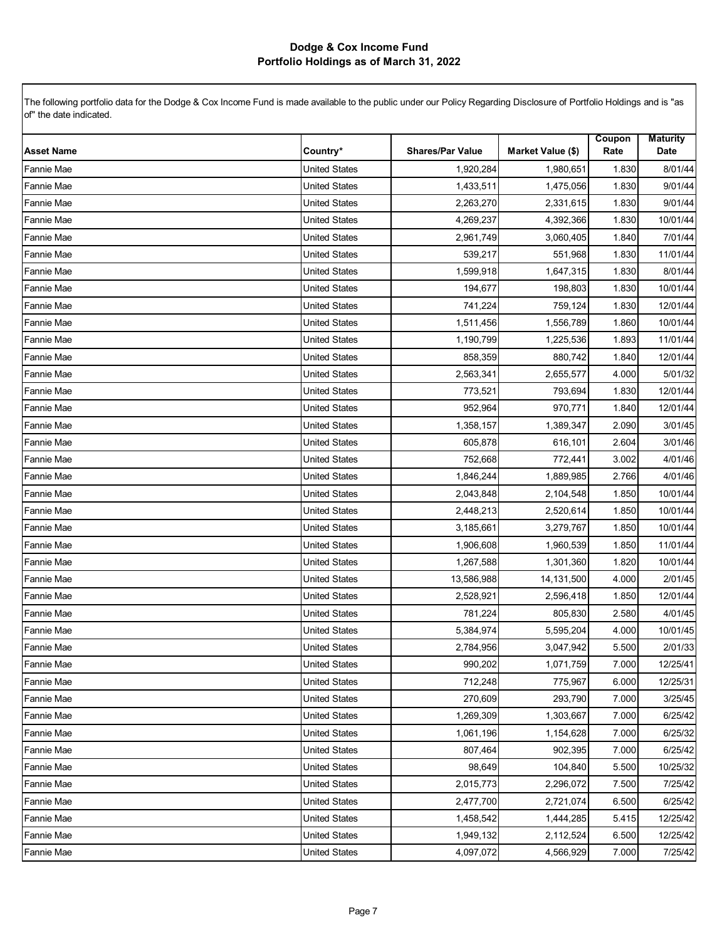| <b>Asset Name</b> | Country*             | <b>Shares/Par Value</b> | Market Value (\$) | Coupon<br>Rate | <b>Maturity</b><br>Date |
|-------------------|----------------------|-------------------------|-------------------|----------------|-------------------------|
| Fannie Mae        | <b>United States</b> | 1,920,284               | 1,980,651         | 1.830          | 8/01/44                 |
| Fannie Mae        | <b>United States</b> | 1,433,511               | 1,475,056         | 1.830          | 9/01/44                 |
| <b>Fannie Mae</b> | <b>United States</b> | 2,263,270               | 2,331,615         | 1.830          | 9/01/44                 |
| Fannie Mae        | <b>United States</b> | 4,269,237               | 4,392,366         | 1.830          | 10/01/44                |
| Fannie Mae        | <b>United States</b> | 2,961,749               | 3,060,405         | 1.840          | 7/01/44                 |
| Fannie Mae        | <b>United States</b> | 539,217                 | 551,968           | 1.830          | 11/01/44                |
| Fannie Mae        | <b>United States</b> | 1,599,918               | 1,647,315         | 1.830          | 8/01/44                 |
| Fannie Mae        | <b>United States</b> | 194,677                 | 198,803           | 1.830          | 10/01/44                |
| <b>Fannie Mae</b> | <b>United States</b> | 741,224                 | 759,124           | 1.830          | 12/01/44                |
| <b>Fannie Mae</b> | <b>United States</b> | 1,511,456               | 1,556,789         | 1.860          | 10/01/44                |
| Fannie Mae        | <b>United States</b> | 1,190,799               | 1,225,536         | 1.893          | 11/01/44                |
| Fannie Mae        | <b>United States</b> | 858,359                 | 880,742           | 1.840          | 12/01/44                |
| Fannie Mae        | <b>United States</b> | 2,563,341               | 2,655,577         | 4.000          | 5/01/32                 |
| Fannie Mae        | <b>United States</b> | 773,521                 | 793,694           | 1.830          | 12/01/44                |
| Fannie Mae        | <b>United States</b> | 952,964                 | 970,771           | 1.840          | 12/01/44                |
| Fannie Mae        | <b>United States</b> | 1,358,157               | 1,389,347         | 2.090          | 3/01/45                 |
| Fannie Mae        | <b>United States</b> | 605,878                 | 616,101           | 2.604          | 3/01/46                 |
| Fannie Mae        | <b>United States</b> | 752,668                 | 772,441           | 3.002          | 4/01/46                 |
| <b>Fannie Mae</b> | <b>United States</b> | 1,846,244               | 1,889,985         | 2.766          | 4/01/46                 |
| <b>Fannie Mae</b> | <b>United States</b> | 2,043,848               | 2,104,548         | 1.850          | 10/01/44                |
| Fannie Mae        | <b>United States</b> | 2,448,213               | 2,520,614         | 1.850          | 10/01/44                |
| Fannie Mae        | <b>United States</b> | 3,185,661               | 3,279,767         | 1.850          | 10/01/44                |
| Fannie Mae        | <b>United States</b> | 1,906,608               | 1,960,539         | 1.850          | 11/01/44                |
| Fannie Mae        | <b>United States</b> | 1,267,588               | 1,301,360         | 1.820          | 10/01/44                |
| Fannie Mae        | <b>United States</b> | 13,586,988              | 14,131,500        | 4.000          | 2/01/45                 |
| Fannie Mae        | <b>United States</b> | 2,528,921               | 2,596,418         | 1.850          | 12/01/44                |
| Fannie Mae        | <b>United States</b> | 781,224                 | 805,830           | 2.580          | 4/01/45                 |
| Fannie Mae        | <b>United States</b> | 5,384,974               | 5,595,204         | 4.000          | 10/01/45                |
| Fannie Mae        | <b>United States</b> | 2,784,956               | 3,047,942         | 5.500          | 2/01/33                 |
| Fannie Mae        | <b>United States</b> | 990,202                 | 1,071,759         | 7.000          | 12/25/41                |
| <b>Fannie Mae</b> | <b>United States</b> | 712,248                 | 775,967           | 6.000          | 12/25/31                |
| <b>Fannie Mae</b> | <b>United States</b> | 270,609                 | 293,790           | 7.000          | 3/25/45                 |
| <b>Fannie Mae</b> | <b>United States</b> | 1,269,309               | 1,303,667         | 7.000          | 6/25/42                 |
| <b>Fannie Mae</b> | <b>United States</b> | 1,061,196               | 1,154,628         | 7.000          | 6/25/32                 |
| <b>Fannie Mae</b> | <b>United States</b> | 807,464                 | 902,395           | 7.000          | 6/25/42                 |
| <b>Fannie Mae</b> | <b>United States</b> | 98,649                  | 104,840           | 5.500          | 10/25/32                |
| <b>Fannie Mae</b> | <b>United States</b> | 2,015,773               | 2,296,072         | 7.500          | 7/25/42                 |
| <b>Fannie Mae</b> | <b>United States</b> | 2,477,700               | 2,721,074         | 6.500          | 6/25/42                 |
| <b>Fannie Mae</b> | <b>United States</b> | 1,458,542               | 1,444,285         | 5.415          | 12/25/42                |
| Fannie Mae        | <b>United States</b> | 1,949,132               | 2,112,524         | 6.500          | 12/25/42                |
| Fannie Mae        | <b>United States</b> | 4,097,072               | 4,566,929         | 7.000          | 7/25/42                 |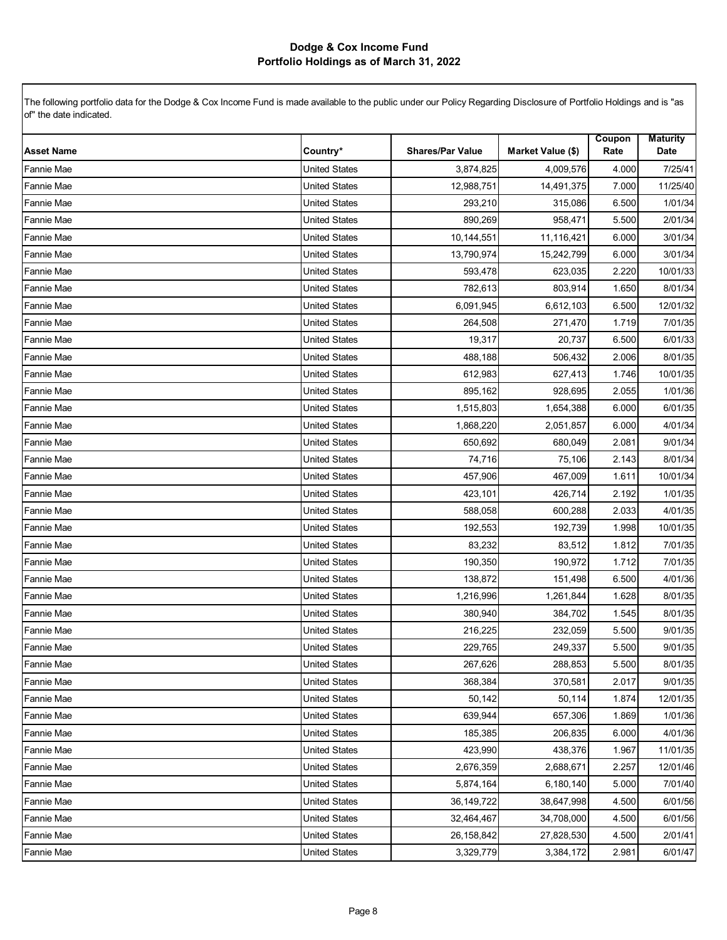| <b>Asset Name</b> | Country*             | <b>Shares/Par Value</b> | Market Value (\$) | Coupon<br>Rate | <b>Maturity</b><br>Date |
|-------------------|----------------------|-------------------------|-------------------|----------------|-------------------------|
| <b>Fannie Mae</b> | <b>United States</b> | 3,874,825               | 4,009,576         | 4.000          | 7/25/41                 |
| Fannie Mae        | <b>United States</b> | 12,988,751              | 14,491,375        | 7.000          | 11/25/40                |
| Fannie Mae        | <b>United States</b> | 293,210                 | 315,086           | 6.500          | 1/01/34                 |
| Fannie Mae        | <b>United States</b> | 890,269                 | 958,471           | 5.500          | 2/01/34                 |
| Fannie Mae        | <b>United States</b> | 10,144,551              | 11,116,421        | 6.000          | 3/01/34                 |
| Fannie Mae        | <b>United States</b> | 13,790,974              | 15,242,799        | 6.000          | 3/01/34                 |
| Fannie Mae        | <b>United States</b> | 593,478                 | 623,035           | 2.220          | 10/01/33                |
| Fannie Mae        | <b>United States</b> | 782,613                 | 803,914           | 1.650          | 8/01/34                 |
| <b>Fannie Mae</b> | <b>United States</b> | 6,091,945               | 6,612,103         | 6.500          | 12/01/32                |
| <b>Fannie Mae</b> | <b>United States</b> | 264,508                 | 271,470           | 1.719          | 7/01/35                 |
| Fannie Mae        | <b>United States</b> | 19,317                  | 20,737            | 6.500          | 6/01/33                 |
| Fannie Mae        | <b>United States</b> | 488,188                 | 506,432           | 2.006          | 8/01/35                 |
| Fannie Mae        | <b>United States</b> | 612,983                 | 627,413           | 1.746          | 10/01/35                |
| Fannie Mae        | <b>United States</b> | 895,162                 | 928,695           | 2.055          | 1/01/36                 |
| Fannie Mae        | <b>United States</b> | 1,515,803               | 1,654,388         | 6.000          | 6/01/35                 |
| Fannie Mae        | <b>United States</b> | 1,868,220               | 2,051,857         | 6.000          | 4/01/34                 |
| Fannie Mae        | <b>United States</b> | 650,692                 | 680,049           | 2.081          | 9/01/34                 |
| Fannie Mae        | <b>United States</b> | 74,716                  | 75,106            | 2.143          | 8/01/34                 |
| <b>Fannie Mae</b> | <b>United States</b> | 457,906                 | 467,009           | 1.611          | 10/01/34                |
| <b>Fannie Mae</b> | <b>United States</b> | 423,101                 | 426,714           | 2.192          | 1/01/35                 |
| Fannie Mae        | <b>United States</b> | 588,058                 | 600,288           | 2.033          | 4/01/35                 |
| Fannie Mae        | <b>United States</b> | 192,553                 | 192,739           | 1.998          | 10/01/35                |
| Fannie Mae        | <b>United States</b> | 83,232                  | 83,512            | 1.812          | 7/01/35                 |
| Fannie Mae        | <b>United States</b> | 190,350                 | 190,972           | 1.712          | 7/01/35                 |
| Fannie Mae        | <b>United States</b> | 138,872                 | 151,498           | 6.500          | 4/01/36                 |
| Fannie Mae        | <b>United States</b> | 1,216,996               | 1,261,844         | 1.628          | 8/01/35                 |
| Fannie Mae        | <b>United States</b> | 380,940                 | 384,702           | 1.545          | 8/01/35                 |
| Fannie Mae        | <b>United States</b> | 216,225                 | 232,059           | 5.500          | 9/01/35                 |
| <b>Fannie Mae</b> | <b>United States</b> | 229,765                 | 249,337           | 5.500          | 9/01/35                 |
| Fannie Mae        | <b>United States</b> | 267,626                 | 288,853           | 5.500          | 8/01/35                 |
| <b>Fannie Mae</b> | <b>United States</b> | 368,384                 | 370,581           | 2.017          | 9/01/35                 |
| <b>Fannie Mae</b> | <b>United States</b> | 50,142                  | 50,114            | 1.874          | 12/01/35                |
| <b>Fannie Mae</b> | <b>United States</b> | 639.944                 | 657,306           | 1.869          | 1/01/36                 |
| <b>Fannie Mae</b> | <b>United States</b> | 185,385                 | 206.835           | 6.000          | 4/01/36                 |
| <b>Fannie Mae</b> | <b>United States</b> | 423,990                 | 438,376           | 1.967          | 11/01/35                |
| <b>Fannie Mae</b> | <b>United States</b> | 2,676,359               | 2,688,671         | 2.257          | 12/01/46                |
| Fannie Mae        | <b>United States</b> | 5,874,164               | 6,180,140         | 5.000          | 7/01/40                 |
| Fannie Mae        | <b>United States</b> | 36, 149, 722            | 38,647,998        | 4.500          | 6/01/56                 |
| <b>Fannie Mae</b> | <b>United States</b> | 32,464,467              | 34,708,000        | 4.500          | 6/01/56                 |
| Fannie Mae        | <b>United States</b> | 26,158,842              | 27,828,530        | 4.500          | 2/01/41                 |
| <b>Fannie Mae</b> | <b>United States</b> | 3,329,779               | 3,384,172         | 2.981          | 6/01/47                 |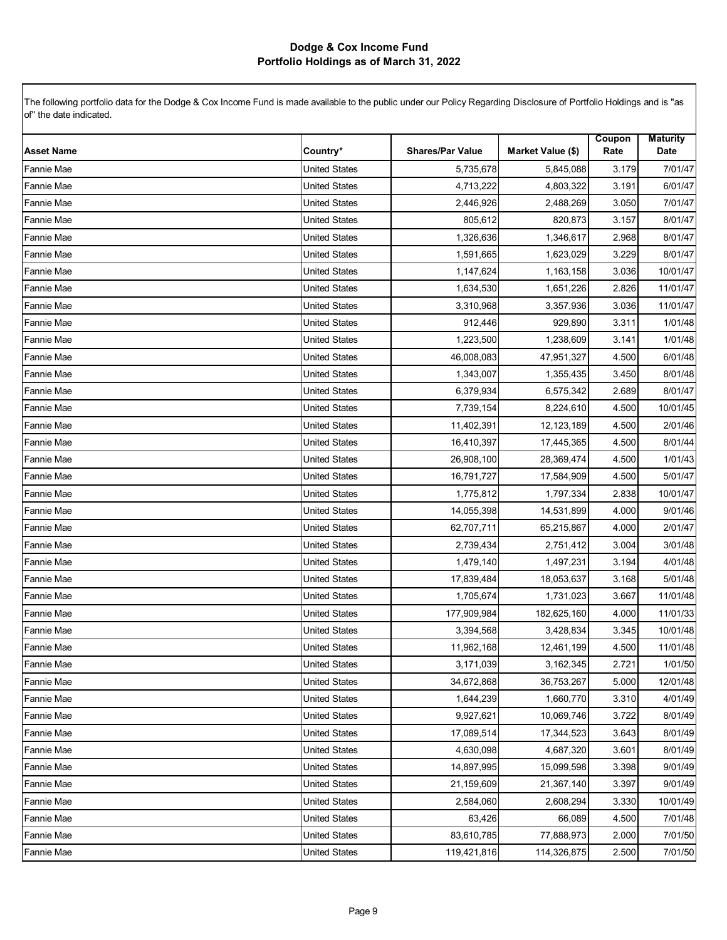| <b>Asset Name</b> | Country*             | <b>Shares/Par Value</b> | Market Value (\$) | Coupon<br>Rate | <b>Maturity</b><br>Date |
|-------------------|----------------------|-------------------------|-------------------|----------------|-------------------------|
| <b>Fannie Mae</b> | <b>United States</b> | 5,735,678               | 5,845,088         | 3.179          | 7/01/47                 |
| Fannie Mae        | <b>United States</b> | 4,713,222               | 4,803,322         | 3.191          | 6/01/47                 |
| Fannie Mae        | <b>United States</b> | 2,446,926               | 2,488,269         | 3.050          | 7/01/47                 |
| Fannie Mae        | <b>United States</b> | 805,612                 | 820,873           | 3.157          | 8/01/47                 |
| Fannie Mae        | <b>United States</b> | 1,326,636               | 1,346,617         | 2.968          | 8/01/47                 |
| Fannie Mae        | <b>United States</b> | 1,591,665               | 1,623,029         | 3.229          | 8/01/47                 |
| Fannie Mae        | <b>United States</b> | 1,147,624               | 1,163,158         | 3.036          | 10/01/47                |
| Fannie Mae        | <b>United States</b> | 1,634,530               | 1,651,226         | 2.826          | 11/01/47                |
| Fannie Mae        | <b>United States</b> | 3,310,968               | 3,357,936         | 3.036          | 11/01/47                |
| Fannie Mae        | <b>United States</b> | 912,446                 | 929,890           | 3.311          | 1/01/48                 |
| Fannie Mae        | <b>United States</b> | 1,223,500               | 1,238,609         | 3.141          | 1/01/48                 |
| Fannie Mae        | <b>United States</b> | 46,008,083              | 47,951,327        | 4.500          | 6/01/48                 |
| Fannie Mae        | <b>United States</b> | 1,343,007               | 1,355,435         | 3.450          | 8/01/48                 |
| Fannie Mae        | <b>United States</b> | 6,379,934               | 6,575,342         | 2.689          | 8/01/47                 |
| <b>Fannie Mae</b> | <b>United States</b> | 7,739,154               | 8,224,610         | 4.500          | 10/01/45                |
| Fannie Mae        | <b>United States</b> | 11,402,391              | 12,123,189        | 4.500          | 2/01/46                 |
| Fannie Mae        | <b>United States</b> | 16,410,397              | 17,445,365        | 4.500          | 8/01/44                 |
| Fannie Mae        | <b>United States</b> | 26,908,100              | 28,369,474        | 4.500          | 1/01/43                 |
| Fannie Mae        | <b>United States</b> | 16,791,727              | 17,584,909        | 4.500          | 5/01/47                 |
| Fannie Mae        | <b>United States</b> | 1,775,812               | 1,797,334         | 2.838          | 10/01/47                |
| Fannie Mae        | <b>United States</b> | 14,055,398              | 14,531,899        | 4.000          | 9/01/46                 |
| Fannie Mae        | <b>United States</b> | 62,707,711              | 65,215,867        | 4.000          | 2/01/47                 |
| Fannie Mae        | <b>United States</b> | 2,739,434               | 2,751,412         | 3.004          | 3/01/48                 |
| Fannie Mae        | <b>United States</b> | 1,479,140               | 1,497,231         | 3.194          | 4/01/48                 |
| Fannie Mae        | <b>United States</b> | 17,839,484              | 18,053,637        | 3.168          | 5/01/48                 |
| Fannie Mae        | <b>United States</b> | 1,705,674               | 1,731,023         | 3.667          | 11/01/48                |
| Fannie Mae        | <b>United States</b> | 177,909,984             | 182,625,160       | 4.000          | 11/01/33                |
| Fannie Mae        | <b>United States</b> | 3,394,568               | 3,428,834         | 3.345          | 10/01/48                |
| <b>Fannie Mae</b> | <b>United States</b> | 11,962,168              | 12,461,199        | 4.500          | 11/01/48                |
| <b>Fannie Mae</b> | United States        | 3,171,039               | 3,162,345         | 2.721          | 1/01/50                 |
| <b>Fannie Mae</b> | <b>United States</b> | 34,672,868              | 36,753,267        | 5.000          | 12/01/48                |
| <b>Fannie Mae</b> | <b>United States</b> | 1,644,239               | 1,660,770         | 3.310          | 4/01/49                 |
| <b>Fannie Mae</b> | <b>United States</b> | 9,927,621               | 10,069,746        | 3.722          | 8/01/49                 |
| <b>Fannie Mae</b> | <b>United States</b> | 17,089,514              | 17,344,523        | 3.643          | 8/01/49                 |
| <b>Fannie Mae</b> | <b>United States</b> | 4,630,098               | 4,687,320         | 3.601          | 8/01/49                 |
| <b>Fannie Mae</b> | <b>United States</b> | 14,897,995              | 15,099,598        | 3.398          | 9/01/49                 |
| Fannie Mae        | <b>United States</b> | 21,159,609              | 21,367,140        | 3.397          | 9/01/49                 |
| Fannie Mae        | <b>United States</b> | 2,584,060               | 2,608,294         | 3.330          | 10/01/49                |
| Fannie Mae        | <b>United States</b> | 63,426                  | 66,089            | 4.500          | 7/01/48                 |
| Fannie Mae        | <b>United States</b> | 83,610,785              | 77,888,973        | 2.000          | 7/01/50                 |
| <b>Fannie Mae</b> | <b>United States</b> | 119,421,816             | 114,326,875       | 2.500          | 7/01/50                 |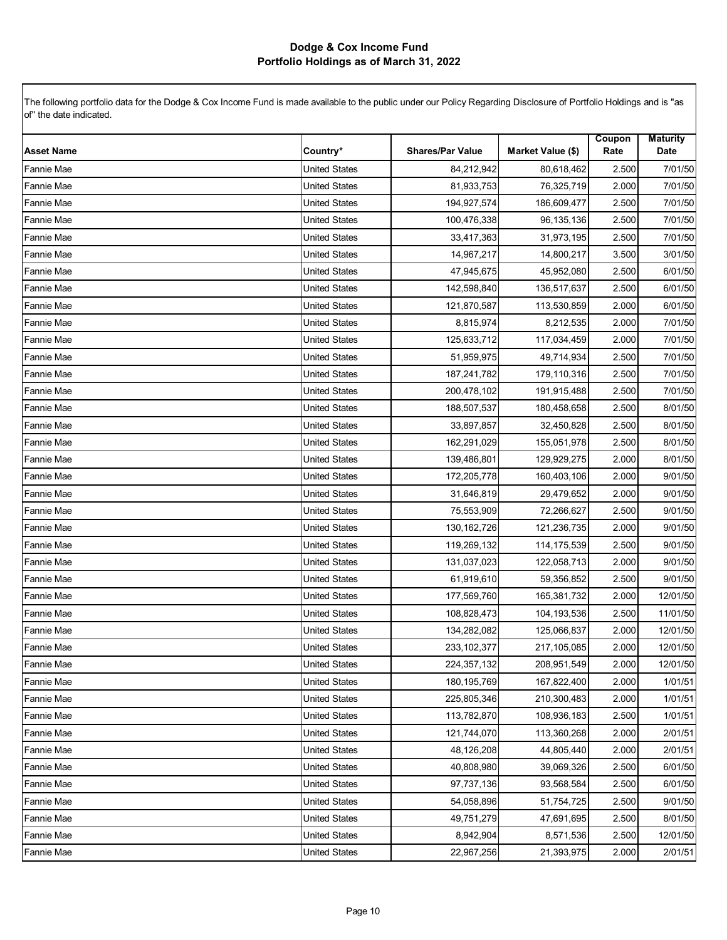| <b>Asset Name</b> | Country*             | <b>Shares/Par Value</b> | Market Value (\$) | Coupon<br>Rate | <b>Maturity</b><br>Date |
|-------------------|----------------------|-------------------------|-------------------|----------------|-------------------------|
| Fannie Mae        | <b>United States</b> | 84,212,942              | 80,618,462        | 2.500          | 7/01/50                 |
| Fannie Mae        | <b>United States</b> | 81,933,753              | 76,325,719        | 2.000          | 7/01/50                 |
| Fannie Mae        | <b>United States</b> | 194,927,574             | 186,609,477       | 2.500          | 7/01/50                 |
| Fannie Mae        | <b>United States</b> | 100,476,338             | 96,135,136        | 2.500          | 7/01/50                 |
| Fannie Mae        | <b>United States</b> | 33,417,363              | 31,973,195        | 2.500          | 7/01/50                 |
| Fannie Mae        | <b>United States</b> | 14,967,217              | 14,800,217        | 3.500          | 3/01/50                 |
| Fannie Mae        | <b>United States</b> | 47,945,675              | 45,952,080        | 2.500          | 6/01/50                 |
| Fannie Mae        | <b>United States</b> | 142,598,840             | 136,517,637       | 2.500          | 6/01/50                 |
| Fannie Mae        | <b>United States</b> | 121,870,587             | 113,530,859       | 2.000          | 6/01/50                 |
| Fannie Mae        | <b>United States</b> | 8,815,974               | 8,212,535         | 2.000          | 7/01/50                 |
| Fannie Mae        | <b>United States</b> | 125,633,712             | 117,034,459       | 2.000          | 7/01/50                 |
| Fannie Mae        | <b>United States</b> | 51,959,975              | 49,714,934        | 2.500          | 7/01/50                 |
| Fannie Mae        | <b>United States</b> | 187,241,782             | 179,110,316       | 2.500          | 7/01/50                 |
| <b>Fannie Mae</b> | <b>United States</b> | 200,478,102             | 191,915,488       | 2.500          | 7/01/50                 |
| Fannie Mae        | <b>United States</b> | 188,507,537             | 180,458,658       | 2.500          | 8/01/50                 |
| Fannie Mae        | <b>United States</b> | 33,897,857              | 32,450,828        | 2.500          | 8/01/50                 |
| Fannie Mae        | <b>United States</b> | 162,291,029             | 155,051,978       | 2.500          | 8/01/50                 |
| Fannie Mae        | <b>United States</b> | 139,486,801             | 129,929,275       | 2.000          | 8/01/50                 |
| Fannie Mae        | <b>United States</b> | 172,205,778             | 160,403,106       | 2.000          | 9/01/50                 |
| Fannie Mae        | <b>United States</b> | 31,646,819              | 29,479,652        | 2.000          | 9/01/50                 |
| Fannie Mae        | <b>United States</b> | 75,553,909              | 72,266,627        | 2.500          | 9/01/50                 |
| Fannie Mae        | <b>United States</b> | 130, 162, 726           | 121,236,735       | 2.000          | 9/01/50                 |
| Fannie Mae        | <b>United States</b> | 119,269,132             | 114,175,539       | 2.500          | 9/01/50                 |
| Fannie Mae        | <b>United States</b> | 131,037,023             | 122,058,713       | 2.000          | 9/01/50                 |
| Fannie Mae        | <b>United States</b> | 61,919,610              | 59,356,852        | 2.500          | 9/01/50                 |
| Fannie Mae        | <b>United States</b> | 177,569,760             | 165,381,732       | 2.000          | 12/01/50                |
| Fannie Mae        | <b>United States</b> | 108,828,473             | 104,193,536       | 2.500          | 11/01/50                |
| Fannie Mae        | <b>United States</b> | 134,282,082             | 125,066,837       | 2.000          | 12/01/50                |
| Fannie Mae        | <b>United States</b> | 233, 102, 377           | 217,105,085       | 2.000          | 12/01/50                |
| Fannie Mae        | <b>United States</b> | 224,357,132             | 208,951,549       | 2.000          | 12/01/50                |
| <b>Fannie Mae</b> | <b>United States</b> | 180, 195, 769           | 167,822,400       | 2.000          | 1/01/51                 |
| <b>Fannie Mae</b> | <b>United States</b> | 225,805,346             | 210,300,483       | 2.000          | 1/01/51                 |
| <b>Fannie Mae</b> | <b>United States</b> | 113,782,870             | 108,936,183       | 2.500          | 1/01/51                 |
| <b>Fannie Mae</b> | United States        | 121,744,070             | 113,360,268       | 2.000          | 2/01/51                 |
| Fannie Mae        | United States        | 48,126,208              | 44,805,440        | 2.000          | 2/01/51                 |
| <b>Fannie Mae</b> | United States        | 40,808,980              | 39,069,326        | 2.500          | 6/01/50                 |
| <b>Fannie Mae</b> | <b>United States</b> | 97,737,136              | 93,568,584        | 2.500          | 6/01/50                 |
| Fannie Mae        | <b>United States</b> | 54,058,896              | 51,754,725        | 2.500          | 9/01/50                 |
| Fannie Mae        | <b>United States</b> | 49,751,279              | 47,691,695        | 2.500          | 8/01/50                 |
| Fannie Mae        | United States        | 8,942,904               | 8,571,536         | 2.500          | 12/01/50                |
| Fannie Mae        | <b>United States</b> | 22,967,256              | 21,393,975        | 2.000          | 2/01/51                 |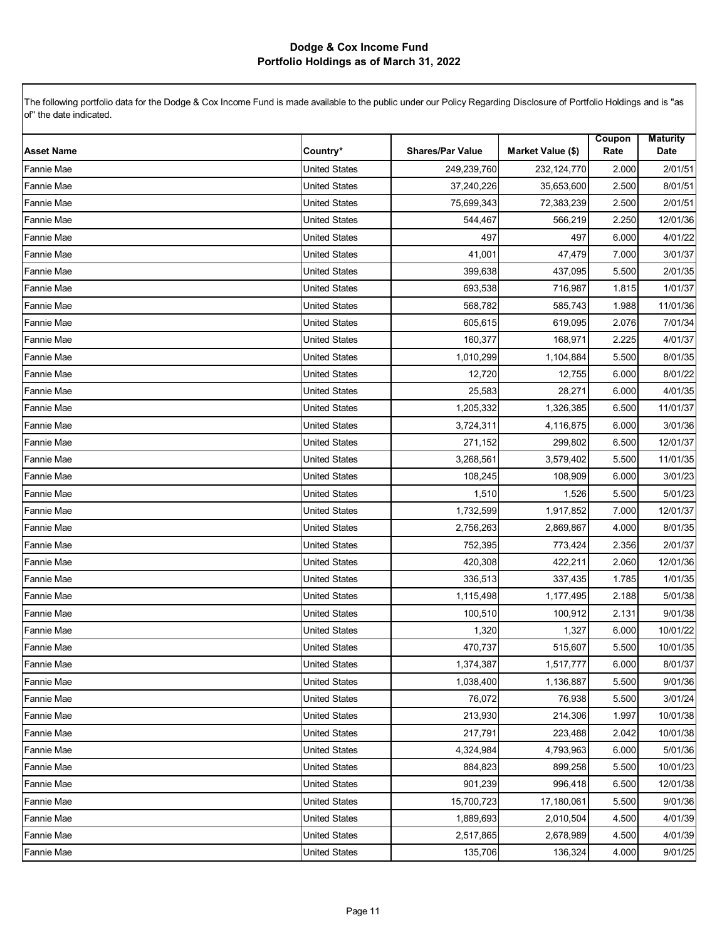| <b>Asset Name</b> | Country*             | <b>Shares/Par Value</b> | Market Value (\$) | Coupon<br>Rate | <b>Maturity</b><br>Date |
|-------------------|----------------------|-------------------------|-------------------|----------------|-------------------------|
| Fannie Mae        | <b>United States</b> | 249,239,760             | 232,124,770       | 2.000          | 2/01/51                 |
| Fannie Mae        | <b>United States</b> | 37,240,226              | 35,653,600        | 2.500          | 8/01/51                 |
| <b>Fannie Mae</b> | <b>United States</b> | 75,699,343              | 72,383,239        | 2.500          | 2/01/51                 |
| Fannie Mae        | <b>United States</b> | 544,467                 | 566,219           | 2.250          | 12/01/36                |
| Fannie Mae        | <b>United States</b> | 497                     | 497               | 6.000          | 4/01/22                 |
| Fannie Mae        | <b>United States</b> | 41,001                  | 47,479            | 7.000          | 3/01/37                 |
| Fannie Mae        | <b>United States</b> | 399,638                 | 437,095           | 5.500          | 2/01/35                 |
| <b>Fannie Mae</b> | <b>United States</b> | 693,538                 | 716,987           | 1.815          | 1/01/37                 |
| Fannie Mae        | <b>United States</b> | 568,782                 | 585,743           | 1.988          | 11/01/36                |
| Fannie Mae        | <b>United States</b> | 605,615                 | 619,095           | 2.076          | 7/01/34                 |
| Fannie Mae        | <b>United States</b> | 160,377                 | 168,971           | 2.225          | 4/01/37                 |
| Fannie Mae        | <b>United States</b> | 1,010,299               | 1,104,884         | 5.500          | 8/01/35                 |
| Fannie Mae        | <b>United States</b> | 12,720                  | 12,755            | 6.000          | 8/01/22                 |
| Fannie Mae        | <b>United States</b> | 25,583                  | 28,271            | 6.000          | 4/01/35                 |
| Fannie Mae        | <b>United States</b> | 1,205,332               | 1,326,385         | 6.500          | 11/01/37                |
| <b>Fannie Mae</b> | <b>United States</b> | 3,724,311               | 4,116,875         | 6.000          | 3/01/36                 |
| Fannie Mae        | <b>United States</b> | 271,152                 | 299,802           | 6.500          | 12/01/37                |
| <b>Fannie Mae</b> | <b>United States</b> | 3,268,561               | 3,579,402         | 5.500          | 11/01/35                |
| Fannie Mae        | <b>United States</b> | 108,245                 | 108,909           | 6.000          | 3/01/23                 |
| Fannie Mae        | <b>United States</b> | 1,510                   | 1,526             | 5.500          | 5/01/23                 |
| Fannie Mae        | <b>United States</b> | 1,732,599               | 1,917,852         | 7.000          | 12/01/37                |
| Fannie Mae        | <b>United States</b> | 2,756,263               | 2,869,867         | 4.000          | 8/01/35                 |
| Fannie Mae        | <b>United States</b> | 752,395                 | 773,424           | 2.356          | 2/01/37                 |
| Fannie Mae        | <b>United States</b> | 420,308                 | 422,211           | 2.060          | 12/01/36                |
| Fannie Mae        | <b>United States</b> | 336,513                 | 337,435           | 1.785          | 1/01/35                 |
| <b>Fannie Mae</b> | <b>United States</b> | 1,115,498               | 1,177,495         | 2.188          | 5/01/38                 |
| Fannie Mae        | <b>United States</b> | 100,510                 | 100,912           | 2.131          | 9/01/38                 |
| Fannie Mae        | <b>United States</b> | 1,320                   | 1,327             | 6.000          | 10/01/22                |
| Fannie Mae        | <b>United States</b> | 470,737                 | 515,607           | 5.500          | 10/01/35                |
| Fannie Mae        | <b>United States</b> | 1,374,387               | 1,517,777         | 6.000          | 8/01/37                 |
| <b>Fannie Mae</b> | <b>United States</b> | 1,038,400               | 1,136,887         | 5.500          | 9/01/36                 |
| <b>Fannie Mae</b> | United States        | 76,072                  | 76,938            | 5.500          | 3/01/24                 |
| <b>Fannie Mae</b> | <b>United States</b> | 213,930                 | 214,306           | 1.997          | 10/01/38                |
| <b>Fannie Mae</b> | <b>United States</b> | 217,791                 | 223,488           | 2.042          | 10/01/38                |
| <b>Fannie Mae</b> | <b>United States</b> | 4,324,984               | 4,793,963         | 6.000          | 5/01/36                 |
| <b>Fannie Mae</b> | <b>United States</b> | 884,823                 | 899,258           | 5.500          | 10/01/23                |
| Fannie Mae        | United States        | 901,239                 | 996,418           | 6.500          | 12/01/38                |
| Fannie Mae        | <b>United States</b> | 15,700,723              | 17,180,061        | 5.500          | 9/01/36                 |
| <b>Fannie Mae</b> | <b>United States</b> | 1,889,693               | 2,010,504         | 4.500          | 4/01/39                 |
| Fannie Mae        | <b>United States</b> | 2,517,865               | 2,678,989         | 4.500          | 4/01/39                 |
| <b>Fannie Mae</b> | <b>United States</b> | 135,706                 | 136,324           | 4.000          | 9/01/25                 |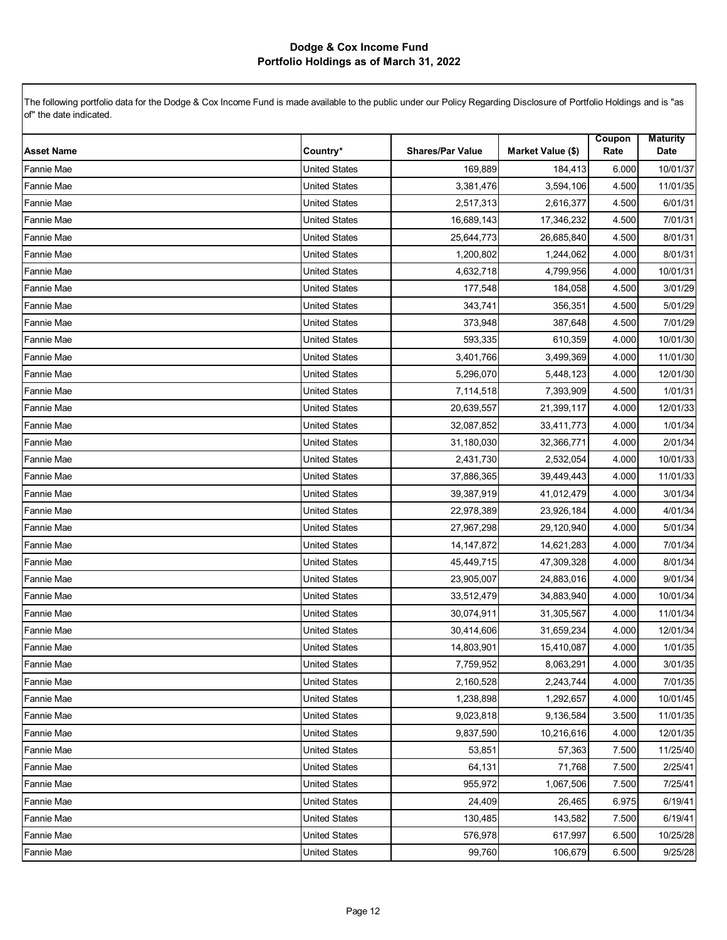| <b>Asset Name</b> | Country*             | <b>Shares/Par Value</b> | Market Value (\$) | Coupon<br>Rate | <b>Maturity</b><br>Date |
|-------------------|----------------------|-------------------------|-------------------|----------------|-------------------------|
| <b>Fannie Mae</b> | <b>United States</b> | 169,889                 | 184,413           | 6.000          | 10/01/37                |
| Fannie Mae        | <b>United States</b> | 3,381,476               | 3,594,106         | 4.500          | 11/01/35                |
| Fannie Mae        | <b>United States</b> | 2,517,313               | 2,616,377         | 4.500          | 6/01/31                 |
| Fannie Mae        | <b>United States</b> | 16,689,143              | 17,346,232        | 4.500          | 7/01/31                 |
| Fannie Mae        | <b>United States</b> | 25,644,773              | 26,685,840        | 4.500          | 8/01/31                 |
| Fannie Mae        | <b>United States</b> | 1,200,802               | 1,244,062         | 4.000          | 8/01/31                 |
| Fannie Mae        | <b>United States</b> | 4,632,718               | 4,799,956         | 4.000          | 10/01/31                |
| Fannie Mae        | <b>United States</b> | 177,548                 | 184,058           | 4.500          | 3/01/29                 |
| Fannie Mae        | <b>United States</b> | 343,741                 | 356,351           | 4.500          | 5/01/29                 |
| Fannie Mae        | <b>United States</b> | 373,948                 | 387,648           | 4.500          | 7/01/29                 |
| Fannie Mae        | <b>United States</b> | 593,335                 | 610,359           | 4.000          | 10/01/30                |
| Fannie Mae        | <b>United States</b> | 3,401,766               | 3,499,369         | 4.000          | 11/01/30                |
| Fannie Mae        | <b>United States</b> | 5,296,070               | 5,448,123         | 4.000          | 12/01/30                |
| Fannie Mae        | <b>United States</b> | 7,114,518               | 7,393,909         | 4.500          | 1/01/31                 |
| Fannie Mae        | <b>United States</b> | 20,639,557              | 21,399,117        | 4.000          | 12/01/33                |
| Fannie Mae        | <b>United States</b> | 32,087,852              | 33,411,773        | 4.000          | 1/01/34                 |
| Fannie Mae        | <b>United States</b> | 31,180,030              | 32,366,771        | 4.000          | 2/01/34                 |
| Fannie Mae        | <b>United States</b> | 2,431,730               | 2,532,054         | 4.000          | 10/01/33                |
| Fannie Mae        | <b>United States</b> | 37,886,365              | 39,449,443        | 4.000          | 11/01/33                |
| Fannie Mae        | <b>United States</b> | 39,387,919              | 41,012,479        | 4.000          | 3/01/34                 |
| Fannie Mae        | <b>United States</b> | 22,978,389              | 23,926,184        | 4.000          | 4/01/34                 |
| Fannie Mae        | <b>United States</b> | 27,967,298              | 29,120,940        | 4.000          | 5/01/34                 |
| Fannie Mae        | <b>United States</b> | 14, 147, 872            | 14,621,283        | 4.000          | 7/01/34                 |
| Fannie Mae        | <b>United States</b> | 45,449,715              | 47,309,328        | 4.000          | 8/01/34                 |
| Fannie Mae        | <b>United States</b> | 23,905,007              | 24,883,016        | 4.000          | 9/01/34                 |
| Fannie Mae        | <b>United States</b> | 33,512,479              | 34,883,940        | 4.000          | 10/01/34                |
| Fannie Mae        | <b>United States</b> | 30,074,911              | 31,305,567        | 4.000          | 11/01/34                |
| Fannie Mae        | <b>United States</b> | 30,414,606              | 31,659,234        | 4.000          | 12/01/34                |
| <b>Fannie Mae</b> | <b>United States</b> | 14,803,901              | 15,410,087        | 4.000          | 1/01/35                 |
| <b>Fannie Mae</b> | United States        | 7,759,952               | 8,063,291         | 4.000          | 3/01/35                 |
| <b>Fannie Mae</b> | <b>United States</b> | 2,160,528               | 2,243,744         | 4.000          | 7/01/35                 |
| <b>Fannie Mae</b> | <b>United States</b> | 1,238,898               | 1,292,657         | 4.000          | 10/01/45                |
| <b>Fannie Mae</b> | <b>United States</b> | 9,023,818               | 9,136,584         | 3.500          | 11/01/35                |
| <b>Fannie Mae</b> | <b>United States</b> | 9,837,590               | 10,216,616        | 4.000          | 12/01/35                |
| <b>Fannie Mae</b> | United States        | 53,851                  | 57,363            | 7.500          | 11/25/40                |
| <b>Fannie Mae</b> | <b>United States</b> | 64,131                  | 71,768            | 7.500          | 2/25/41                 |
| <b>Fannie Mae</b> | <b>United States</b> | 955,972                 | 1,067,506         | 7.500          | 7/25/41                 |
| <b>Fannie Mae</b> | <b>United States</b> | 24,409                  | 26,465            | 6.975          | 6/19/41                 |
| <b>Fannie Mae</b> | <b>United States</b> | 130,485                 | 143,582           | 7.500          | 6/19/41                 |
| <b>Fannie Mae</b> | <b>United States</b> | 576,978                 | 617,997           | 6.500          | 10/25/28                |
| <b>Fannie Mae</b> | <b>United States</b> | 99,760                  | 106,679           | 6.500          | 9/25/28                 |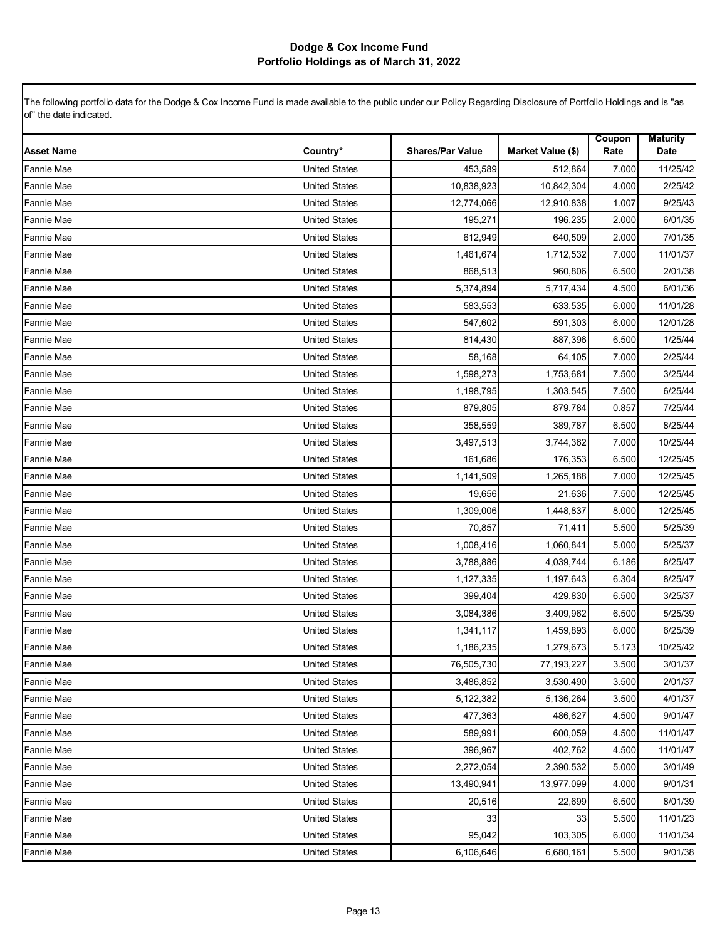| <b>Asset Name</b> | Country*             | <b>Shares/Par Value</b> | Market Value (\$) | Coupon<br>Rate | <b>Maturity</b><br>Date |
|-------------------|----------------------|-------------------------|-------------------|----------------|-------------------------|
| Fannie Mae        | <b>United States</b> | 453,589                 | 512,864           | 7.000          | 11/25/42                |
| Fannie Mae        | <b>United States</b> | 10,838,923              | 10,842,304        | 4.000          | 2/25/42                 |
| <b>Fannie Mae</b> | <b>United States</b> | 12,774,066              | 12,910,838        | 1.007          | 9/25/43                 |
| Fannie Mae        | <b>United States</b> | 195,271                 | 196,235           | 2.000          | 6/01/35                 |
| Fannie Mae        | <b>United States</b> | 612,949                 | 640,509           | 2.000          | 7/01/35                 |
| Fannie Mae        | <b>United States</b> | 1,461,674               | 1,712,532         | 7.000          | 11/01/37                |
| Fannie Mae        | <b>United States</b> | 868,513                 | 960,806           | 6.500          | 2/01/38                 |
| Fannie Mae        | <b>United States</b> | 5,374,894               | 5,717,434         | 4.500          | 6/01/36                 |
| <b>Fannie Mae</b> | <b>United States</b> | 583,553                 | 633,535           | 6.000          | 11/01/28                |
| <b>Fannie Mae</b> | <b>United States</b> | 547,602                 | 591,303           | 6.000          | 12/01/28                |
| Fannie Mae        | <b>United States</b> | 814,430                 | 887,396           | 6.500          | 1/25/44                 |
| Fannie Mae        | <b>United States</b> | 58,168                  | 64,105            | 7.000          | 2/25/44                 |
| Fannie Mae        | <b>United States</b> | 1,598,273               | 1,753,681         | 7.500          | 3/25/44                 |
| Fannie Mae        | <b>United States</b> | 1,198,795               | 1,303,545         | 7.500          | 6/25/44                 |
| Fannie Mae        | <b>United States</b> | 879,805                 | 879,784           | 0.857          | 7/25/44                 |
| Fannie Mae        | <b>United States</b> | 358,559                 | 389,787           | 6.500          | 8/25/44                 |
| Fannie Mae        | <b>United States</b> | 3,497,513               | 3,744,362         | 7.000          | 10/25/44                |
| Fannie Mae        | <b>United States</b> | 161,686                 | 176,353           | 6.500          | 12/25/45                |
| <b>Fannie Mae</b> | <b>United States</b> | 1,141,509               | 1,265,188         | 7.000          | 12/25/45                |
| <b>Fannie Mae</b> | <b>United States</b> | 19,656                  | 21,636            | 7.500          | 12/25/45                |
| Fannie Mae        | <b>United States</b> | 1,309,006               | 1,448,837         | 8.000          | 12/25/45                |
| Fannie Mae        | <b>United States</b> | 70,857                  | 71,411            | 5.500          | 5/25/39                 |
| Fannie Mae        | <b>United States</b> | 1,008,416               | 1,060,841         | 5.000          | 5/25/37                 |
| Fannie Mae        | <b>United States</b> | 3,788,886               | 4,039,744         | 6.186          | 8/25/47                 |
| Fannie Mae        | <b>United States</b> | 1,127,335               | 1,197,643         | 6.304          | 8/25/47                 |
| Fannie Mae        | <b>United States</b> | 399,404                 | 429,830           | 6.500          | 3/25/37                 |
| Fannie Mae        | <b>United States</b> | 3,084,386               | 3,409,962         | 6.500          | 5/25/39                 |
| Fannie Mae        | <b>United States</b> | 1,341,117               | 1,459,893         | 6.000          | 6/25/39                 |
| Fannie Mae        | <b>United States</b> | 1,186,235               | 1,279,673         | 5.173          | 10/25/42                |
| Fannie Mae        | <b>United States</b> | 76,505,730              | 77, 193, 227      | 3.500          | 3/01/37                 |
| <b>Fannie Mae</b> | <b>United States</b> | 3,486,852               | 3,530,490         | 3.500          | 2/01/37                 |
| <b>Fannie Mae</b> | <b>United States</b> | 5,122,382               | 5,136,264         | 3.500          | 4/01/37                 |
| <b>Fannie Mae</b> | <b>United States</b> | 477,363                 | 486,627           | 4.500          | 9/01/47                 |
| <b>Fannie Mae</b> | <b>United States</b> | 589,991                 | 600,059           | 4.500          | 11/01/47                |
| <b>Fannie Mae</b> | <b>United States</b> | 396,967                 | 402,762           | 4.500          | 11/01/47                |
| <b>Fannie Mae</b> | <b>United States</b> | 2,272,054               | 2,390,532         | 5.000          | 3/01/49                 |
| Fannie Mae        | <b>United States</b> | 13,490,941              | 13,977,099        | 4.000          | 9/01/31                 |
| <b>Fannie Mae</b> | <b>United States</b> | 20,516                  | 22,699            | 6.500          | 8/01/39                 |
| <b>Fannie Mae</b> | <b>United States</b> | 33                      | 33                | 5.500          | 11/01/23                |
| Fannie Mae        | <b>United States</b> | 95,042                  | 103,305           | 6.000          | 11/01/34                |
| <b>Fannie Mae</b> | <b>United States</b> | 6,106,646               | 6,680,161         | 5.500          | 9/01/38                 |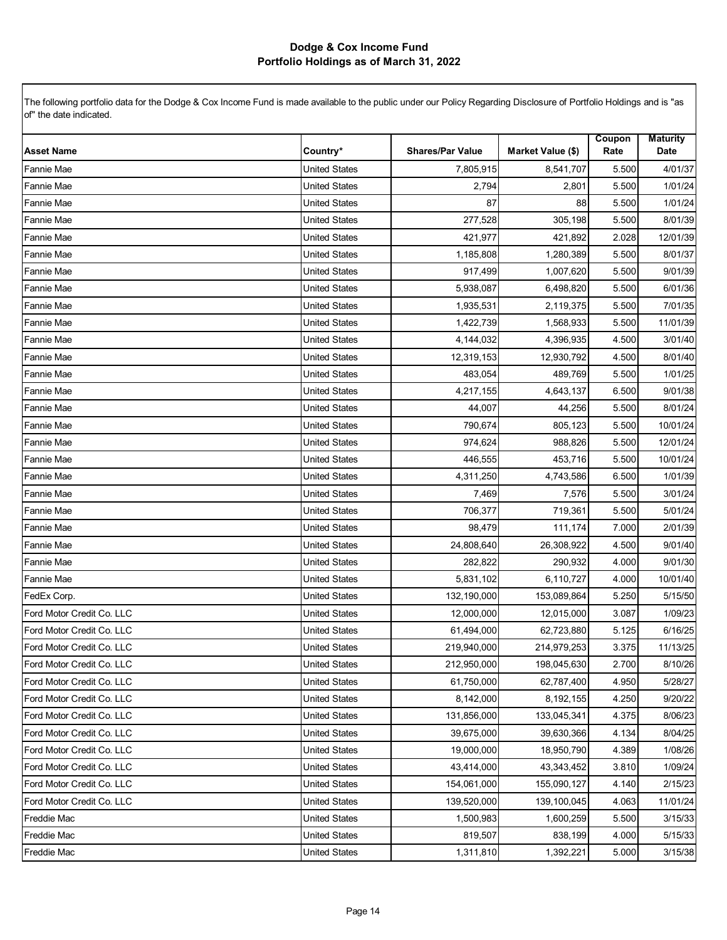| <b>Asset Name</b>         | Country*             | <b>Shares/Par Value</b> | Market Value (\$) | Coupon<br>Rate | <b>Maturity</b><br>Date |
|---------------------------|----------------------|-------------------------|-------------------|----------------|-------------------------|
| <b>Fannie Mae</b>         | <b>United States</b> | 7,805,915               | 8,541,707         | 5.500          | 4/01/37                 |
| Fannie Mae                | <b>United States</b> | 2,794                   | 2,801             | 5.500          | 1/01/24                 |
| Fannie Mae                | <b>United States</b> | 87                      | 88                | 5.500          | 1/01/24                 |
| Fannie Mae                | <b>United States</b> | 277,528                 | 305,198           | 5.500          | 8/01/39                 |
| Fannie Mae                | <b>United States</b> | 421,977                 | 421,892           | 2.028          | 12/01/39                |
| Fannie Mae                | <b>United States</b> | 1,185,808               | 1,280,389         | 5.500          | 8/01/37                 |
| Fannie Mae                | <b>United States</b> | 917,499                 | 1,007,620         | 5.500          | 9/01/39                 |
| Fannie Mae                | <b>United States</b> | 5,938,087               | 6,498,820         | 5.500          | 6/01/36                 |
| Fannie Mae                | <b>United States</b> | 1,935,531               | 2,119,375         | 5.500          | 7/01/35                 |
| Fannie Mae                | <b>United States</b> | 1,422,739               | 1,568,933         | 5.500          | 11/01/39                |
| <b>Fannie Mae</b>         | <b>United States</b> | 4,144,032               | 4,396,935         | 4.500          | 3/01/40                 |
| Fannie Mae                | <b>United States</b> | 12,319,153              | 12,930,792        | 4.500          | 8/01/40                 |
| Fannie Mae                | <b>United States</b> | 483,054                 | 489,769           | 5.500          | 1/01/25                 |
| <b>Fannie Mae</b>         | <b>United States</b> | 4,217,155               | 4,643,137         | 6.500          | 9/01/38                 |
| <b>Fannie Mae</b>         | <b>United States</b> | 44,007                  | 44,256            | 5.500          | 8/01/24                 |
| Fannie Mae                | <b>United States</b> | 790,674                 | 805,123           | 5.500          | 10/01/24                |
| Fannie Mae                | <b>United States</b> | 974,624                 | 988,826           | 5.500          | 12/01/24                |
| Fannie Mae                | <b>United States</b> | 446,555                 | 453,716           | 5.500          | 10/01/24                |
| Fannie Mae                | <b>United States</b> | 4,311,250               | 4,743,586         | 6.500          | 1/01/39                 |
| Fannie Mae                | <b>United States</b> | 7,469                   | 7,576             | 5.500          | 3/01/24                 |
| <b>Fannie Mae</b>         | <b>United States</b> | 706,377                 | 719,361           | 5.500          | 5/01/24                 |
| Fannie Mae                | <b>United States</b> | 98,479                  | 111,174           | 7.000          | 2/01/39                 |
| Fannie Mae                | <b>United States</b> | 24,808,640              | 26,308,922        | 4.500          | 9/01/40                 |
| <b>Fannie Mae</b>         | <b>United States</b> | 282,822                 | 290,932           | 4.000          | 9/01/30                 |
| Fannie Mae                | <b>United States</b> | 5,831,102               | 6,110,727         | 4.000          | 10/01/40                |
| FedEx Corp.               | <b>United States</b> | 132,190,000             | 153,089,864       | 5.250          | 5/15/50                 |
| Ford Motor Credit Co. LLC | <b>United States</b> | 12,000,000              | 12,015,000        | 3.087          | 1/09/23                 |
| Ford Motor Credit Co. LLC | <b>United States</b> | 61,494,000              | 62,723,880        | 5.125          | 6/16/25                 |
| Ford Motor Credit Co. LLC | <b>United States</b> | 219,940,000             | 214,979,253       | 3.375          | 11/13/25                |
| Ford Motor Credit Co. LLC | United States        | 212,950,000             | 198,045,630       | 2.700          | 8/10/26                 |
| Ford Motor Credit Co. LLC | <b>United States</b> | 61,750,000              | 62,787,400        | 4.950          | 5/28/27                 |
| Ford Motor Credit Co. LLC | <b>United States</b> | 8,142,000               | 8,192,155         | 4.250          | 9/20/22                 |
| Ford Motor Credit Co. LLC | <b>United States</b> | 131,856,000             | 133,045,341       | 4.375          | 8/06/23                 |
| Ford Motor Credit Co. LLC | <b>United States</b> | 39,675,000              | 39,630,366        | 4.134          | 8/04/25                 |
| Ford Motor Credit Co. LLC | <b>United States</b> | 19,000,000              | 18,950,790        | 4.389          | 1/08/26                 |
| Ford Motor Credit Co. LLC | <b>United States</b> | 43,414,000              | 43,343,452        | 3.810          | 1/09/24                 |
| Ford Motor Credit Co. LLC | <b>United States</b> | 154,061,000             | 155,090,127       | 4.140          | 2/15/23                 |
| Ford Motor Credit Co. LLC | <b>United States</b> | 139,520,000             | 139,100,045       | 4.063          | 11/01/24                |
| <b>Freddie Mac</b>        | <b>United States</b> | 1,500,983               | 1,600,259         | 5.500          | 3/15/33                 |
| Freddie Mac               | <b>United States</b> | 819,507                 | 838,199           | 4.000          | 5/15/33                 |
| Freddie Mac               | <b>United States</b> | 1,311,810               | 1,392,221         | 5.000          | 3/15/38                 |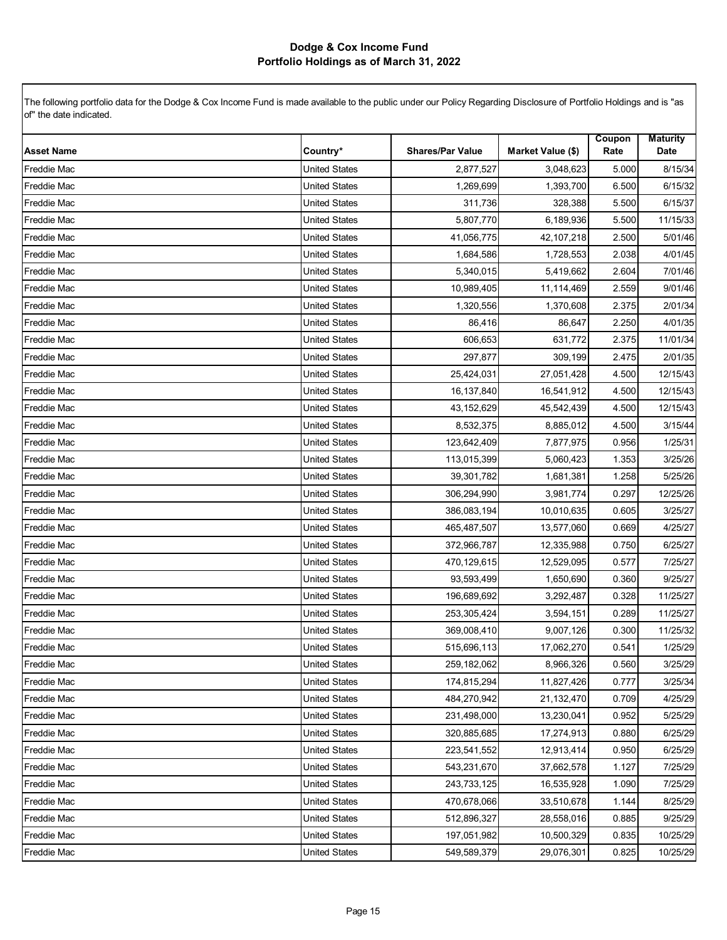| <b>Asset Name</b>  | Country*             | <b>Shares/Par Value</b> | Market Value (\$) | Coupon<br>Rate | <b>Maturity</b><br>Date |
|--------------------|----------------------|-------------------------|-------------------|----------------|-------------------------|
| <b>Freddie Mac</b> | <b>United States</b> | 2,877,527               | 3,048,623         | 5.000          | 8/15/34                 |
| <b>Freddie Mac</b> | <b>United States</b> | 1,269,699               | 1,393,700         | 6.500          | 6/15/32                 |
| Freddie Mac        | <b>United States</b> | 311,736                 | 328,388           | 5.500          | 6/15/37                 |
| <b>Freddie Mac</b> | <b>United States</b> | 5,807,770               | 6,189,936         | 5.500          | 11/15/33                |
| <b>Freddie Mac</b> | <b>United States</b> | 41,056,775              | 42,107,218        | 2.500          | 5/01/46                 |
| Freddie Mac        | <b>United States</b> | 1,684,586               | 1,728,553         | 2.038          | 4/01/45                 |
| Freddie Mac        | <b>United States</b> | 5,340,015               | 5,419,662         | 2.604          | 7/01/46                 |
| Freddie Mac        | <b>United States</b> | 10,989,405              | 11,114,469        | 2.559          | 9/01/46                 |
| <b>Freddie Mac</b> | <b>United States</b> | 1,320,556               | 1,370,608         | 2.375          | 2/01/34                 |
| <b>Freddie Mac</b> | <b>United States</b> | 86,416                  | 86,647            | 2.250          | 4/01/35                 |
| Freddie Mac        | <b>United States</b> | 606,653                 | 631,772           | 2.375          | 11/01/34                |
| Freddie Mac        | <b>United States</b> | 297,877                 | 309,199           | 2.475          | 2/01/35                 |
| <b>Freddie Mac</b> | <b>United States</b> | 25,424,031              | 27,051,428        | 4.500          | 12/15/43                |
| <b>Freddie Mac</b> | <b>United States</b> | 16,137,840              | 16,541,912        | 4.500          | 12/15/43                |
| <b>Freddie Mac</b> | <b>United States</b> | 43,152,629              | 45,542,439        | 4.500          | 12/15/43                |
| Freddie Mac        | <b>United States</b> | 8,532,375               | 8,885,012         | 4.500          | 3/15/44                 |
| Freddie Mac        | <b>United States</b> | 123,642,409             | 7,877,975         | 0.956          | 1/25/31                 |
| Freddie Mac        | <b>United States</b> | 113,015,399             | 5,060,423         | 1.353          | 3/25/26                 |
| <b>Freddie Mac</b> | <b>United States</b> | 39,301,782              | 1,681,381         | 1.258          | 5/25/26                 |
| <b>Freddie Mac</b> | <b>United States</b> | 306,294,990             | 3,981,774         | 0.297          | 12/25/26                |
| Freddie Mac        | <b>United States</b> | 386,083,194             | 10,010,635        | 0.605          | 3/25/27                 |
| <b>Freddie Mac</b> | <b>United States</b> | 465,487,507             | 13,577,060        | 0.669          | 4/25/27                 |
| <b>Freddie Mac</b> | <b>United States</b> | 372,966,787             | 12,335,988        | 0.750          | 6/25/27                 |
| <b>Freddie Mac</b> | <b>United States</b> | 470,129,615             | 12,529,095        | 0.577          | 7/25/27                 |
| <b>Freddie Mac</b> | <b>United States</b> | 93,593,499              | 1,650,690         | 0.360          | 9/25/27                 |
| Freddie Mac        | <b>United States</b> | 196,689,692             | 3,292,487         | 0.328          | 11/25/27                |
| Freddie Mac        | <b>United States</b> | 253,305,424             | 3,594,151         | 0.289          | 11/25/27                |
| Freddie Mac        | <b>United States</b> | 369,008,410             | 9,007,126         | 0.300          | 11/25/32                |
| <b>Freddie Mac</b> | <b>United States</b> | 515,696,113             | 17,062,270        | 0.541          | 1/25/29                 |
| <b>Freddie Mac</b> | <b>United States</b> | 259,182,062             | 8,966,326         | 0.560          | 3/25/29                 |
| <b>Freddie Mac</b> | <b>United States</b> | 174,815,294             | 11,827,426        | 0.777          | 3/25/34                 |
| <b>Freddie Mac</b> | <b>United States</b> | 484,270,942             | 21,132,470        | 0.709          | 4/25/29                 |
| <b>Freddie Mac</b> | <b>United States</b> | 231,498,000             | 13,230,041        | 0.952          | 5/25/29                 |
| <b>Freddie Mac</b> | <b>United States</b> | 320,885,685             | 17,274,913        | 0.880          | 6/25/29                 |
| <b>Freddie Mac</b> | <b>United States</b> | 223,541,552             | 12,913,414        | 0.950          | 6/25/29                 |
| <b>Freddie Mac</b> | <b>United States</b> | 543,231,670             | 37,662,578        | 1.127          | 7/25/29                 |
| <b>Freddie Mac</b> | <b>United States</b> | 243,733,125             | 16,535,928        | 1.090          | 7/25/29                 |
| <b>Freddie Mac</b> | <b>United States</b> | 470,678,066             | 33,510,678        | 1.144          | 8/25/29                 |
| <b>Freddie Mac</b> | <b>United States</b> | 512,896,327             | 28,558,016        | 0.885          | 9/25/29                 |
| Freddie Mac        | <b>United States</b> | 197,051,982             | 10,500,329        | 0.835          | 10/25/29                |
| <b>Freddie Mac</b> | <b>United States</b> | 549,589,379             | 29,076,301        | 0.825          | 10/25/29                |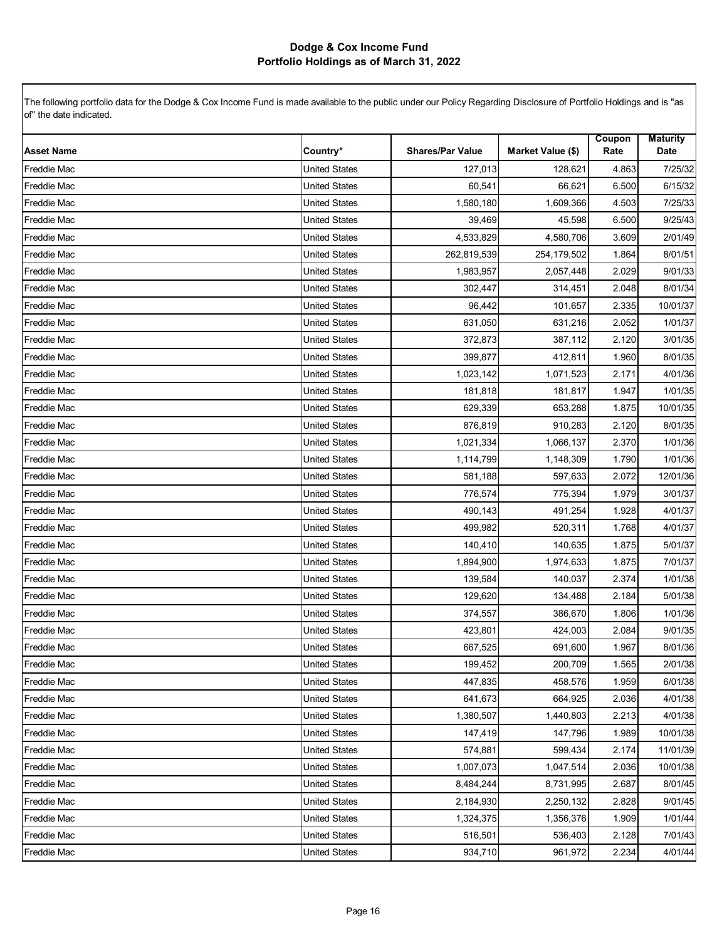| <b>Asset Name</b>  | Country*             | <b>Shares/Par Value</b> | Market Value (\$) | Coupon<br>Rate | <b>Maturity</b><br>Date |
|--------------------|----------------------|-------------------------|-------------------|----------------|-------------------------|
| <b>Freddie Mac</b> | <b>United States</b> | 127,013                 | 128,621           | 4.863          | 7/25/32                 |
| <b>Freddie Mac</b> | <b>United States</b> | 60,541                  | 66,621            | 6.500          | 6/15/32                 |
| <b>Freddie Mac</b> | <b>United States</b> | 1,580,180               | 1,609,366         | 4.503          | 7/25/33                 |
| Freddie Mac        | <b>United States</b> | 39,469                  | 45,598            | 6.500          | 9/25/43                 |
| <b>Freddie Mac</b> | <b>United States</b> | 4,533,829               | 4,580,706         | 3.609          | 2/01/49                 |
| <b>Freddie Mac</b> | <b>United States</b> | 262,819,539             | 254,179,502       | 1.864          | 8/01/51                 |
| <b>Freddie Mac</b> | <b>United States</b> | 1,983,957               | 2,057,448         | 2.029          | 9/01/33                 |
| <b>Freddie Mac</b> | <b>United States</b> | 302.447                 | 314,451           | 2.048          | 8/01/34                 |
| <b>Freddie Mac</b> | <b>United States</b> | 96,442                  | 101,657           | 2.335          | 10/01/37                |
| <b>Freddie Mac</b> | <b>United States</b> | 631,050                 | 631,216           | 2.052          | 1/01/37                 |
| <b>Freddie Mac</b> | <b>United States</b> | 372,873                 | 387,112           | 2.120          | 3/01/35                 |
| <b>Freddie Mac</b> | <b>United States</b> | 399,877                 | 412,811           | 1.960          | 8/01/35                 |
| <b>Freddie Mac</b> | <b>United States</b> | 1,023,142               | 1,071,523         | 2.171          | 4/01/36                 |
| Freddie Mac        | <b>United States</b> | 181,818                 | 181,817           | 1.947          | 1/01/35                 |
| <b>Freddie Mac</b> | <b>United States</b> | 629,339                 | 653,288           | 1.875          | 10/01/35                |
| <b>Freddie Mac</b> | <b>United States</b> | 876,819                 | 910,283           | 2.120          | 8/01/35                 |
| <b>Freddie Mac</b> | <b>United States</b> | 1,021,334               | 1,066,137         | 2.370          | 1/01/36                 |
| <b>Freddie Mac</b> | <b>United States</b> | 1,114,799               | 1,148,309         | 1.790          | 1/01/36                 |
| <b>Freddie Mac</b> | <b>United States</b> | 581,188                 | 597,633           | 2.072          | 12/01/36                |
| <b>Freddie Mac</b> | <b>United States</b> | 776,574                 | 775,394           | 1.979          | 3/01/37                 |
| <b>Freddie Mac</b> | <b>United States</b> | 490,143                 | 491,254           | 1.928          | 4/01/37                 |
| Freddie Mac        | <b>United States</b> | 499,982                 | 520,311           | 1.768          | 4/01/37                 |
| <b>Freddie Mac</b> | <b>United States</b> | 140,410                 | 140,635           | 1.875          | 5/01/37                 |
| Freddie Mac        | <b>United States</b> | 1,894,900               | 1,974,633         | 1.875          | 7/01/37                 |
| <b>Freddie Mac</b> | <b>United States</b> | 139,584                 | 140,037           | 2.374          | 1/01/38                 |
| <b>Freddie Mac</b> | <b>United States</b> | 129,620                 | 134,488           | 2.184          | 5/01/38                 |
| <b>Freddie Mac</b> | <b>United States</b> | 374,557                 | 386,670           | 1.806          | 1/01/36                 |
| <b>Freddie Mac</b> | <b>United States</b> | 423,801                 | 424,003           | 2.084          | 9/01/35                 |
| <b>Freddie Mac</b> | <b>United States</b> | 667,525                 | 691,600           | 1.967          | 8/01/36                 |
| Freddie Mac        | <b>United States</b> | 199,452                 | 200,709           | 1.565          | 2/01/38                 |
| <b>Freddie Mac</b> | <b>United States</b> | 447,835                 | 458,576           | 1.959          | 6/01/38                 |
| <b>Freddie Mac</b> | United States        | 641,673                 | 664,925           | 2.036          | 4/01/38                 |
| <b>Freddie Mac</b> | <b>United States</b> | 1,380,507               | 1,440,803         | 2.213          | 4/01/38                 |
| <b>Freddie Mac</b> | <b>United States</b> | 147,419                 | 147,796           | 1.989          | 10/01/38                |
| <b>Freddie Mac</b> | <b>United States</b> | 574,881                 | 599,434           | 2.174          | 11/01/39                |
| <b>Freddie Mac</b> | United States        | 1,007,073               | 1,047,514         | 2.036          | 10/01/38                |
| <b>Freddie Mac</b> | <b>United States</b> | 8,484,244               | 8,731,995         | 2.687          | 8/01/45                 |
| <b>Freddie Mac</b> | <b>United States</b> | 2,184,930               | 2,250,132         | 2.828          | 9/01/45                 |
| <b>Freddie Mac</b> | <b>United States</b> | 1,324,375               | 1,356,376         | 1.909          | 1/01/44                 |
| Freddie Mac        | <b>United States</b> | 516,501                 | 536,403           | 2.128          | 7/01/43                 |
| <b>Freddie Mac</b> | <b>United States</b> | 934,710                 | 961,972           | 2.234          | 4/01/44                 |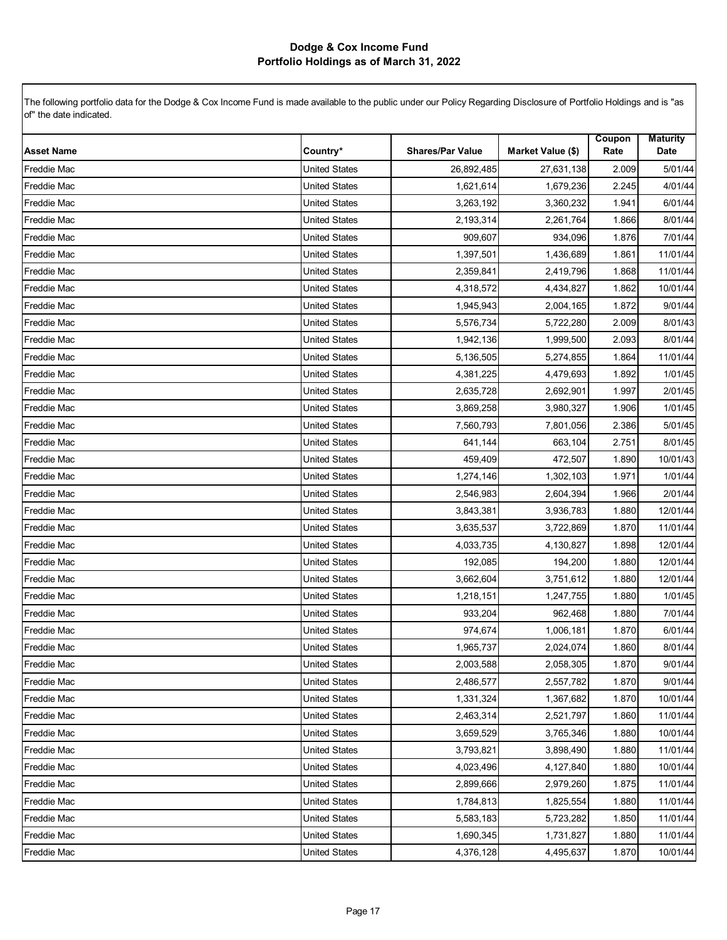| <b>Asset Name</b>  | Country*             | <b>Shares/Par Value</b> | Market Value (\$) | Coupon<br>Rate | <b>Maturity</b><br>Date |
|--------------------|----------------------|-------------------------|-------------------|----------------|-------------------------|
| Freddie Mac        | <b>United States</b> | 26,892,485              | 27,631,138        | 2.009          | 5/01/44                 |
| <b>Freddie Mac</b> | <b>United States</b> | 1,621,614               | 1,679,236         | 2.245          | 4/01/44                 |
| <b>Freddie Mac</b> | <b>United States</b> | 3,263,192               | 3,360,232         | 1.941          | 6/01/44                 |
| <b>Freddie Mac</b> | <b>United States</b> | 2,193,314               | 2,261,764         | 1.866          | 8/01/44                 |
| <b>Freddie Mac</b> | <b>United States</b> | 909,607                 | 934,096           | 1.876          | 7/01/44                 |
| <b>Freddie Mac</b> | <b>United States</b> | 1,397,501               | 1,436,689         | 1.861          | 11/01/44                |
| Freddie Mac        | <b>United States</b> | 2,359,841               | 2,419,796         | 1.868          | 11/01/44                |
| Freddie Mac        | <b>United States</b> | 4,318,572               | 4,434,827         | 1.862          | 10/01/44                |
| <b>Freddie Mac</b> | <b>United States</b> | 1,945,943               | 2,004,165         | 1.872          | 9/01/44                 |
| <b>Freddie Mac</b> | <b>United States</b> | 5,576,734               | 5,722,280         | 2.009          | 8/01/43                 |
| <b>Freddie Mac</b> | <b>United States</b> | 1,942,136               | 1,999,500         | 2.093          | 8/01/44                 |
| Freddie Mac        | <b>United States</b> | 5,136,505               | 5,274,855         | 1.864          | 11/01/44                |
| <b>Freddie Mac</b> | <b>United States</b> | 4,381,225               | 4,479,693         | 1.892          | 1/01/45                 |
| <b>Freddie Mac</b> | <b>United States</b> | 2,635,728               | 2,692,901         | 1.997          | 2/01/45                 |
| <b>Freddie Mac</b> | <b>United States</b> | 3,869,258               | 3,980,327         | 1.906          | 1/01/45                 |
| <b>Freddie Mac</b> | <b>United States</b> | 7,560,793               | 7,801,056         | 2.386          | 5/01/45                 |
| Freddie Mac        | <b>United States</b> | 641,144                 | 663,104           | 2.751          | 8/01/45                 |
| Freddie Mac        | <b>United States</b> | 459,409                 | 472,507           | 1.890          | 10/01/43                |
| <b>Freddie Mac</b> | <b>United States</b> | 1,274,146               | 1,302,103         | 1.971          | 1/01/44                 |
| <b>Freddie Mac</b> | <b>United States</b> | 2,546,983               | 2,604,394         | 1.966          | 2/01/44                 |
| <b>Freddie Mac</b> | <b>United States</b> | 3,843,381               | 3,936,783         | 1.880          | 12/01/44                |
| <b>Freddie Mac</b> | <b>United States</b> | 3,635,537               | 3,722,869         | 1.870          | 11/01/44                |
| <b>Freddie Mac</b> | <b>United States</b> | 4,033,735               | 4,130,827         | 1.898          | 12/01/44                |
| <b>Freddie Mac</b> | <b>United States</b> | 192,085                 | 194,200           | 1.880          | 12/01/44                |
| Freddie Mac        | <b>United States</b> | 3,662,604               | 3,751,612         | 1.880          | 12/01/44                |
| <b>Freddie Mac</b> | <b>United States</b> | 1,218,151               | 1,247,755         | 1.880          | 1/01/45                 |
| Freddie Mac        | <b>United States</b> | 933,204                 | 962,468           | 1.880          | 7/01/44                 |
| Freddie Mac        | <b>United States</b> | 974,674                 | 1,006,181         | 1.870          | 6/01/44                 |
| <b>Freddie Mac</b> | <b>United States</b> | 1,965,737               | 2,024,074         | 1.860          | 8/01/44                 |
| <b>Freddie Mac</b> | United States        | 2,003,588               | 2,058,305         | 1.870          | 9/01/44                 |
| <b>Freddie Mac</b> | <b>United States</b> | 2,486,577               | 2,557,782         | 1.870          | 9/01/44                 |
| <b>Freddie Mac</b> | <b>United States</b> | 1,331,324               | 1,367,682         | 1.870          | 10/01/44                |
| <b>Freddie Mac</b> | <b>United States</b> | 2,463,314               | 2,521,797         | 1.860          | 11/01/44                |
| <b>Freddie Mac</b> | <b>United States</b> | 3,659,529               | 3,765,346         | 1.880          | 10/01/44                |
| Freddie Mac        | United States        | 3,793,821               | 3,898,490         | 1.880          | 11/01/44                |
| <b>Freddie Mac</b> | <b>United States</b> | 4,023,496               | 4,127,840         | 1.880          | 10/01/44                |
| <b>Freddie Mac</b> | <b>United States</b> | 2,899,666               | 2,979,260         | 1.875          | 11/01/44                |
| <b>Freddie Mac</b> | <b>United States</b> | 1,784,813               | 1,825,554         | 1.880          | 11/01/44                |
| <b>Freddie Mac</b> | <b>United States</b> | 5,583,183               | 5,723,282         | 1.850          | 11/01/44                |
| Freddie Mac        | <b>United States</b> | 1,690,345               | 1,731,827         | 1.880          | 11/01/44                |
| Freddie Mac        | <b>United States</b> | 4,376,128               | 4,495,637         | 1.870          | 10/01/44                |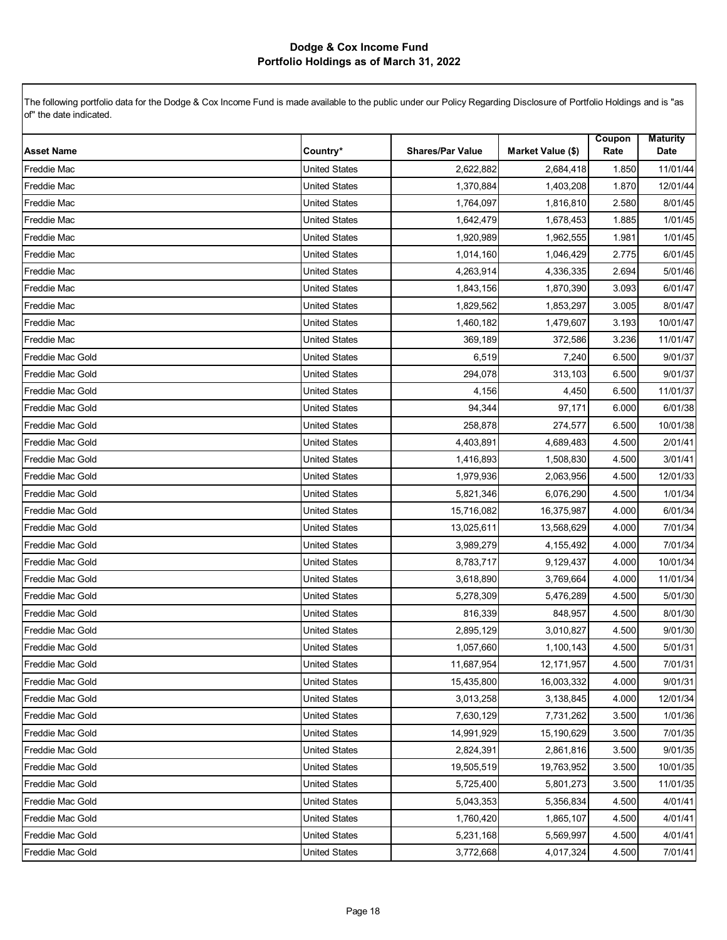| <b>Asset Name</b>       | Country*             | <b>Shares/Par Value</b> | Market Value (\$) | Coupon<br>Rate | <b>Maturity</b><br>Date |
|-------------------------|----------------------|-------------------------|-------------------|----------------|-------------------------|
| <b>Freddie Mac</b>      | <b>United States</b> | 2,622,882               | 2,684,418         | 1.850          | 11/01/44                |
| <b>Freddie Mac</b>      | <b>United States</b> | 1,370,884               | 1,403,208         | 1.870          | 12/01/44                |
| <b>Freddie Mac</b>      | <b>United States</b> | 1,764,097               | 1,816,810         | 2.580          | 8/01/45                 |
| <b>Freddie Mac</b>      | <b>United States</b> | 1,642,479               | 1,678,453         | 1.885          | 1/01/45                 |
| <b>Freddie Mac</b>      | United States        | 1,920,989               | 1,962,555         | 1.981          | 1/01/45                 |
| <b>Freddie Mac</b>      | <b>United States</b> | 1,014,160               | 1,046,429         | 2.775          | 6/01/45                 |
| Freddie Mac             | <b>United States</b> | 4,263,914               | 4,336,335         | 2.694          | 5/01/46                 |
| Freddie Mac             | <b>United States</b> | 1,843,156               | 1,870,390         | 3.093          | 6/01/47                 |
| <b>Freddie Mac</b>      | <b>United States</b> | 1,829,562               | 1,853,297         | 3.005          | 8/01/47                 |
| <b>Freddie Mac</b>      | <b>United States</b> | 1,460,182               | 1,479,607         | 3.193          | 10/01/47                |
| <b>Freddie Mac</b>      | <b>United States</b> | 369,189                 | 372,586           | 3.236          | 11/01/47                |
| Freddie Mac Gold        | <b>United States</b> | 6,519                   | 7,240             | 6.500          | 9/01/37                 |
| Freddie Mac Gold        | <b>United States</b> | 294,078                 | 313,103           | 6.500          | 9/01/37                 |
| Freddie Mac Gold        | <b>United States</b> | 4,156                   | 4,450             | 6.500          | 11/01/37                |
| Freddie Mac Gold        | <b>United States</b> | 94,344                  | 97,171            | 6.000          | 6/01/38                 |
| Freddie Mac Gold        | <b>United States</b> | 258,878                 | 274,577           | 6.500          | 10/01/38                |
| Freddie Mac Gold        | <b>United States</b> | 4,403,891               | 4,689,483         | 4.500          | 2/01/41                 |
| Freddie Mac Gold        | <b>United States</b> | 1,416,893               | 1,508,830         | 4.500          | 3/01/41                 |
| Freddie Mac Gold        | <b>United States</b> | 1,979,936               | 2,063,956         | 4.500          | 12/01/33                |
| Freddie Mac Gold        | <b>United States</b> | 5,821,346               | 6,076,290         | 4.500          | 1/01/34                 |
| <b>Freddie Mac Gold</b> | <b>United States</b> | 15,716,082              | 16,375,987        | 4.000          | 6/01/34                 |
| Freddie Mac Gold        | <b>United States</b> | 13,025,611              | 13,568,629        | 4.000          | 7/01/34                 |
| Freddie Mac Gold        | <b>United States</b> | 3,989,279               | 4,155,492         | 4.000          | 7/01/34                 |
| Freddie Mac Gold        | <b>United States</b> | 8,783,717               | 9,129,437         | 4.000          | 10/01/34                |
| Freddie Mac Gold        | <b>United States</b> | 3,618,890               | 3,769,664         | 4.000          | 11/01/34                |
| Freddie Mac Gold        | <b>United States</b> | 5,278,309               | 5,476,289         | 4.500          | 5/01/30                 |
| Freddie Mac Gold        | <b>United States</b> | 816,339                 | 848,957           | 4.500          | 8/01/30                 |
| Freddie Mac Gold        | <b>United States</b> | 2,895,129               | 3,010,827         | 4.500          | 9/01/30                 |
| Freddie Mac Gold        | <b>United States</b> | 1,057,660               | 1,100,143         | 4.500          | 5/01/31                 |
| Freddie Mac Gold        | United States        | 11,687,954              | 12,171,957        | 4.500          | 7/01/31                 |
| Freddie Mac Gold        | <b>United States</b> | 15,435,800              | 16,003,332        | 4.000          | 9/01/31                 |
| Freddie Mac Gold        | United States        | 3,013,258               | 3,138,845         | 4.000          | 12/01/34                |
| Freddie Mac Gold        | United States        | 7,630,129               | 7,731,262         | 3.500          | 1/01/36                 |
| Freddie Mac Gold        | United States        | 14,991,929              | 15,190,629        | 3.500          | 7/01/35                 |
| Freddie Mac Gold        | United States        | 2,824,391               | 2,861,816         | 3.500          | 9/01/35                 |
| Freddie Mac Gold        | United States        | 19,505,519              | 19,763,952        | 3.500          | 10/01/35                |
| Freddie Mac Gold        | United States        | 5,725,400               | 5,801,273         | 3.500          | 11/01/35                |
| Freddie Mac Gold        | <b>United States</b> | 5.043.353               | 5,356,834         | 4.500          | 4/01/41                 |
| Freddie Mac Gold        | United States        | 1,760,420               | 1,865,107         | 4.500          | 4/01/41                 |
| Freddie Mac Gold        | United States        | 5,231,168               | 5,569,997         | 4.500          | 4/01/41                 |
| Freddie Mac Gold        | <b>United States</b> | 3,772,668               | 4,017,324         | 4.500          | 7/01/41                 |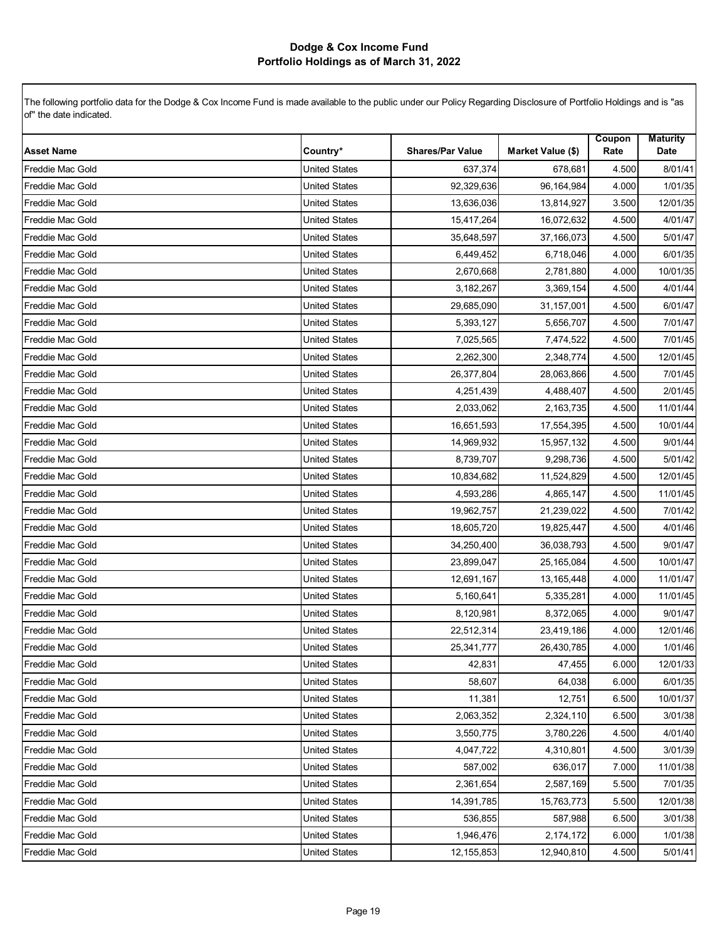| <b>Asset Name</b> | Country*             | <b>Shares/Par Value</b> | Market Value (\$) | Coupon<br>Rate | <b>Maturity</b><br>Date |
|-------------------|----------------------|-------------------------|-------------------|----------------|-------------------------|
| Freddie Mac Gold  | <b>United States</b> | 637,374                 | 678,681           | 4.500          | 8/01/41                 |
| Freddie Mac Gold  | <b>United States</b> | 92,329,636              | 96,164,984        | 4.000          | 1/01/35                 |
| Freddie Mac Gold  | <b>United States</b> | 13,636,036              | 13,814,927        | 3.500          | 12/01/35                |
| Freddie Mac Gold  | <b>United States</b> | 15,417,264              | 16,072,632        | 4.500          | 4/01/47                 |
| Freddie Mac Gold  | <b>United States</b> | 35,648,597              | 37,166,073        | 4.500          | 5/01/47                 |
| Freddie Mac Gold  | <b>United States</b> | 6,449,452               | 6,718,046         | 4.000          | 6/01/35                 |
| Freddie Mac Gold  | <b>United States</b> | 2,670,668               | 2,781,880         | 4.000          | 10/01/35                |
| Freddie Mac Gold  | <b>United States</b> | 3,182,267               | 3,369,154         | 4.500          | 4/01/44                 |
| Freddie Mac Gold  | <b>United States</b> | 29,685,090              | 31,157,001        | 4.500          | 6/01/47                 |
| Freddie Mac Gold  | <b>United States</b> | 5,393,127               | 5,656,707         | 4.500          | 7/01/47                 |
| Freddie Mac Gold  | <b>United States</b> | 7,025,565               | 7,474,522         | 4.500          | 7/01/45                 |
| Freddie Mac Gold  | <b>United States</b> | 2,262,300               | 2,348,774         | 4.500          | 12/01/45                |
| Freddie Mac Gold  | <b>United States</b> | 26,377,804              | 28,063,866        | 4.500          | 7/01/45                 |
| Freddie Mac Gold  | <b>United States</b> | 4,251,439               | 4,488,407         | 4.500          | 2/01/45                 |
| Freddie Mac Gold  | <b>United States</b> | 2,033,062               | 2,163,735         | 4.500          | 11/01/44                |
| Freddie Mac Gold  | <b>United States</b> | 16,651,593              | 17,554,395        | 4.500          | 10/01/44                |
| Freddie Mac Gold  | <b>United States</b> | 14,969,932              | 15,957,132        | 4.500          | 9/01/44                 |
| Freddie Mac Gold  | <b>United States</b> | 8,739,707               | 9,298,736         | 4.500          | 5/01/42                 |
| Freddie Mac Gold  | <b>United States</b> | 10,834,682              | 11,524,829        | 4.500          | 12/01/45                |
| Freddie Mac Gold  | <b>United States</b> | 4,593,286               | 4,865,147         | 4.500          | 11/01/45                |
| Freddie Mac Gold  | <b>United States</b> | 19,962,757              | 21,239,022        | 4.500          | 7/01/42                 |
| Freddie Mac Gold  | <b>United States</b> | 18,605,720              | 19,825,447        | 4.500          | 4/01/46                 |
| Freddie Mac Gold  | <b>United States</b> | 34,250,400              | 36,038,793        | 4.500          | 9/01/47                 |
| Freddie Mac Gold  | <b>United States</b> | 23,899,047              | 25,165,084        | 4.500          | 10/01/47                |
| Freddie Mac Gold  | <b>United States</b> | 12,691,167              | 13,165,448        | 4.000          | 11/01/47                |
| Freddie Mac Gold  | <b>United States</b> | 5,160,641               | 5,335,281         | 4.000          | 11/01/45                |
| Freddie Mac Gold  | <b>United States</b> | 8,120,981               | 8,372,065         | 4.000          | 9/01/47                 |
| Freddie Mac Gold  | <b>United States</b> | 22,512,314              | 23,419,186        | 4.000          | 12/01/46                |
| Freddie Mac Gold  | <b>United States</b> | 25,341,777              | 26,430,785        | 4.000          | 1/01/46                 |
| Freddie Mac Gold  | <b>United States</b> | 42,831                  | 47,455            | 6.000          | 12/01/33                |
| Freddie Mac Gold  | <b>United States</b> | 58,607                  | 64,038            | 6.000          | 6/01/35                 |
| Freddie Mac Gold  | <b>United States</b> | 11,381                  | 12,751            | 6.500          | 10/01/37                |
| Freddie Mac Gold  | <b>United States</b> | 2,063,352               | 2,324,110         | 6.500          | 3/01/38                 |
| Freddie Mac Gold  | <b>United States</b> | 3,550,775               | 3,780,226         | 4.500          | 4/01/40                 |
| Freddie Mac Gold  | United States        | 4,047,722               | 4,310,801         | 4.500          | 3/01/39                 |
| Freddie Mac Gold  | <b>United States</b> | 587,002                 | 636,017           | 7.000          | 11/01/38                |
| Freddie Mac Gold  | <b>United States</b> | 2,361,654               | 2,587,169         | 5.500          | 7/01/35                 |
| Freddie Mac Gold  | <b>United States</b> | 14,391,785              | 15,763,773        | 5.500          | 12/01/38                |
| Freddie Mac Gold  | <b>United States</b> | 536,855                 | 587,988           | 6.500          | 3/01/38                 |
| Freddie Mac Gold  | <b>United States</b> | 1,946,476               | 2,174,172         | 6.000          | 1/01/38                 |
| Freddie Mac Gold  | <b>United States</b> | 12,155,853              | 12,940,810        | 4.500          | 5/01/41                 |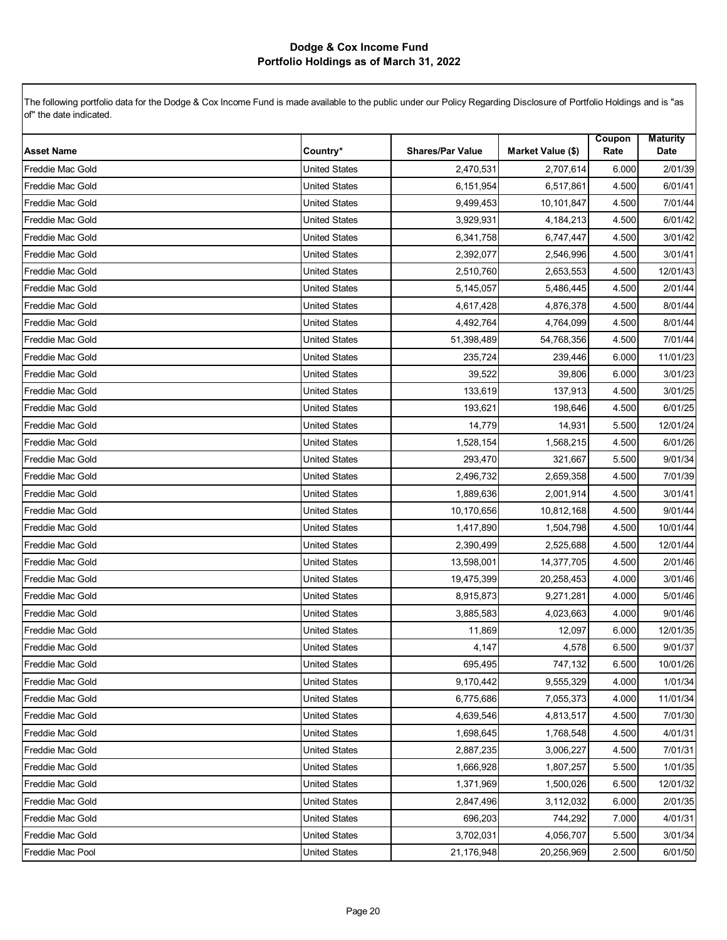| <b>Asset Name</b>       | Country*             | <b>Shares/Par Value</b> | Market Value (\$) | Coupon<br>Rate | <b>Maturity</b><br>Date |
|-------------------------|----------------------|-------------------------|-------------------|----------------|-------------------------|
| Freddie Mac Gold        | <b>United States</b> | 2,470,531               | 2,707,614         | 6.000          | 2/01/39                 |
| Freddie Mac Gold        | <b>United States</b> | 6,151,954               | 6,517,861         | 4.500          | 6/01/41                 |
| Freddie Mac Gold        | <b>United States</b> | 9,499,453               | 10,101,847        | 4.500          | 7/01/44                 |
| Freddie Mac Gold        | <b>United States</b> | 3,929,931               | 4,184,213         | 4.500          | 6/01/42                 |
| Freddie Mac Gold        | <b>United States</b> | 6,341,758               | 6,747,447         | 4.500          | 3/01/42                 |
| Freddie Mac Gold        | <b>United States</b> | 2,392,077               | 2,546,996         | 4.500          | 3/01/41                 |
| Freddie Mac Gold        | <b>United States</b> | 2,510,760               | 2,653,553         | 4.500          | 12/01/43                |
| Freddie Mac Gold        | <b>United States</b> | 5,145,057               | 5,486,445         | 4.500          | 2/01/44                 |
| Freddie Mac Gold        | <b>United States</b> | 4,617,428               | 4,876,378         | 4.500          | 8/01/44                 |
| Freddie Mac Gold        | <b>United States</b> | 4,492,764               | 4,764,099         | 4.500          | 8/01/44                 |
| <b>Freddie Mac Gold</b> | <b>United States</b> | 51,398,489              | 54,768,356        | 4.500          | 7/01/44                 |
| Freddie Mac Gold        | <b>United States</b> | 235,724                 | 239,446           | 6.000          | 11/01/23                |
| Freddie Mac Gold        | <b>United States</b> | 39,522                  | 39,806            | 6.000          | 3/01/23                 |
| Freddie Mac Gold        | <b>United States</b> | 133,619                 | 137,913           | 4.500          | 3/01/25                 |
| Freddie Mac Gold        | <b>United States</b> | 193.621                 | 198,646           | 4.500          | 6/01/25                 |
| Freddie Mac Gold        | <b>United States</b> | 14,779                  | 14,931            | 5.500          | 12/01/24                |
| Freddie Mac Gold        | <b>United States</b> | 1,528,154               | 1,568,215         | 4.500          | 6/01/26                 |
| Freddie Mac Gold        | <b>United States</b> | 293,470                 | 321,667           | 5.500          | 9/01/34                 |
| Freddie Mac Gold        | <b>United States</b> | 2,496,732               | 2,659,358         | 4.500          | 7/01/39                 |
| Freddie Mac Gold        | <b>United States</b> | 1,889,636               | 2,001,914         | 4.500          | 3/01/41                 |
| <b>Freddie Mac Gold</b> | <b>United States</b> | 10,170,656              | 10,812,168        | 4.500          | 9/01/44                 |
| Freddie Mac Gold        | <b>United States</b> | 1,417,890               | 1,504,798         | 4.500          | 10/01/44                |
| Freddie Mac Gold        | <b>United States</b> | 2,390,499               | 2,525,688         | 4.500          | 12/01/44                |
| Freddie Mac Gold        | <b>United States</b> | 13,598,001              | 14,377,705        | 4.500          | 2/01/46                 |
| Freddie Mac Gold        | <b>United States</b> | 19,475,399              | 20,258,453        | 4.000          | 3/01/46                 |
| Freddie Mac Gold        | <b>United States</b> | 8,915,873               | 9,271,281         | 4.000          | 5/01/46                 |
| Freddie Mac Gold        | <b>United States</b> | 3,885,583               | 4,023,663         | 4.000          | 9/01/46                 |
| Freddie Mac Gold        | <b>United States</b> | 11,869                  | 12,097            | 6.000          | 12/01/35                |
| Freddie Mac Gold        | <b>United States</b> | 4,147                   | 4,578             | 6.500          | 9/01/37                 |
| Freddie Mac Gold        | <b>United States</b> | 695,495                 | 747,132           | 6.500          | 10/01/26                |
| <b>Freddie Mac Gold</b> | <b>United States</b> | 9,170,442               | 9,555,329         | 4.000          | 1/01/34                 |
| Freddie Mac Gold        | <b>United States</b> | 6,775,686               | 7,055,373         | 4.000          | 11/01/34                |
| Freddie Mac Gold        | <b>United States</b> | 4,639,546               | 4,813,517         | 4.500          | 7/01/30                 |
| Freddie Mac Gold        | <b>United States</b> | 1,698,645               | 1,768,548         | 4.500          | 4/01/31                 |
| Freddie Mac Gold        | United States        | 2,887,235               | 3,006,227         | 4.500          | 7/01/31                 |
| Freddie Mac Gold        | <b>United States</b> | 1,666,928               | 1,807,257         | 5.500          | 1/01/35                 |
| Freddie Mac Gold        | <b>United States</b> | 1,371,969               | 1,500,026         | 6.500          | 12/01/32                |
| Freddie Mac Gold        | <b>United States</b> | 2,847,496               | 3,112,032         | 6.000          | 2/01/35                 |
| Freddie Mac Gold        | <b>United States</b> | 696,203                 | 744,292           | 7.000          | 4/01/31                 |
| Freddie Mac Gold        | <b>United States</b> | 3,702,031               | 4,056,707         | 5.500          | 3/01/34                 |
| Freddie Mac Pool        | <b>United States</b> | 21,176,948              | 20,256,969        | 2.500          | 6/01/50                 |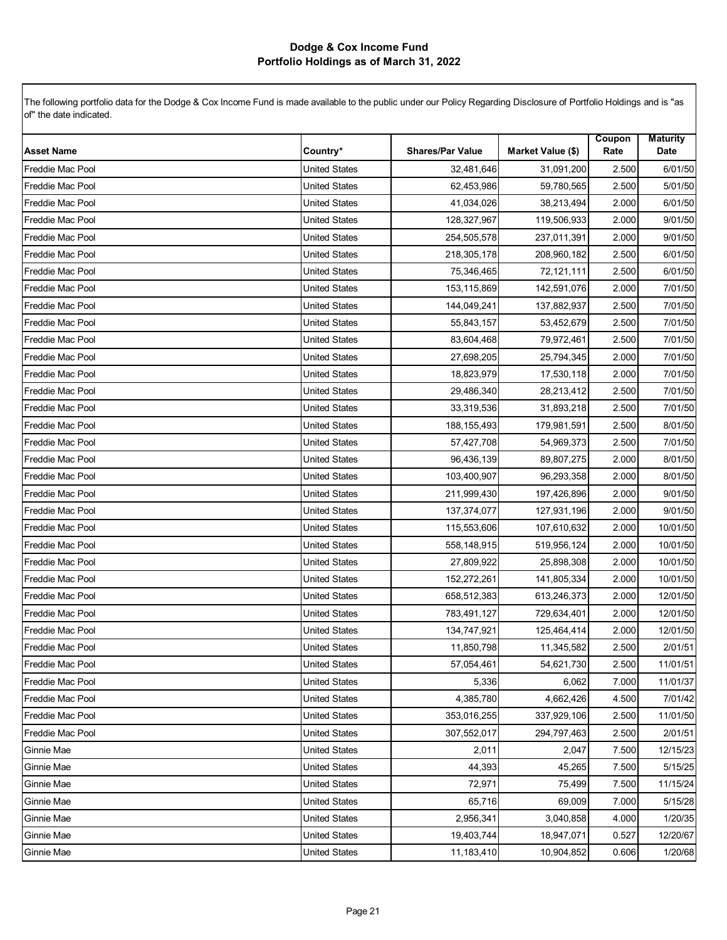| <b>Asset Name</b>       | Country*             | <b>Shares/Par Value</b> | <b>Market Value (\$)</b> | Coupon<br>Rate | <b>Maturity</b><br>Date |
|-------------------------|----------------------|-------------------------|--------------------------|----------------|-------------------------|
| Freddie Mac Pool        | <b>United States</b> | 32,481,646              | 31,091,200               | 2.500          | 6/01/50                 |
| <b>Freddie Mac Pool</b> | <b>United States</b> | 62,453,986              | 59,780,565               | 2.500          | 5/01/50                 |
| Freddie Mac Pool        | <b>United States</b> | 41,034,026              | 38,213,494               | 2.000          | 6/01/50                 |
| <b>Freddie Mac Pool</b> | <b>United States</b> | 128,327,967             | 119,506,933              | 2.000          | 9/01/50                 |
| Freddie Mac Pool        | <b>United States</b> | 254,505,578             | 237,011,391              | 2.000          | 9/01/50                 |
| Freddie Mac Pool        | <b>United States</b> | 218,305,178             | 208,960,182              | 2.500          | 6/01/50                 |
| <b>Freddie Mac Pool</b> | <b>United States</b> | 75,346,465              | 72,121,111               | 2.500          | 6/01/50                 |
| Freddie Mac Pool        | <b>United States</b> | 153,115,869             | 142,591,076              | 2.000          | 7/01/50                 |
| <b>Freddie Mac Pool</b> | <b>United States</b> | 144,049,241             | 137,882,937              | 2.500          | 7/01/50                 |
| Freddie Mac Pool        | <b>United States</b> | 55,843,157              | 53,452,679               | 2.500          | 7/01/50                 |
| Freddie Mac Pool        | <b>United States</b> | 83,604,468              | 79,972,461               | 2.500          | 7/01/50                 |
| Freddie Mac Pool        | <b>United States</b> | 27,698,205              | 25,794,345               | 2.000          | 7/01/50                 |
| Freddie Mac Pool        | <b>United States</b> | 18,823,979              | 17,530,118               | 2.000          | 7/01/50                 |
| Freddie Mac Pool        | <b>United States</b> | 29,486,340              | 28,213,412               | 2.500          | 7/01/50                 |
| Freddie Mac Pool        | <b>United States</b> | 33,319,536              | 31,893,218               | 2.500          | 7/01/50                 |
| Freddie Mac Pool        | <b>United States</b> | 188, 155, 493           | 179,981,591              | 2.500          | 8/01/50                 |
| Freddie Mac Pool        | <b>United States</b> | 57,427,708              | 54,969,373               | 2.500          | 7/01/50                 |
| Freddie Mac Pool        | <b>United States</b> | 96,436,139              | 89,807,275               | 2.000          | 8/01/50                 |
| <b>Freddie Mac Pool</b> | <b>United States</b> | 103,400,907             | 96,293,358               | 2.000          | 8/01/50                 |
| Freddie Mac Pool        | <b>United States</b> | 211,999,430             | 197,426,896              | 2.000          | 9/01/50                 |
| Freddie Mac Pool        | <b>United States</b> | 137,374,077             | 127,931,196              | 2.000          | 9/01/50                 |
| Freddie Mac Pool        | <b>United States</b> | 115,553,606             | 107,610,632              | 2.000          | 10/01/50                |
| Freddie Mac Pool        | <b>United States</b> | 558,148,915             | 519,956,124              | 2.000          | 10/01/50                |
| <b>Freddie Mac Pool</b> | <b>United States</b> | 27,809,922              | 25,898,308               | 2.000          | 10/01/50                |
| Freddie Mac Pool        | <b>United States</b> | 152,272,261             | 141,805,334              | 2.000          | 10/01/50                |
| <b>Freddie Mac Pool</b> | <b>United States</b> | 658,512,383             | 613,246,373              | 2.000          | 12/01/50                |
| Freddie Mac Pool        | <b>United States</b> | 783,491,127             | 729,634,401              | 2.000          | 12/01/50                |
| Freddie Mac Pool        | <b>United States</b> | 134,747,921             | 125,464,414              | 2.000          | 12/01/50                |
| <b>Freddie Mac Pool</b> | <b>United States</b> | 11,850,798              | 11,345,582               | 2.500          | 2/01/51                 |
| Freddie Mac Pool        | <b>United States</b> | 57,054,461              | 54,621,730               | 2.500          | 11/01/51                |
| Freddie Mac Pool        | <b>United States</b> | 5,336                   | 6,062                    | 7.000          | 11/01/37                |
| Freddie Mac Pool        | <b>United States</b> | 4,385,780               | 4,662,426                | 4.500          | 7/01/42                 |
| Freddie Mac Pool        | <b>United States</b> | 353,016,255             | 337,929,106              | 2.500          | 11/01/50                |
| <b>Freddie Mac Pool</b> | <b>United States</b> | 307,552,017             | 294,797,463              | 2.500          | 2/01/51                 |
| Ginnie Mae              | <b>United States</b> | 2,011                   | 2,047                    | 7.500          | 12/15/23                |
| Ginnie Mae              | <b>United States</b> | 44,393                  | 45,265                   | 7.500          | 5/15/25                 |
| Ginnie Mae              | <b>United States</b> | 72,971                  | 75,499                   | 7.500          | 11/15/24                |
| Ginnie Mae              | <b>United States</b> | 65,716                  | 69,009                   | 7.000          | 5/15/28                 |
| Ginnie Mae              | <b>United States</b> | 2,956,341               | 3,040,858                | 4.000          | 1/20/35                 |
| Ginnie Mae              | <b>United States</b> | 19,403,744              | 18,947,071               | 0.527          | 12/20/67                |
| Ginnie Mae              | <b>United States</b> | 11,183,410              | 10,904,852               | 0.606          | 1/20/68                 |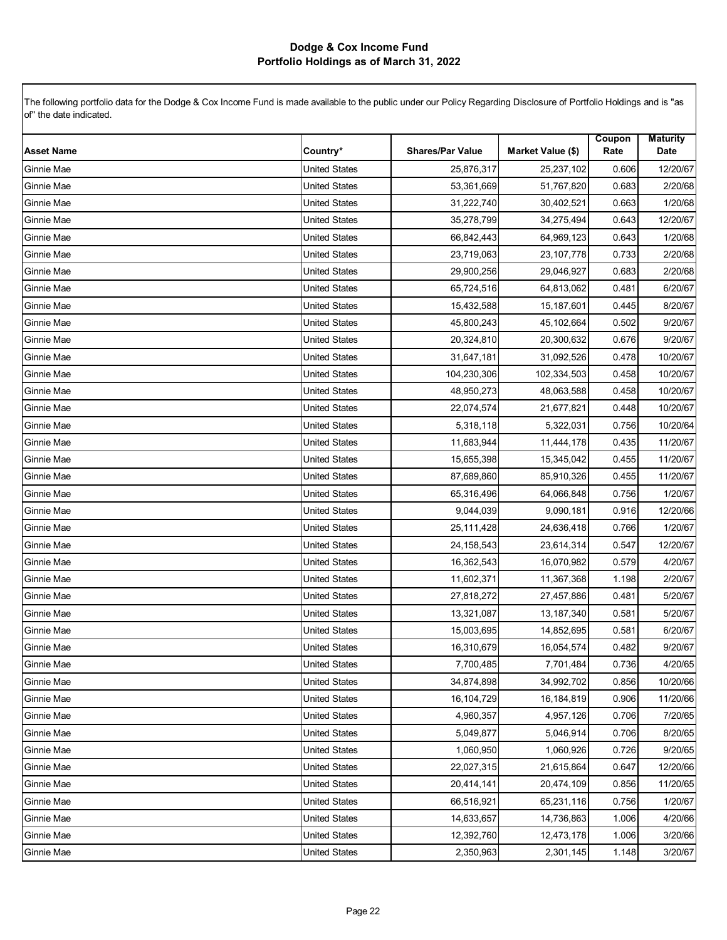| <b>Asset Name</b> | Country*             | <b>Shares/Par Value</b> | Market Value (\$) | Coupon<br>Rate | <b>Maturity</b><br>Date |
|-------------------|----------------------|-------------------------|-------------------|----------------|-------------------------|
| Ginnie Mae        | <b>United States</b> | 25,876,317              | 25,237,102        | 0.606          | 12/20/67                |
| Ginnie Mae        | <b>United States</b> | 53,361,669              | 51,767,820        | 0.683          | 2/20/68                 |
| Ginnie Mae        | <b>United States</b> | 31,222,740              | 30,402,521        | 0.663          | 1/20/68                 |
| Ginnie Mae        | <b>United States</b> | 35,278,799              | 34,275,494        | 0.643          | 12/20/67                |
| Ginnie Mae        | <b>United States</b> | 66,842,443              | 64,969,123        | 0.643          | 1/20/68                 |
| Ginnie Mae        | <b>United States</b> | 23,719,063              | 23, 107, 778      | 0.733          | 2/20/68                 |
| Ginnie Mae        | <b>United States</b> | 29,900,256              | 29,046,927        | 0.683          | 2/20/68                 |
| Ginnie Mae        | <b>United States</b> | 65,724,516              | 64,813,062        | 0.481          | 6/20/67                 |
| Ginnie Mae        | <b>United States</b> | 15,432,588              | 15,187,601        | 0.445          | 8/20/67                 |
| Ginnie Mae        | <b>United States</b> | 45,800,243              | 45,102,664        | 0.502          | 9/20/67                 |
| Ginnie Mae        | <b>United States</b> | 20,324,810              | 20,300,632        | 0.676          | 9/20/67                 |
| Ginnie Mae        | <b>United States</b> | 31,647,181              | 31,092,526        | 0.478          | 10/20/67                |
| Ginnie Mae        | <b>United States</b> | 104,230,306             | 102,334,503       | 0.458          | 10/20/67                |
| Ginnie Mae        | <b>United States</b> | 48,950,273              | 48,063,588        | 0.458          | 10/20/67                |
| Ginnie Mae        | <b>United States</b> | 22,074,574              | 21,677,821        | 0.448          | 10/20/67                |
| Ginnie Mae        | <b>United States</b> | 5,318,118               | 5,322,031         | 0.756          | 10/20/64                |
| Ginnie Mae        | <b>United States</b> | 11,683,944              | 11,444,178        | 0.435          | 11/20/67                |
| Ginnie Mae        | <b>United States</b> | 15,655,398              | 15,345,042        | 0.455          | 11/20/67                |
| Ginnie Mae        | <b>United States</b> | 87,689,860              | 85,910,326        | 0.455          | 11/20/67                |
| Ginnie Mae        | <b>United States</b> | 65,316,496              | 64,066,848        | 0.756          | 1/20/67                 |
| Ginnie Mae        | <b>United States</b> | 9,044,039               | 9,090,181         | 0.916          | 12/20/66                |
| Ginnie Mae        | <b>United States</b> | 25,111,428              | 24,636,418        | 0.766          | 1/20/67                 |
| Ginnie Mae        | <b>United States</b> | 24,158,543              | 23,614,314        | 0.547          | 12/20/67                |
| Ginnie Mae        | <b>United States</b> | 16,362,543              | 16,070,982        | 0.579          | 4/20/67                 |
| Ginnie Mae        | <b>United States</b> | 11,602,371              | 11,367,368        | 1.198          | 2/20/67                 |
| Ginnie Mae        | <b>United States</b> | 27,818,272              | 27,457,886        | 0.481          | 5/20/67                 |
| Ginnie Mae        | <b>United States</b> | 13,321,087              | 13, 187, 340      | 0.581          | 5/20/67                 |
| Ginnie Mae        | <b>United States</b> | 15,003,695              | 14,852,695        | 0.581          | 6/20/67                 |
| Ginnie Mae        | <b>United States</b> | 16,310,679              | 16,054,574        | 0.482          | 9/20/67                 |
| Ginnie Mae        | <b>United States</b> | 7,700,485               | 7,701,484         | 0.736          | 4/20/65                 |
| Ginnie Mae        | <b>United States</b> | 34,874,898              | 34,992,702        | 0.856          | 10/20/66                |
| Ginnie Mae        | <b>United States</b> | 16,104,729              | 16,184,819        | 0.906          | 11/20/66                |
| Ginnie Mae        | <b>United States</b> | 4,960,357               | 4,957,126         | 0.706          | 7/20/65                 |
| Ginnie Mae        | <b>United States</b> | 5,049,877               | 5,046,914         | 0.706          | 8/20/65                 |
| Ginnie Mae        | <b>United States</b> | 1,060,950               | 1,060,926         | 0.726          | 9/20/65                 |
| Ginnie Mae        | <b>United States</b> | 22,027,315              | 21,615,864        | 0.647          | 12/20/66                |
| Ginnie Mae        | <b>United States</b> | 20,414,141              | 20,474,109        | 0.856          | 11/20/65                |
| Ginnie Mae        | <b>United States</b> | 66,516,921              | 65,231,116        | 0.756          | 1/20/67                 |
| Ginnie Mae        | <b>United States</b> | 14,633,657              | 14,736,863        | 1.006          | 4/20/66                 |
| Ginnie Mae        | <b>United States</b> | 12,392,760              | 12,473,178        | 1.006          | 3/20/66                 |
| Ginnie Mae        | <b>United States</b> | 2,350,963               | 2,301,145         | 1.148          | 3/20/67                 |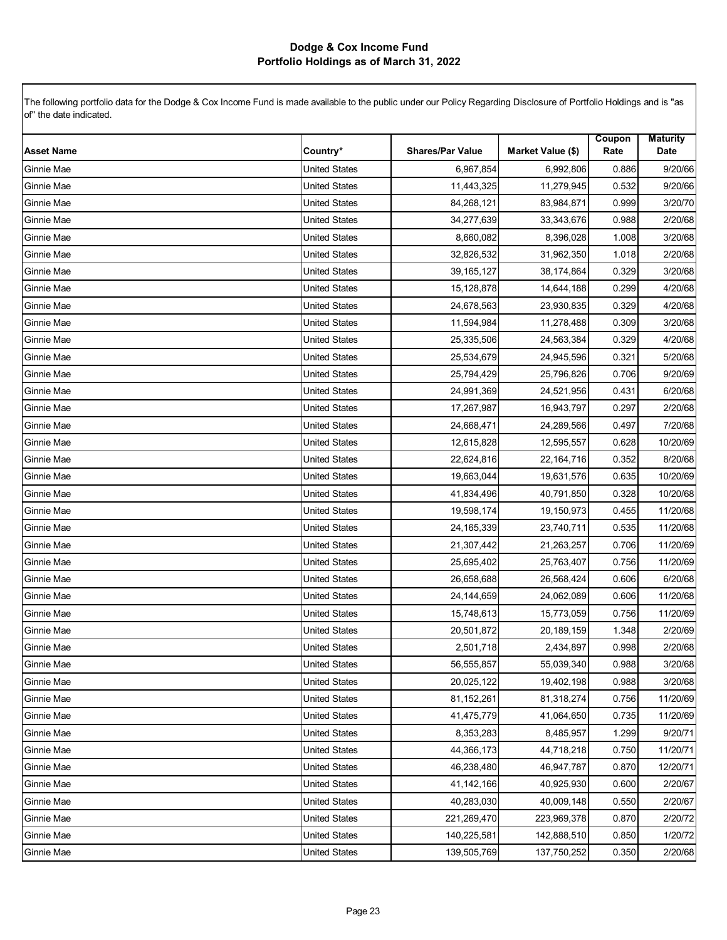| <b>Asset Name</b> | Country*             | <b>Shares/Par Value</b> | Market Value (\$) | Coupon<br>Rate | <b>Maturity</b><br>Date |
|-------------------|----------------------|-------------------------|-------------------|----------------|-------------------------|
| Ginnie Mae        | <b>United States</b> | 6,967,854               | 6,992,806         | 0.886          | 9/20/66                 |
| Ginnie Mae        | <b>United States</b> | 11,443,325              | 11,279,945        | 0.532          | 9/20/66                 |
| Ginnie Mae        | <b>United States</b> | 84,268,121              | 83,984,871        | 0.999          | 3/20/70                 |
| Ginnie Mae        | <b>United States</b> | 34,277,639              | 33,343,676        | 0.988          | 2/20/68                 |
| Ginnie Mae        | <b>United States</b> | 8,660,082               | 8,396,028         | 1.008          | 3/20/68                 |
| Ginnie Mae        | <b>United States</b> | 32,826,532              | 31,962,350        | 1.018          | 2/20/68                 |
| Ginnie Mae        | <b>United States</b> | 39, 165, 127            | 38,174,864        | 0.329          | 3/20/68                 |
| Ginnie Mae        | <b>United States</b> | 15,128,878              | 14,644,188        | 0.299          | 4/20/68                 |
| Ginnie Mae        | <b>United States</b> | 24,678,563              | 23,930,835        | 0.329          | 4/20/68                 |
| Ginnie Mae        | <b>United States</b> | 11,594,984              | 11,278,488        | 0.309          | 3/20/68                 |
| Ginnie Mae        | <b>United States</b> | 25,335,506              | 24,563,384        | 0.329          | 4/20/68                 |
| Ginnie Mae        | <b>United States</b> | 25,534,679              | 24,945,596        | 0.321          | 5/20/68                 |
| Ginnie Mae        | <b>United States</b> | 25,794,429              | 25,796,826        | 0.706          | 9/20/69                 |
| Ginnie Mae        | <b>United States</b> | 24,991,369              | 24,521,956        | 0.431          | 6/20/68                 |
| Ginnie Mae        | <b>United States</b> | 17,267,987              | 16,943,797        | 0.297          | 2/20/68                 |
| Ginnie Mae        | <b>United States</b> | 24,668,471              | 24,289,566        | 0.497          | 7/20/68                 |
| Ginnie Mae        | <b>United States</b> | 12,615,828              | 12,595,557        | 0.628          | 10/20/69                |
| Ginnie Mae        | <b>United States</b> | 22,624,816              | 22,164,716        | 0.352          | 8/20/68                 |
| Ginnie Mae        | <b>United States</b> | 19,663,044              | 19,631,576        | 0.635          | 10/20/69                |
| Ginnie Mae        | <b>United States</b> | 41,834,496              | 40,791,850        | 0.328          | 10/20/68                |
| Ginnie Mae        | <b>United States</b> | 19,598,174              | 19,150,973        | 0.455          | 11/20/68                |
| Ginnie Mae        | <b>United States</b> | 24, 165, 339            | 23,740,711        | 0.535          | 11/20/68                |
| Ginnie Mae        | <b>United States</b> | 21,307,442              | 21,263,257        | 0.706          | 11/20/69                |
| Ginnie Mae        | <b>United States</b> | 25,695,402              | 25,763,407        | 0.756          | 11/20/69                |
| Ginnie Mae        | <b>United States</b> | 26,658,688              | 26,568,424        | 0.606          | 6/20/68                 |
| Ginnie Mae        | <b>United States</b> | 24,144,659              | 24,062,089        | 0.606          | 11/20/68                |
| Ginnie Mae        | <b>United States</b> | 15,748,613              | 15,773,059        | 0.756          | 11/20/69                |
| Ginnie Mae        | <b>United States</b> | 20,501,872              | 20,189,159        | 1.348          | 2/20/69                 |
| Ginnie Mae        | <b>United States</b> | 2,501,718               | 2,434,897         | 0.998          | 2/20/68                 |
| Ginnie Mae        | <b>United States</b> | 56,555,857              | 55,039,340        | 0.988          | 3/20/68                 |
| Ginnie Mae        | <b>United States</b> | 20,025,122              | 19,402,198        | 0.988          | 3/20/68                 |
| Ginnie Mae        | <b>United States</b> | 81,152,261              | 81,318,274        | 0.756          | 11/20/69                |
| Ginnie Mae        | <b>United States</b> | 41,475,779              | 41,064,650        | 0.735          | 11/20/69                |
| Ginnie Mae        | <b>United States</b> | 8,353,283               | 8,485,957         | 1.299          | 9/20/71                 |
| Ginnie Mae        | <b>United States</b> | 44,366,173              | 44,718,218        | 0.750          | 11/20/71                |
| Ginnie Mae        | <b>United States</b> | 46,238,480              | 46,947,787        | 0.870          | 12/20/71                |
| Ginnie Mae        | <b>United States</b> | 41,142,166              | 40,925,930        | 0.600          | 2/20/67                 |
| Ginnie Mae        | <b>United States</b> | 40,283,030              | 40,009,148        | 0.550          | 2/20/67                 |
| Ginnie Mae        | <b>United States</b> | 221,269,470             | 223,969,378       | 0.870          | 2/20/72                 |
| Ginnie Mae        | <b>United States</b> | 140,225,581             | 142,888,510       | 0.850          | 1/20/72                 |
| Ginnie Mae        | <b>United States</b> | 139,505,769             | 137,750,252       | 0.350          | 2/20/68                 |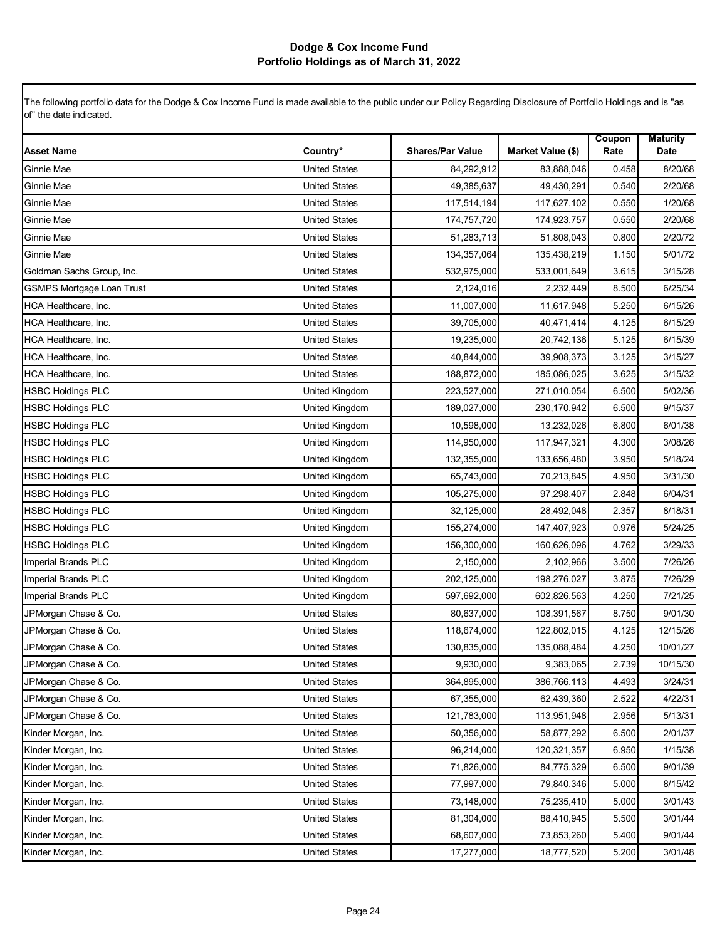| <b>Asset Name</b>         | Country*             | <b>Shares/Par Value</b> | Market Value (\$) | Coupon<br>Rate | <b>Maturity</b><br>Date |
|---------------------------|----------------------|-------------------------|-------------------|----------------|-------------------------|
| Ginnie Mae                | <b>United States</b> | 84,292,912              | 83,888,046        | 0.458          | 8/20/68                 |
| Ginnie Mae                | <b>United States</b> | 49,385,637              | 49,430,291        | 0.540          | 2/20/68                 |
| Ginnie Mae                | <b>United States</b> | 117,514,194             | 117,627,102       | 0.550          | 1/20/68                 |
| Ginnie Mae                | <b>United States</b> | 174,757,720             | 174,923,757       | 0.550          | 2/20/68                 |
| Ginnie Mae                | <b>United States</b> | 51,283,713              | 51,808,043        | 0.800          | 2/20/72                 |
| Ginnie Mae                | <b>United States</b> | 134,357,064             | 135,438,219       | 1.150          | 5/01/72                 |
| Goldman Sachs Group, Inc. | <b>United States</b> | 532,975,000             | 533,001,649       | 3.615          | 3/15/28                 |
| GSMPS Mortgage Loan Trust | <b>United States</b> | 2,124,016               | 2,232,449         | 8.500          | 6/25/34                 |
| HCA Healthcare, Inc.      | <b>United States</b> | 11,007,000              | 11,617,948        | 5.250          | 6/15/26                 |
| HCA Healthcare, Inc.      | <b>United States</b> | 39,705,000              | 40,471,414        | 4.125          | 6/15/29                 |
| HCA Healthcare, Inc.      | <b>United States</b> | 19,235,000              | 20,742,136        | 5.125          | 6/15/39                 |
| HCA Healthcare, Inc.      | <b>United States</b> | 40,844,000              | 39,908,373        | 3.125          | 3/15/27                 |
| HCA Healthcare, Inc.      | <b>United States</b> | 188,872,000             | 185,086,025       | 3.625          | 3/15/32                 |
| <b>HSBC Holdings PLC</b>  | United Kingdom       | 223,527,000             | 271,010,054       | 6.500          | 5/02/36                 |
| <b>HSBC Holdings PLC</b>  | United Kingdom       | 189,027,000             | 230, 170, 942     | 6.500          | 9/15/37                 |
| <b>HSBC Holdings PLC</b>  | United Kingdom       | 10,598,000              | 13,232,026        | 6.800          | 6/01/38                 |
| <b>HSBC Holdings PLC</b>  | United Kingdom       | 114,950,000             | 117,947,321       | 4.300          | 3/08/26                 |
| <b>HSBC Holdings PLC</b>  | United Kingdom       | 132,355,000             | 133,656,480       | 3.950          | 5/18/24                 |
| <b>HSBC Holdings PLC</b>  | United Kingdom       | 65,743,000              | 70,213,845        | 4.950          | 3/31/30                 |
| <b>HSBC Holdings PLC</b>  | United Kingdom       | 105,275,000             | 97,298,407        | 2.848          | 6/04/31                 |
| <b>HSBC Holdings PLC</b>  | United Kingdom       | 32,125,000              | 28,492,048        | 2.357          | 8/18/31                 |
| <b>HSBC Holdings PLC</b>  | United Kingdom       | 155,274,000             | 147,407,923       | 0.976          | 5/24/25                 |
| <b>HSBC Holdings PLC</b>  | United Kingdom       | 156,300,000             | 160,626,096       | 4.762          | 3/29/33                 |
| Imperial Brands PLC       | United Kingdom       | 2,150,000               | 2,102,966         | 3.500          | 7/26/26                 |
| Imperial Brands PLC       | United Kingdom       | 202,125,000             | 198,276,027       | 3.875          | 7/26/29                 |
| Imperial Brands PLC       | United Kingdom       | 597,692,000             | 602,826,563       | 4.250          | 7/21/25                 |
| JPMorgan Chase & Co.      | <b>United States</b> | 80,637,000              | 108,391,567       | 8.750          | 9/01/30                 |
| JPMorgan Chase & Co.      | <b>United States</b> | 118,674,000             | 122,802,015       | 4.125          | 12/15/26                |
| JPMorgan Chase & Co.      | <b>United States</b> | 130,835,000             | 135,088,484       | 4.250          | 10/01/27                |
| JPMorgan Chase & Co.      | <b>United States</b> | 9,930,000               | 9,383,065         | 2.739          | 10/15/30                |
| JPMorgan Chase & Co.      | <b>United States</b> | 364,895,000             | 386,766,113       | 4.493          | 3/24/31                 |
| JPMorgan Chase & Co.      | <b>United States</b> | 67,355,000              | 62,439,360        | 2.522          | 4/22/31                 |
| JPMorgan Chase & Co.      | <b>United States</b> | 121,783,000             | 113,951,948       | 2.956          | 5/13/31                 |
| Kinder Morgan, Inc.       | <b>United States</b> | 50,356,000              | 58,877,292        | 6.500          | 2/01/37                 |
| Kinder Morgan, Inc.       | <b>United States</b> | 96,214,000              | 120,321,357       | 6.950          | 1/15/38                 |
| Kinder Morgan, Inc.       | <b>United States</b> | 71,826,000              | 84,775,329        | 6.500          | 9/01/39                 |
| Kinder Morgan, Inc.       | <b>United States</b> | 77,997,000              | 79,840,346        | 5.000          | 8/15/42                 |
| Kinder Morgan, Inc.       | <b>United States</b> | 73,148,000              | 75,235,410        | 5.000          | 3/01/43                 |
| Kinder Morgan, Inc.       | <b>United States</b> | 81,304,000              | 88,410,945        | 5.500          | 3/01/44                 |
| Kinder Morgan, Inc.       | <b>United States</b> | 68,607,000              | 73,853,260        | 5.400          | 9/01/44                 |
| Kinder Morgan, Inc.       | <b>United States</b> | 17,277,000              | 18,777,520        | 5.200          | 3/01/48                 |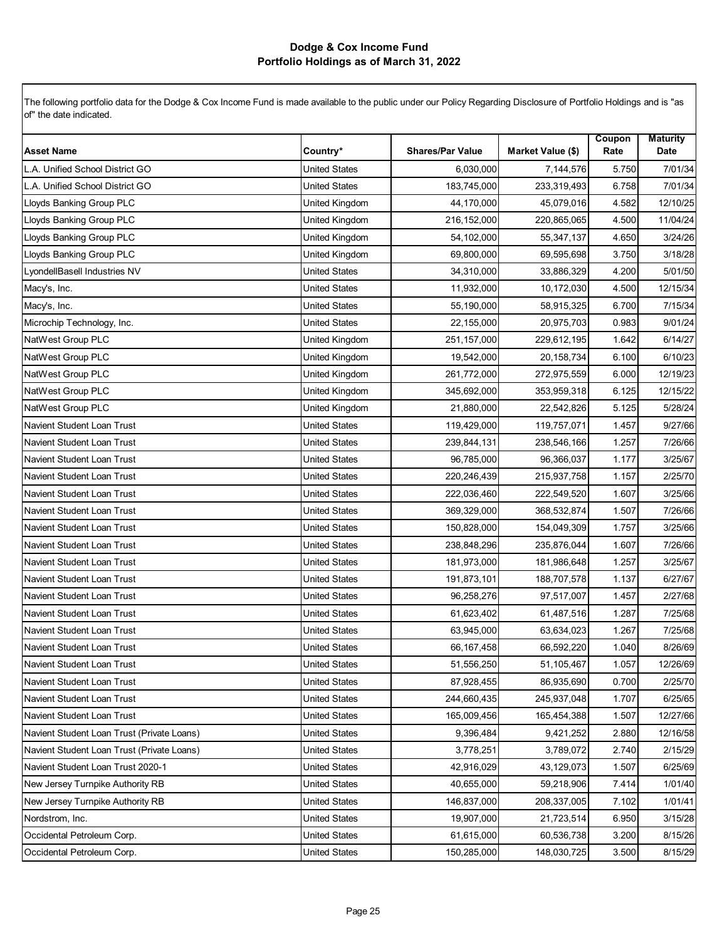| <b>Asset Name</b>                          | Country*             | <b>Shares/Par Value</b> | Market Value (\$) | Coupon<br>Rate | <b>Maturity</b><br>Date |
|--------------------------------------------|----------------------|-------------------------|-------------------|----------------|-------------------------|
|                                            |                      |                         |                   |                |                         |
| L.A. Unified School District GO            | <b>United States</b> | 6,030,000               | 7,144,576         | 5.750          | 7/01/34                 |
| L.A. Unified School District GO            | United States        | 183,745,000             | 233,319,493       | 6.758          | 7/01/34                 |
| Lloyds Banking Group PLC                   | United Kingdom       | 44,170,000              | 45,079,016        | 4.582          | 12/10/25                |
| Lloyds Banking Group PLC                   | United Kingdom       | 216,152,000             | 220,865,065       | 4.500          | 11/04/24                |
| Lloyds Banking Group PLC                   | United Kingdom       | 54,102,000              | 55,347,137        | 4.650          | 3/24/26                 |
| Lloyds Banking Group PLC                   | United Kingdom       | 69,800,000              | 69,595,698        | 3.750          | 3/18/28                 |
| LyondellBasell Industries NV               | <b>United States</b> | 34,310,000              | 33,886,329        | 4.200          | 5/01/50                 |
| Macy's, Inc.                               | <b>United States</b> | 11,932,000              | 10,172,030        | 4.500          | 12/15/34                |
| Macy's, Inc.                               | <b>United States</b> | 55,190,000              | 58,915,325        | 6.700          | 7/15/34                 |
| Microchip Technology, Inc.                 | <b>United States</b> | 22,155,000              | 20,975,703        | 0.983          | 9/01/24                 |
| NatWest Group PLC                          | United Kingdom       | 251,157,000             | 229,612,195       | 1.642          | 6/14/27                 |
| NatWest Group PLC                          | United Kingdom       | 19,542,000              | 20, 158, 734      | 6.100          | 6/10/23                 |
| NatWest Group PLC                          | United Kingdom       | 261,772,000             | 272,975,559       | 6.000          | 12/19/23                |
| NatWest Group PLC                          | United Kingdom       | 345,692,000             | 353,959,318       | 6.125          | 12/15/22                |
| NatWest Group PLC                          | United Kingdom       | 21,880,000              | 22,542,826        | 5.125          | 5/28/24                 |
| Navient Student Loan Trust                 | <b>United States</b> | 119,429,000             | 119,757,071       | 1.457          | 9/27/66                 |
| Navient Student Loan Trust                 | <b>United States</b> | 239,844,131             | 238,546,166       | 1.257          | 7/26/66                 |
| Navient Student Loan Trust                 | <b>United States</b> | 96,785,000              | 96,366,037        | 1.177          | 3/25/67                 |
| Navient Student Loan Trust                 | <b>United States</b> | 220,246,439             | 215,937,758       | 1.157          | 2/25/70                 |
| Navient Student Loan Trust                 | <b>United States</b> | 222,036,460             | 222,549,520       | 1.607          | 3/25/66                 |
| Navient Student Loan Trust                 | <b>United States</b> | 369,329,000             | 368,532,874       | 1.507          | 7/26/66                 |
| Navient Student Loan Trust                 | United States        | 150,828,000             | 154,049,309       | 1.757          | 3/25/66                 |
| Navient Student Loan Trust                 | <b>United States</b> | 238,848,296             | 235,876,044       | 1.607          | 7/26/66                 |
| Navient Student Loan Trust                 | <b>United States</b> | 181,973,000             | 181,986,648       | 1.257          | 3/25/67                 |
| Navient Student Loan Trust                 | <b>United States</b> | 191,873,101             | 188,707,578       | 1.137          | 6/27/67                 |
| Navient Student Loan Trust                 | <b>United States</b> | 96,258,276              | 97,517,007        | 1.457          | 2/27/68                 |
| Navient Student Loan Trust                 | <b>United States</b> | 61,623,402              | 61,487,516        | 1.287          | 7/25/68                 |
| Navient Student Loan Trust                 | <b>United States</b> | 63,945,000              | 63,634,023        | 1.267          | 7/25/68                 |
| Navient Student Loan Trust                 | <b>United States</b> | 66,167,458              | 66,592,220        | 1.040          | 8/26/69                 |
| Navient Student Loan Trust                 | <b>United States</b> | 51,556,250              | 51,105,467        | 1.057          | 12/26/69                |
| Navient Student Loan Trust                 | United States        | 87,928,455              | 86,935,690        | 0.700          | 2/25/70                 |
| Navient Student Loan Trust                 | <b>United States</b> | 244,660,435             | 245,937,048       | 1.707          | 6/25/65                 |
| Navient Student Loan Trust                 | <b>United States</b> | 165,009,456             | 165,454,388       | 1.507          | 12/27/66                |
| Navient Student Loan Trust (Private Loans) | <b>United States</b> | 9,396,484               | 9,421,252         | 2.880          | 12/16/58                |
| Navient Student Loan Trust (Private Loans) | <b>United States</b> | 3,778,251               | 3,789,072         | 2.740          | 2/15/29                 |
| Navient Student Loan Trust 2020-1          | United States        | 42,916,029              | 43,129,073        | 1.507          | 6/25/69                 |
| New Jersey Turnpike Authority RB           | <b>United States</b> | 40,655,000              | 59,218,906        | 7.414          | 1/01/40                 |
| New Jersey Turnpike Authority RB           | <b>United States</b> | 146,837,000             | 208,337,005       | 7.102          | 1/01/41                 |
| Nordstrom, Inc.                            | <b>United States</b> | 19,907,000              | 21,723,514        | 6.950          | 3/15/28                 |
| Occidental Petroleum Corp.                 | <b>United States</b> | 61,615,000              | 60,536,738        | 3.200          | 8/15/26                 |
| Occidental Petroleum Corp.                 | <b>United States</b> | 150,285,000             | 148,030,725       | 3.500          | 8/15/29                 |
|                                            |                      |                         |                   |                |                         |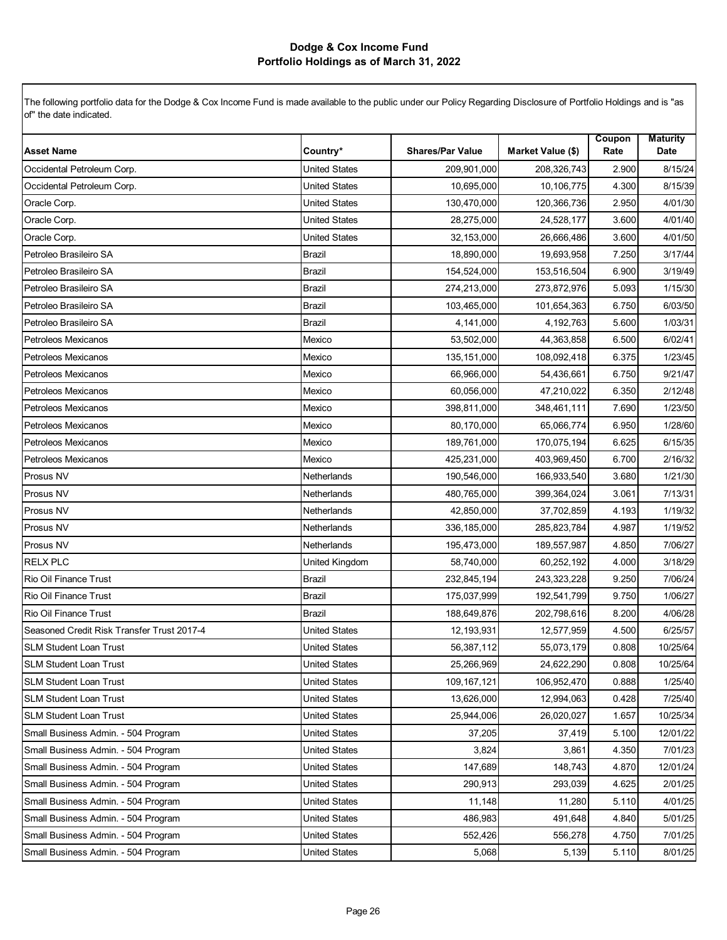| <b>Asset Name</b>                          | Country*             | <b>Shares/Par Value</b> | Market Value (\$) | Coupon<br>Rate | <b>Maturity</b><br>Date |
|--------------------------------------------|----------------------|-------------------------|-------------------|----------------|-------------------------|
| Occidental Petroleum Corp.                 | <b>United States</b> | 209,901,000             | 208,326,743       | 2.900          | 8/15/24                 |
| Occidental Petroleum Corp.                 | <b>United States</b> | 10,695,000              | 10,106,775        | 4.300          | 8/15/39                 |
| Oracle Corp.                               | <b>United States</b> | 130,470,000             | 120,366,736       | 2.950          | 4/01/30                 |
| Oracle Corp.                               | <b>United States</b> | 28,275,000              | 24,528,177        | 3.600          | 4/01/40                 |
| Oracle Corp.                               | <b>United States</b> | 32,153,000              | 26,666,486        | 3.600          | 4/01/50                 |
| Petroleo Brasileiro SA                     | <b>Brazil</b>        | 18,890,000              | 19,693,958        | 7.250          | 3/17/44                 |
| Petroleo Brasileiro SA                     | <b>Brazil</b>        | 154,524,000             | 153,516,504       | 6.900          | 3/19/49                 |
| Petroleo Brasileiro SA                     | <b>Brazil</b>        | 274,213,000             | 273,872,976       | 5.093          | 1/15/30                 |
| Petroleo Brasileiro SA                     | <b>Brazil</b>        | 103,465,000             | 101,654,363       | 6.750          | 6/03/50                 |
| Petroleo Brasileiro SA                     | <b>Brazil</b>        | 4,141,000               | 4,192,763         | 5.600          | 1/03/31                 |
| Petroleos Mexicanos                        | Mexico               | 53,502,000              | 44,363,858        | 6.500          | 6/02/41                 |
| Petroleos Mexicanos                        | Mexico               | 135, 151, 000           | 108,092,418       | 6.375          | 1/23/45                 |
| Petroleos Mexicanos                        | Mexico               | 66,966,000              | 54,436,661        | 6.750          | 9/21/47                 |
| Petroleos Mexicanos                        | Mexico               | 60,056,000              | 47,210,022        | 6.350          | 2/12/48                 |
| Petroleos Mexicanos                        | Mexico               | 398,811,000             | 348,461,111       | 7.690          | 1/23/50                 |
| Petroleos Mexicanos                        | Mexico               | 80,170,000              | 65,066,774        | 6.950          | 1/28/60                 |
| Petroleos Mexicanos                        | Mexico               | 189,761,000             | 170,075,194       | 6.625          | 6/15/35                 |
| Petroleos Mexicanos                        | Mexico               | 425,231,000             | 403,969,450       | 6.700          | 2/16/32                 |
| Prosus NV                                  | Netherlands          | 190,546,000             | 166,933,540       | 3.680          | 1/21/30                 |
| Prosus NV                                  | Netherlands          | 480,765,000             | 399,364,024       | 3.061          | 7/13/31                 |
| Prosus NV                                  | Netherlands          | 42,850,000              | 37,702,859        | 4.193          | 1/19/32                 |
| Prosus NV                                  | Netherlands          | 336,185,000             | 285,823,784       | 4.987          | 1/19/52                 |
| Prosus NV                                  | Netherlands          | 195,473,000             | 189,557,987       | 4.850          | 7/06/27                 |
| <b>RELX PLC</b>                            | United Kingdom       | 58,740,000              | 60,252,192        | 4.000          | 3/18/29                 |
| Rio Oil Finance Trust                      | <b>Brazil</b>        | 232,845,194             | 243,323,228       | 9.250          | 7/06/24                 |
| Rio Oil Finance Trust                      | <b>Brazil</b>        | 175,037,999             | 192,541,799       | 9.750          | 1/06/27                 |
| <b>Rio Oil Finance Trust</b>               | <b>Brazil</b>        | 188,649,876             | 202,798,616       | 8.200          | 4/06/28                 |
| Seasoned Credit Risk Transfer Trust 2017-4 | <b>United States</b> | 12,193,931              | 12,577,959        | 4.500          | 6/25/57                 |
| <b>SLM Student Loan Trust</b>              | <b>United States</b> | 56,387,112              | 55,073,179        | 0.808          | 10/25/64                |
| <b>SLM Student Loan Trust</b>              | <b>United States</b> | 25,266,969              | 24,622,290        | 0.808          | 10/25/64                |
| <b>SLM Student Loan Trust</b>              | United States        | 109,167,121             | 106,952,470       | 0.888          | 1/25/40                 |
| <b>SLM Student Loan Trust</b>              | <b>United States</b> | 13,626,000              | 12,994,063        | 0.428          | 7/25/40                 |
| <b>SLM Student Loan Trust</b>              | <b>United States</b> | 25,944,006              | 26,020,027        | 1.657          | 10/25/34                |
| Small Business Admin. - 504 Program        | <b>United States</b> | 37,205                  | 37,419            | 5.100          | 12/01/22                |
| Small Business Admin. - 504 Program        | <b>United States</b> | 3,824                   | 3,861             | 4.350          | 7/01/23                 |
| Small Business Admin. - 504 Program        | United States        | 147,689                 | 148,743           | 4.870          | 12/01/24                |
| Small Business Admin. - 504 Program        | <b>United States</b> | 290,913                 | 293,039           | 4.625          | 2/01/25                 |
| Small Business Admin. - 504 Program        | <b>United States</b> | 11,148                  | 11,280            | 5.110          | 4/01/25                 |
| Small Business Admin. - 504 Program        | <b>United States</b> | 486,983                 | 491,648           | 4.840          | 5/01/25                 |
| Small Business Admin. - 504 Program        | <b>United States</b> | 552,426                 | 556,278           | 4.750          | 7/01/25                 |
| Small Business Admin. - 504 Program        | <b>United States</b> | 5,068                   | 5,139             | 5.110          | 8/01/25                 |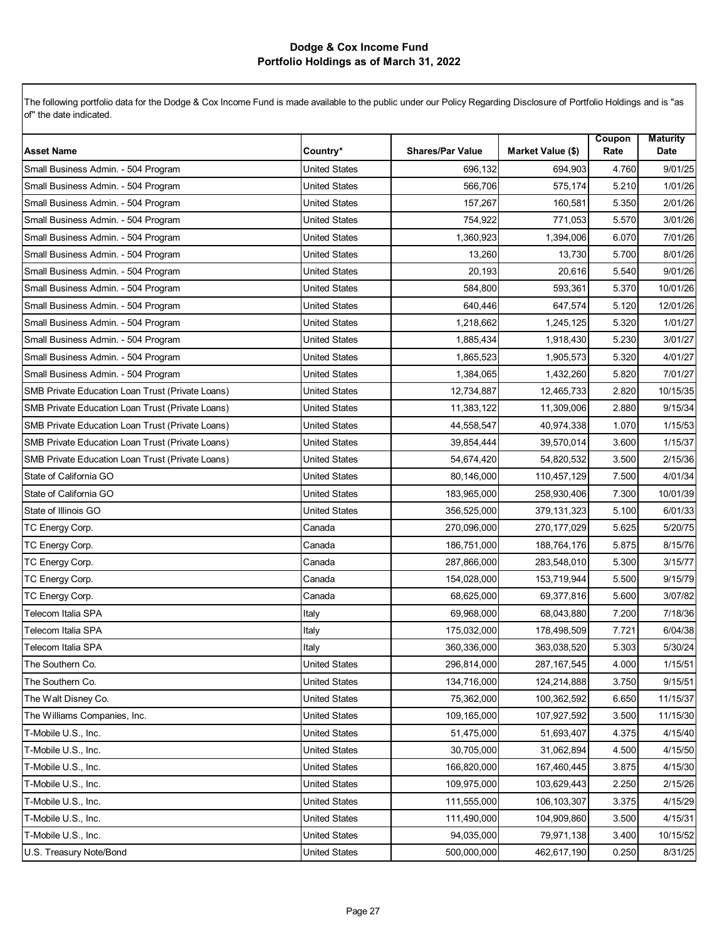| <b>Asset Name</b>                                                                                    | Country*                                     | <b>Shares/Par Value</b>    | Market Value (\$)          | Coupon<br>Rate | <b>Maturity</b><br>Date |
|------------------------------------------------------------------------------------------------------|----------------------------------------------|----------------------------|----------------------------|----------------|-------------------------|
| Small Business Admin. - 504 Program                                                                  | <b>United States</b>                         | 696,132                    | 694,903                    | 4.760          | 9/01/25                 |
| Small Business Admin. - 504 Program                                                                  | United States                                | 566,706                    | 575,174                    | 5.210          | 1/01/26                 |
| Small Business Admin. - 504 Program                                                                  | <b>United States</b>                         | 157,267                    | 160,581                    | 5.350          | 2/01/26                 |
| Small Business Admin. - 504 Program                                                                  | <b>United States</b>                         | 754,922                    | 771,053                    | 5.570          | 3/01/26                 |
| Small Business Admin. - 504 Program                                                                  | <b>United States</b>                         | 1,360,923                  | 1,394,006                  | 6.070          | 7/01/26                 |
| Small Business Admin. - 504 Program                                                                  | <b>United States</b>                         | 13,260                     | 13,730                     | 5.700          | 8/01/26                 |
| Small Business Admin. - 504 Program                                                                  |                                              |                            |                            |                | 9/01/26                 |
| Small Business Admin. - 504 Program                                                                  | United States<br><b>United States</b>        | 20,193<br>584,800          | 20,616<br>593,361          | 5.540<br>5.370 | 10/01/26                |
| Small Business Admin. - 504 Program                                                                  | <b>United States</b>                         | 640,446                    | 647,574                    | 5.120          | 12/01/26                |
|                                                                                                      | <b>United States</b>                         |                            |                            |                |                         |
| Small Business Admin. - 504 Program                                                                  | <b>United States</b>                         | 1,218,662                  | 1,245,125                  | 5.320          | 1/01/27                 |
| Small Business Admin. - 504 Program                                                                  |                                              | 1,885,434                  | 1,918,430                  | 5.230          | 3/01/27                 |
| Small Business Admin. - 504 Program<br>Small Business Admin. - 504 Program                           | <b>United States</b><br><b>United States</b> | 1,865,523<br>1,384,065     | 1,905,573<br>1,432,260     | 5.320<br>5.820 | 4/01/27<br>7/01/27      |
| SMB Private Education Loan Trust (Private Loans)                                                     | <b>United States</b>                         | 12,734,887                 | 12,465,733                 | 2.820          | 10/15/35                |
| SMB Private Education Loan Trust (Private Loans)                                                     | <b>United States</b>                         | 11,383,122                 |                            |                |                         |
|                                                                                                      | <b>United States</b>                         |                            | 11,309,006                 | 2.880          | 9/15/34                 |
| SMB Private Education Loan Trust (Private Loans)                                                     |                                              | 44,558,547                 | 40,974,338                 | 1.070          | 1/15/53                 |
| SMB Private Education Loan Trust (Private Loans)<br>SMB Private Education Loan Trust (Private Loans) | United States<br><b>United States</b>        | 39,854,444<br>54,674,420   | 39,570,014<br>54,820,532   | 3.600<br>3.500 | 1/15/37<br>2/15/36      |
| State of California GO                                                                               | <b>United States</b>                         | 80,146,000                 | 110,457,129                | 7.500          | 4/01/34                 |
| State of California GO                                                                               | <b>United States</b>                         | 183,965,000                | 258,930,406                | 7.300          | 10/01/39                |
| State of Illinois GO                                                                                 | <b>United States</b>                         | 356,525,000                | 379,131,323                | 5.100          | 6/01/33                 |
|                                                                                                      |                                              | 270,096,000                | 270, 177, 029              | 5.625          | 5/20/75                 |
| TC Energy Corp.<br>TC Energy Corp.                                                                   | Canada<br>Canada                             | 186,751,000                | 188,764,176                | 5.875          | 8/15/76                 |
| TC Energy Corp.                                                                                      | Canada                                       | 287,866,000                | 283,548,010                | 5.300          | 3/15/77                 |
|                                                                                                      | Canada                                       | 154,028,000                | 153,719,944                | 5.500          | 9/15/79                 |
| TC Energy Corp.                                                                                      | Canada                                       | 68,625,000                 | 69,377,816                 | 5.600          | 3/07/82                 |
| TC Energy Corp.<br>Telecom Italia SPA                                                                |                                              |                            |                            |                |                         |
| Telecom Italia SPA                                                                                   | Italy                                        | 69,968,000                 | 68,043,880                 | 7.200          | 7/18/36<br>6/04/38      |
| Telecom Italia SPA                                                                                   | Italy                                        | 175,032,000<br>360,336,000 | 178,498,509<br>363,038,520 | 7.721<br>5.303 | 5/30/24                 |
| The Southern Co.                                                                                     | Italy<br><b>United States</b>                | 296,814,000                | 287, 167, 545              | 4.000          | 1/15/51                 |
| The Southern Co.                                                                                     | <b>United States</b>                         | 134,716,000                | 124,214,888                | 3.750          | 9/15/51                 |
| The Walt Disney Co.                                                                                  | <b>United States</b>                         | 75,362,000                 | 100,362,592                | 6.650          | 11/15/37                |
| The Williams Companies, Inc.                                                                         | <b>United States</b>                         | 109,165,000                | 107,927,592                | 3.500          | 11/15/30                |
| T-Mobile U.S., Inc.                                                                                  | <b>United States</b>                         | 51,475,000                 | 51,693,407                 | 4.375          | 4/15/40                 |
| T-Mobile U.S., Inc.                                                                                  | United States                                | 30,705,000                 | 31,062,894                 | 4.500          | 4/15/50                 |
| T-Mobile U.S., Inc.                                                                                  | <b>United States</b>                         | 166,820,000                | 167,460,445                | 3.875          | 4/15/30                 |
| T-Mobile U.S., Inc.                                                                                  | <b>United States</b>                         | 109,975,000                | 103,629,443                | 2.250          | 2/15/26                 |
| T-Mobile U.S., Inc.                                                                                  | <b>United States</b>                         | 111,555,000                | 106,103,307                | 3.375          | 4/15/29                 |
| T-Mobile U.S., Inc.                                                                                  | <b>United States</b>                         | 111,490,000                | 104,909,860                | 3.500          | 4/15/31                 |
| T-Mobile U.S., Inc.                                                                                  | <b>United States</b>                         | 94,035,000                 | 79,971,138                 | 3.400          | 10/15/52                |
|                                                                                                      |                                              |                            |                            |                |                         |
| U.S. Treasury Note/Bond                                                                              | <b>United States</b>                         | 500,000,000                | 462,617,190                | 0.250          | 8/31/25                 |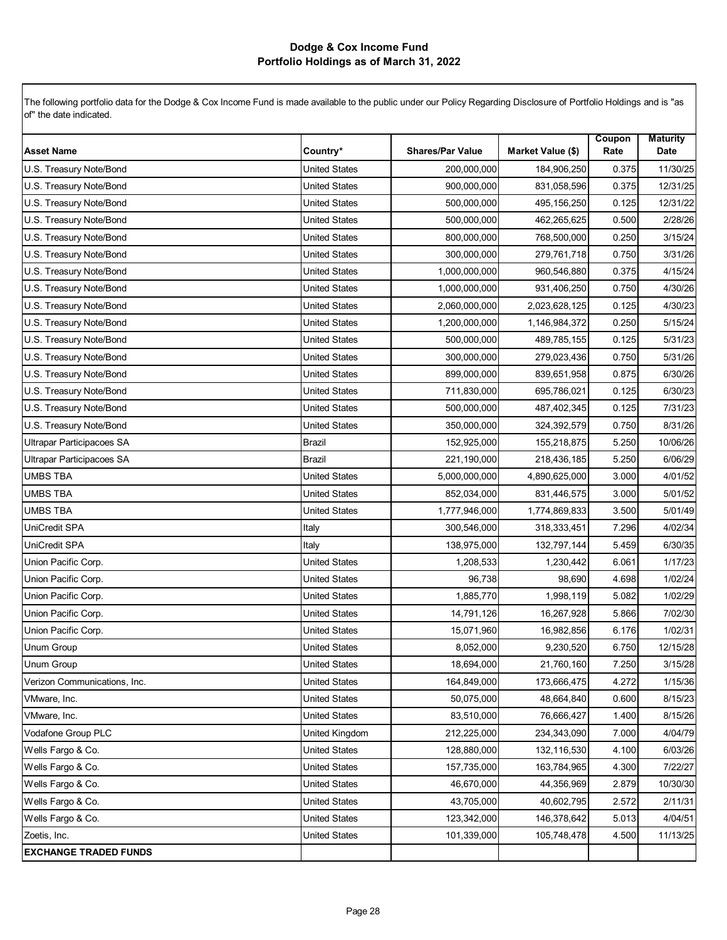|                                  |                      |                         |                   | Coupon | <b>Maturity</b> |
|----------------------------------|----------------------|-------------------------|-------------------|--------|-----------------|
| <b>Asset Name</b>                | Country*             | <b>Shares/Par Value</b> | Market Value (\$) | Rate   | Date            |
| U.S. Treasury Note/Bond          | <b>United States</b> | 200,000,000             | 184,906,250       | 0.375  | 11/30/25        |
| U.S. Treasury Note/Bond          | United States        | 900,000,000             | 831,058,596       | 0.375  | 12/31/25        |
| U.S. Treasury Note/Bond          | <b>United States</b> | 500,000,000             | 495,156,250       | 0.125  | 12/31/22        |
| U.S. Treasury Note/Bond          | <b>United States</b> | 500,000,000             | 462,265,625       | 0.500  | 2/28/26         |
| U.S. Treasury Note/Bond          | <b>United States</b> | 800,000,000             | 768,500,000       | 0.250  | 3/15/24         |
| U.S. Treasury Note/Bond          | <b>United States</b> | 300,000,000             | 279,761,718       | 0.750  | 3/31/26         |
| U.S. Treasury Note/Bond          | United States        | 1,000,000,000           | 960,546,880       | 0.375  | 4/15/24         |
| U.S. Treasury Note/Bond          | <b>United States</b> | 1,000,000,000           | 931,406,250       | 0.750  | 4/30/26         |
| U.S. Treasury Note/Bond          | <b>United States</b> | 2,060,000,000           | 2,023,628,125     | 0.125  | 4/30/23         |
| U.S. Treasury Note/Bond          | <b>United States</b> | 1,200,000,000           | 1,146,984,372     | 0.250  | 5/15/24         |
| U.S. Treasury Note/Bond          | <b>United States</b> | 500,000,000             | 489,785,155       | 0.125  | 5/31/23         |
| U.S. Treasury Note/Bond          | United States        | 300,000,000             | 279,023,436       | 0.750  | 5/31/26         |
| U.S. Treasury Note/Bond          | <b>United States</b> | 899,000,000             | 839,651,958       | 0.875  | 6/30/26         |
| U.S. Treasury Note/Bond          | <b>United States</b> | 711,830,000             | 695,786,021       | 0.125  | 6/30/23         |
| U.S. Treasury Note/Bond          | <b>United States</b> | 500,000,000             | 487,402,345       | 0.125  | 7/31/23         |
| U.S. Treasury Note/Bond          | <b>United States</b> | 350,000,000             | 324,392,579       | 0.750  | 8/31/26         |
| Ultrapar Participacoes SA        | Brazil               | 152,925,000             | 155,218,875       | 5.250  | 10/06/26        |
| <b>Ultrapar Participacoes SA</b> | <b>Brazil</b>        | 221,190,000             | 218,436,185       | 5.250  | 6/06/29         |
| UMBS TBA                         | <b>United States</b> | 5,000,000,000           | 4,890,625,000     | 3.000  | 4/01/52         |
| UMBS TBA                         | <b>United States</b> | 852,034,000             | 831,446,575       | 3.000  | 5/01/52         |
| <b>UMBS TBA</b>                  | <b>United States</b> | 1,777,946,000           | 1,774,869,833     | 3.500  | 5/01/49         |
| UniCredit SPA                    | Italy                | 300,546,000             | 318,333,451       | 7.296  | 4/02/34         |
| <b>UniCredit SPA</b>             | Italy                | 138,975,000             | 132,797,144       | 5.459  | 6/30/35         |
| Union Pacific Corp.              | <b>United States</b> | 1,208,533               | 1,230,442         | 6.061  | 1/17/23         |
| Union Pacific Corp.              | <b>United States</b> | 96,738                  | 98,690            | 4.698  | 1/02/24         |
| Union Pacific Corp.              | <b>United States</b> | 1,885,770               | 1,998,119         | 5.082  | 1/02/29         |
| Union Pacific Corp.              | United States        | 14,791,126              | 16,267,928        | 5.866  | 7/02/30         |
| Union Pacific Corp.              | <b>United States</b> | 15,071,960              | 16,982,856        | 6.176  | 1/02/31         |
| <b>Unum Group</b>                | <b>United States</b> | 8,052,000               | 9,230,520         | 6.750  | 12/15/28        |
| Unum Group                       | <b>United States</b> | 18,694,000              | 21,760,160        | 7.250  | 3/15/28         |
| Verizon Communications, Inc.     | <b>United States</b> | 164,849,000             | 173,666,475       | 4.272  | 1/15/36         |
| VMware, Inc.                     | <b>United States</b> | 50,075,000              | 48,664,840        | 0.600  | 8/15/23         |
| VMware, Inc.                     | <b>United States</b> | 83,510,000              | 76,666,427        | 1.400  | 8/15/26         |
| Vodafone Group PLC               | United Kingdom       | 212,225,000             | 234,343,090       | 7.000  | 4/04/79         |
| Wells Fargo & Co.                | <b>United States</b> | 128,880,000             | 132,116,530       | 4.100  | 6/03/26         |
| Wells Fargo & Co.                | <b>United States</b> | 157,735,000             | 163,784,965       | 4.300  | 7/22/27         |
| Wells Fargo & Co.                | <b>United States</b> | 46,670,000              | 44,356,969        | 2.879  | 10/30/30        |
| Wells Fargo & Co.                | <b>United States</b> | 43,705,000              | 40,602,795        | 2.572  | 2/11/31         |
| Wells Fargo & Co.                | <b>United States</b> | 123,342,000             | 146,378,642       | 5.013  | 4/04/51         |
| Zoetis, Inc.                     | <b>United States</b> | 101,339,000             | 105,748,478       | 4.500  | 11/13/25        |
| <b>EXCHANGE TRADED FUNDS</b>     |                      |                         |                   |        |                 |